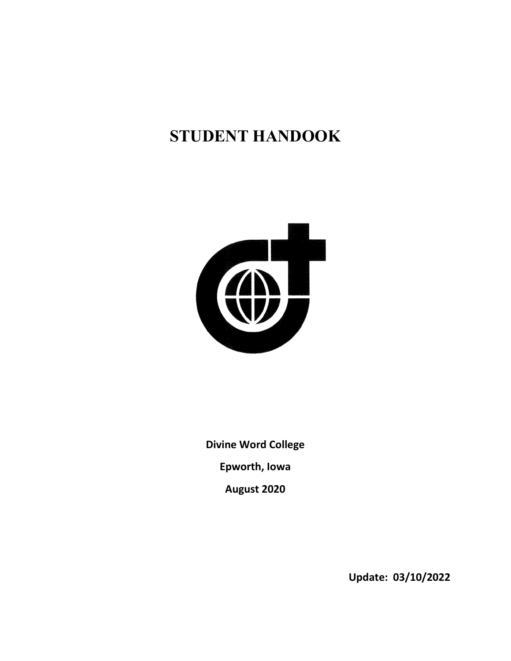# **STUDENT HANDOOK**



**Divine Word College Epworth, Iowa August 2020**

 **Update: 03/10/2022**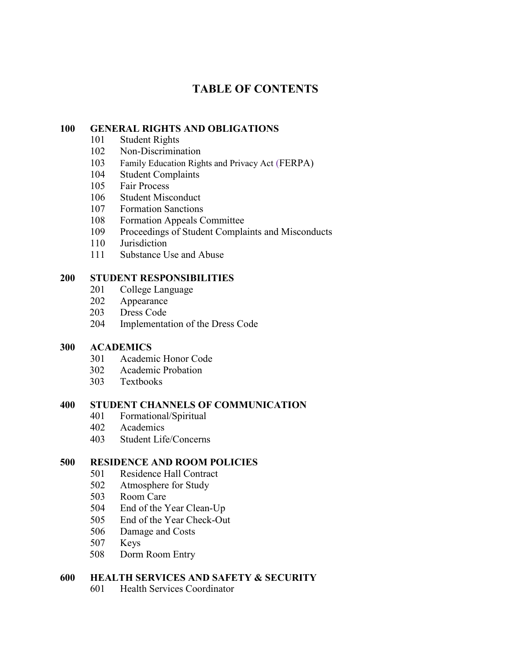# **TABLE OF CONTENTS**

### **GENERAL RIGHTS AND OBLIGATIONS**

- Student Rights
- Non-Discrimination
- Family Education Rights and Privacy Act (FERPA)
- Student Complaints
- Fair Process
- Student Misconduct
- 107 Formation Sanctions
- Formation Appeals Committee
- Proceedings of Student Complaints and Misconducts
- Jurisdiction
- Substance Use and Abuse

### **STUDENT RESPONSIBILITIES**

- College Language
- Appearance
- Dress Code
- Implementation of the Dress Code

### **ACADEMICS**

- Academic Honor Code
- Academic Probation
- Textbooks

### **STUDENT CHANNELS OF COMMUNICATION**

- 401 Formational/Spiritual<br>402 Academics
- Academics
- Student Life/Concerns

### **500 RESIDENCE AND ROOM POLICIES**

- Residence Hall Contract
- Atmosphere for Study
- Room Care
- End of the Year Clean-Up
- End of the Year Check-Out
- Damage and Costs
- Keys
- Dorm Room Entry

### **600 HEALTH SERVICES AND SAFETY & SECURITY**

Health Services Coordinator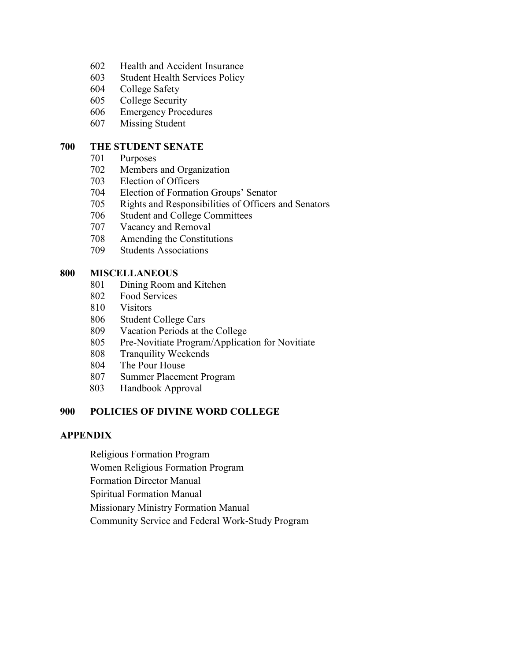- Health and Accident Insurance
- Student Health Services Policy
- College Safety
- College Security
- Emergency Procedures
- Missing Student

### **THE STUDENT SENATE**

- Purposes
- Members and Organization
- Election of Officers
- Election of Formation Groups' Senator
- Rights and Responsibilities of Officers and Senators
- Student and College Committees
- Vacancy and Removal
- Amending the Constitutions
- Students Associations

### **MISCELLANEOUS**

- Dining Room and Kitchen
- Food Services
- Visitors
- Student College Cars
- Vacation Periods at the College
- Pre-Novitiate Program/Application for Novitiate
- Tranquility Weekends
- The Pour House
- Summer Placement Program
- Handbook Approval

### **POLICIES OF DIVINE WORD COLLEGE**

### **APPENDIX**

- Religious Formation Program
- Women Religious Formation Program
- Formation Director Manual
- Spiritual Formation Manual
- Missionary Ministry Formation Manual
- Community Service and Federal Work-Study Program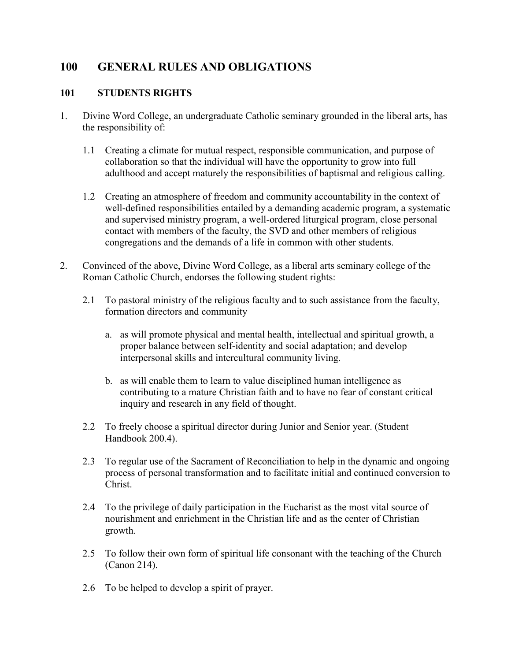# **100 GENERAL RULES AND OBLIGATIONS**

# **101 STUDENTS RIGHTS**

- 1. Divine Word College, an undergraduate Catholic seminary grounded in the liberal arts, has the responsibility of:
	- 1.1 Creating a climate for mutual respect, responsible communication, and purpose of collaboration so that the individual will have the opportunity to grow into full adulthood and accept maturely the responsibilities of baptismal and religious calling.
	- 1.2 Creating an atmosphere of freedom and community accountability in the context of well-defined responsibilities entailed by a demanding academic program, a systematic and supervised ministry program, a well-ordered liturgical program, close personal contact with members of the faculty, the SVD and other members of religious congregations and the demands of a life in common with other students.
- 2. Convinced of the above, Divine Word College, as a liberal arts seminary college of the Roman Catholic Church, endorses the following student rights:
	- 2.1 To pastoral ministry of the religious faculty and to such assistance from the faculty, formation directors and community
		- a. as will promote physical and mental health, intellectual and spiritual growth, a proper balance between self-identity and social adaptation; and develop interpersonal skills and intercultural community living.
		- b. as will enable them to learn to value disciplined human intelligence as contributing to a mature Christian faith and to have no fear of constant critical inquiry and research in any field of thought.
	- 2.2 To freely choose a spiritual director during Junior and Senior year. (Student Handbook 200.4).
	- 2.3 To regular use of the Sacrament of Reconciliation to help in the dynamic and ongoing process of personal transformation and to facilitate initial and continued conversion to Christ.
	- 2.4 To the privilege of daily participation in the Eucharist as the most vital source of nourishment and enrichment in the Christian life and as the center of Christian growth.
	- 2.5 To follow their own form of spiritual life consonant with the teaching of the Church (Canon 214).
	- 2.6 To be helped to develop a spirit of prayer.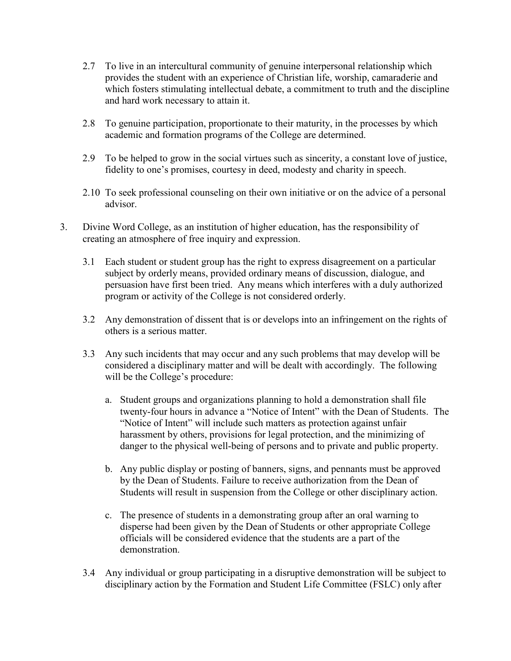- 2.7 To live in an intercultural community of genuine interpersonal relationship which provides the student with an experience of Christian life, worship, camaraderie and which fosters stimulating intellectual debate, a commitment to truth and the discipline and hard work necessary to attain it.
- 2.8 To genuine participation, proportionate to their maturity, in the processes by which academic and formation programs of the College are determined.
- 2.9 To be helped to grow in the social virtues such as sincerity, a constant love of justice, fidelity to one's promises, courtesy in deed, modesty and charity in speech.
- 2.10 To seek professional counseling on their own initiative or on the advice of a personal advisor.
- 3. Divine Word College, as an institution of higher education, has the responsibility of creating an atmosphere of free inquiry and expression.
	- 3.1 Each student or student group has the right to express disagreement on a particular subject by orderly means, provided ordinary means of discussion, dialogue, and persuasion have first been tried. Any means which interferes with a duly authorized program or activity of the College is not considered orderly.
	- 3.2 Any demonstration of dissent that is or develops into an infringement on the rights of others is a serious matter.
	- 3.3 Any such incidents that may occur and any such problems that may develop will be considered a disciplinary matter and will be dealt with accordingly. The following will be the College's procedure:
		- a. Student groups and organizations planning to hold a demonstration shall file twenty-four hours in advance a "Notice of Intent" with the Dean of Students. The "Notice of Intent" will include such matters as protection against unfair harassment by others, provisions for legal protection, and the minimizing of danger to the physical well-being of persons and to private and public property.
		- b. Any public display or posting of banners, signs, and pennants must be approved by the Dean of Students. Failure to receive authorization from the Dean of Students will result in suspension from the College or other disciplinary action.
		- c. The presence of students in a demonstrating group after an oral warning to disperse had been given by the Dean of Students or other appropriate College officials will be considered evidence that the students are a part of the demonstration.
	- 3.4 Any individual or group participating in a disruptive demonstration will be subject to disciplinary action by the Formation and Student Life Committee (FSLC) only after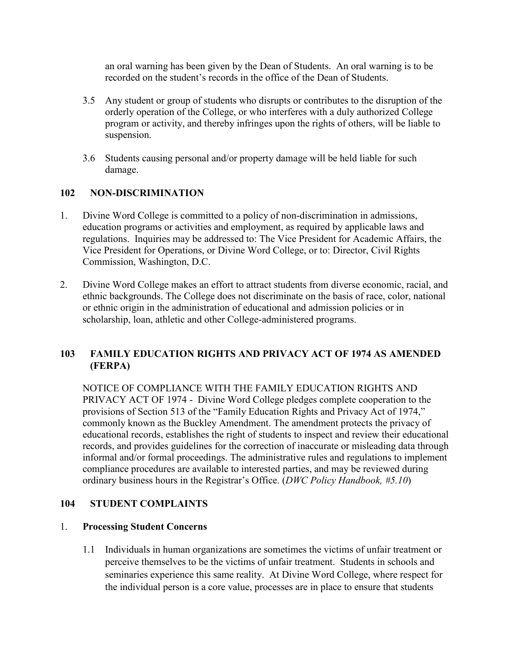an oral warning has been given by the Dean of Students. An oral warning is to be recorded on the student's records in the office of the Dean of Students.

- 3.5 Any student or group of students who disrupts or contributes to the disruption of the orderly operation of the College, or who interferes with a duly authorized College program or activity, and thereby infringes upon the rights of others, will be liable to suspension.
- 3.6 Students causing personal and/or property damage will be held liable for such damage.

# **102 NON-DISCRIMINATION**

- 1. Divine Word College is committed to a policy of non-discrimination in admissions, education programs or activities and employment, as required by applicable laws and regulations. Inquiries may be addressed to: The Vice President for Academic Affairs, the Vice President for Operations, or Divine Word College, or to: Director, Civil Rights Commission, Washington, D.C.
- 2. Divine Word College makes an effort to attract students from diverse economic, racial, and ethnic backgrounds. The College does not discriminate on the basis of race, color, national or ethnic origin in the administration of educational and admission policies or in scholarship, loan, athletic and other College-administered programs.

# **103 FAMILY EDUCATION RIGHTS AND PRIVACY ACT OF 1974 AS AMENDED (FERPA)**

NOTICE OF COMPLIANCE WITH THE FAMILY EDUCATION RIGHTS AND PRIVACY ACT OF 1974 - Divine Word College pledges complete cooperation to the provisions of Section 513 of the "Family Education Rights and Privacy Act of 1974," commonly known as the Buckley Amendment. The amendment protects the privacy of educational records, establishes the right of students to inspect and review their educational records, and provides guidelines for the correction of inaccurate or misleading data through informal and/or formal proceedings. The administrative rules and regulations to implement compliance procedures are available to interested parties, and may be reviewed during ordinary business hours in the Registrar's Office. (*DWC Policy Handbook, #5.10*)

# **104 STUDENT COMPLAINTS**

### 1. **Processing Student Concerns**

1.1 Individuals in human organizations are sometimes the victims of unfair treatment or perceive themselves to be the victims of unfair treatment. Students in schools and seminaries experience this same reality. At Divine Word College, where respect for the individual person is a core value, processes are in place to ensure that students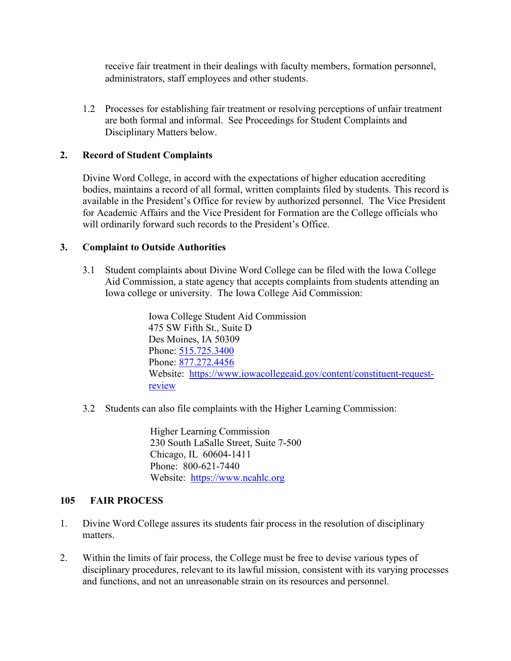receive fair treatment in their dealings with faculty members, formation personnel, administrators, staff employees and other students.

1.2 Processes for establishing fair treatment or resolving perceptions of unfair treatment are both formal and informal. See Proceedings for Student Complaints and Disciplinary Matters below.

### **2. Record of Student Complaints**

Divine Word College, in accord with the expectations of higher education accrediting bodies, maintains a record of all formal, written complaints filed by students. This record is available in the President's Office for review by authorized personnel. The Vice President for Academic Affairs and the Vice President for Formation are the College officials who will ordinarily forward such records to the President's Office.

### **3. Complaint to Outside Authorities**

3.1 Student complaints about Divine Word College can be filed with the Iowa College Aid Commission, a state agency that accepts complaints from students attending an Iowa college or university. The Iowa College Aid Commission:

> Iowa College Student Aid Commission 475 SW Fifth St., Suite D Des Moines, IA 50309 Phone: [515.725.3400](tel:5157253400) Phone: [877.272.4456](tel:8772724456) Website: [https://www.iowacollegeaid.gov/content/constituent-request](https://www.iowacollegeaid.gov/content/constituent-request-review)[review](https://www.iowacollegeaid.gov/content/constituent-request-review)

3.2 Students can also file complaints with the Higher Learning Commission:

Higher Learning Commission 230 South LaSalle Street, Suite 7-500 Chicago, IL 60604-1411 Phone: 800-621-7440 Website: [https://www.ncahlc.org](https://www.ncahlc.org/)

### **105 FAIR PROCESS**

- 1. Divine Word College assures its students fair process in the resolution of disciplinary matters.
- 2. Within the limits of fair process, the College must be free to devise various types of disciplinary procedures, relevant to its lawful mission, consistent with its varying processes and functions, and not an unreasonable strain on its resources and personnel.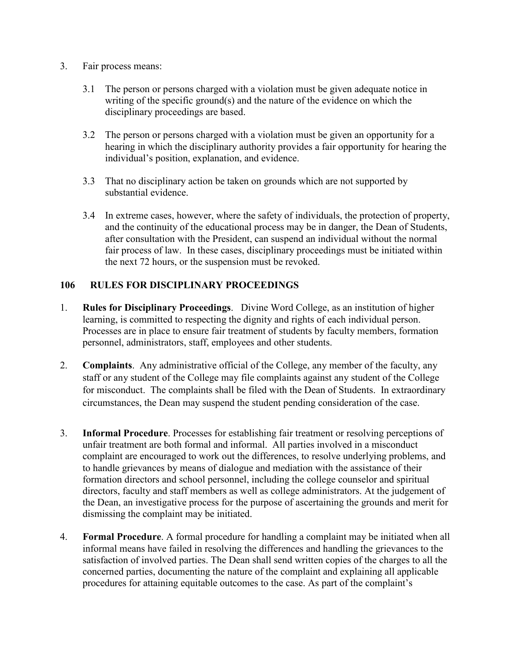### 3. Fair process means:

- 3.1 The person or persons charged with a violation must be given adequate notice in writing of the specific ground(s) and the nature of the evidence on which the disciplinary proceedings are based.
- 3.2 The person or persons charged with a violation must be given an opportunity for a hearing in which the disciplinary authority provides a fair opportunity for hearing the individual's position, explanation, and evidence.
- 3.3 That no disciplinary action be taken on grounds which are not supported by substantial evidence.
- 3.4 In extreme cases, however, where the safety of individuals, the protection of property, and the continuity of the educational process may be in danger, the Dean of Students, after consultation with the President, can suspend an individual without the normal fair process of law. In these cases, disciplinary proceedings must be initiated within the next 72 hours, or the suspension must be revoked.

# **106 RULES FOR DISCIPLINARY PROCEEDINGS**

- 1. **Rules for Disciplinary Proceedings**.Divine Word College, as an institution of higher learning, is committed to respecting the dignity and rights of each individual person. Processes are in place to ensure fair treatment of students by faculty members, formation personnel, administrators, staff, employees and other students.
- 2. **Complaints**. Any administrative official of the College, any member of the faculty, any staff or any student of the College may file complaints against any student of the College for misconduct. The complaints shall be filed with the Dean of Students. In extraordinary circumstances, the Dean may suspend the student pending consideration of the case.
- 3. **Informal Procedure**. Processes for establishing fair treatment or resolving perceptions of unfair treatment are both formal and informal. All parties involved in a misconduct complaint are encouraged to work out the differences, to resolve underlying problems, and to handle grievances by means of dialogue and mediation with the assistance of their formation directors and school personnel, including the college counselor and spiritual directors, faculty and staff members as well as college administrators. At the judgement of the Dean, an investigative process for the purpose of ascertaining the grounds and merit for dismissing the complaint may be initiated.
- 4. **Formal Procedure**. A formal procedure for handling a complaint may be initiated when all informal means have failed in resolving the differences and handling the grievances to the satisfaction of involved parties. The Dean shall send written copies of the charges to all the concerned parties, documenting the nature of the complaint and explaining all applicable procedures for attaining equitable outcomes to the case. As part of the complaint's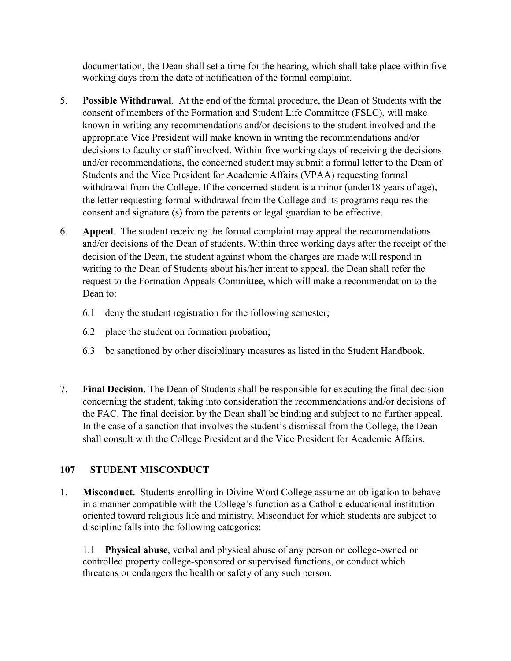documentation, the Dean shall set a time for the hearing, which shall take place within five working days from the date of notification of the formal complaint.

- 5. **Possible Withdrawal**. At the end of the formal procedure, the Dean of Students with the consent of members of the Formation and Student Life Committee (FSLC), will make known in writing any recommendations and/or decisions to the student involved and the appropriate Vice President will make known in writing the recommendations and/or decisions to faculty or staff involved. Within five working days of receiving the decisions and/or recommendations, the concerned student may submit a formal letter to the Dean of Students and the Vice President for Academic Affairs (VPAA) requesting formal withdrawal from the College. If the concerned student is a minor (under18 years of age), the letter requesting formal withdrawal from the College and its programs requires the consent and signature (s) from the parents or legal guardian to be effective.
- 6. **Appeal**. The student receiving the formal complaint may appeal the recommendations and/or decisions of the Dean of students. Within three working days after the receipt of the decision of the Dean, the student against whom the charges are made will respond in writing to the Dean of Students about his/her intent to appeal. the Dean shall refer the request to the Formation Appeals Committee, which will make a recommendation to the Dean to:
	- 6.1 deny the student registration for the following semester;
	- 6.2 place the student on formation probation;
	- 6.3 be sanctioned by other disciplinary measures as listed in the Student Handbook.
- 7. **Final Decision**. The Dean of Students shall be responsible for executing the final decision concerning the student, taking into consideration the recommendations and/or decisions of the FAC. The final decision by the Dean shall be binding and subject to no further appeal. In the case of a sanction that involves the student's dismissal from the College, the Dean shall consult with the College President and the Vice President for Academic Affairs.

# **107 STUDENT MISCONDUCT**

1. **Misconduct.** Students enrolling in Divine Word College assume an obligation to behave in a manner compatible with the College's function as a Catholic educational institution oriented toward religious life and ministry. Misconduct for which students are subject to discipline falls into the following categories:

1.1 **Physical abuse**, verbal and physical abuse of any person on college-owned or controlled property college-sponsored or supervised functions, or conduct which threatens or endangers the health or safety of any such person.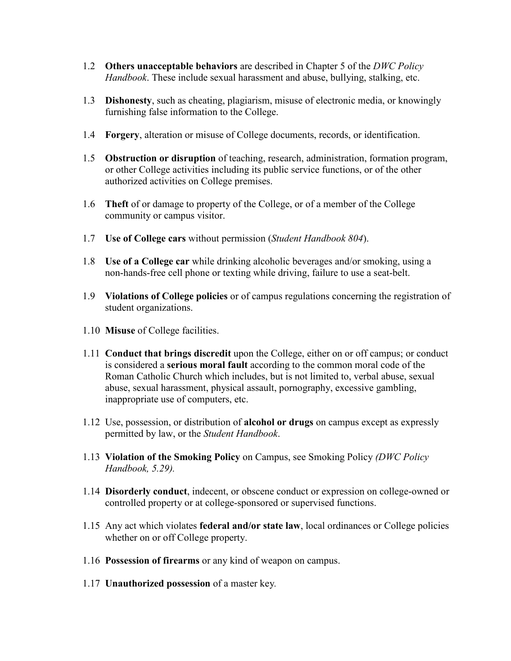- 1.2 **Others unacceptable behaviors** are described in Chapter 5 of the *DWC Policy Handbook*. These include sexual harassment and abuse, bullying, stalking, etc.
- 1.3 **Dishonesty**, such as cheating, plagiarism, misuse of electronic media, or knowingly furnishing false information to the College.
- 1.4 **Forgery**, alteration or misuse of College documents, records, or identification.
- 1.5 **Obstruction or disruption** of teaching, research, administration, formation program, or other College activities including its public service functions, or of the other authorized activities on College premises.
- 1.6 **Theft** of or damage to property of the College, or of a member of the College community or campus visitor.
- 1.7 **Use of College cars** without permission (*Student Handbook 804*).
- 1.8 **Use of a College car** while drinking alcoholic beverages and/or smoking, using a non-hands-free cell phone or texting while driving, failure to use a seat-belt.
- 1.9 **Violations of College policies** or of campus regulations concerning the registration of student organizations.
- 1.10 **Misuse** of College facilities.
- 1.11 **Conduct that brings discredit** upon the College, either on or off campus; or conduct is considered a **serious moral fault** according to the common moral code of the Roman Catholic Church which includes, but is not limited to, verbal abuse, sexual abuse, sexual harassment, physical assault, pornography, excessive gambling, inappropriate use of computers, etc.
- 1.12 Use, possession, or distribution of **alcohol or drugs** on campus except as expressly permitted by law, or the *Student Handbook*.
- 1.13 **Violation of the Smoking Policy** on Campus, see Smoking Policy *(DWC Policy Handbook, 5.29).*
- 1.14 **Disorderly conduct**, indecent, or obscene conduct or expression on college-owned or controlled property or at college-sponsored or supervised functions.
- 1.15 Any act which violates **federal and/or state law**, local ordinances or College policies whether on or off College property.
- 1.16 **Possession of firearms** or any kind of weapon on campus.
- 1.17 **Unauthorized possession** of a master key*.*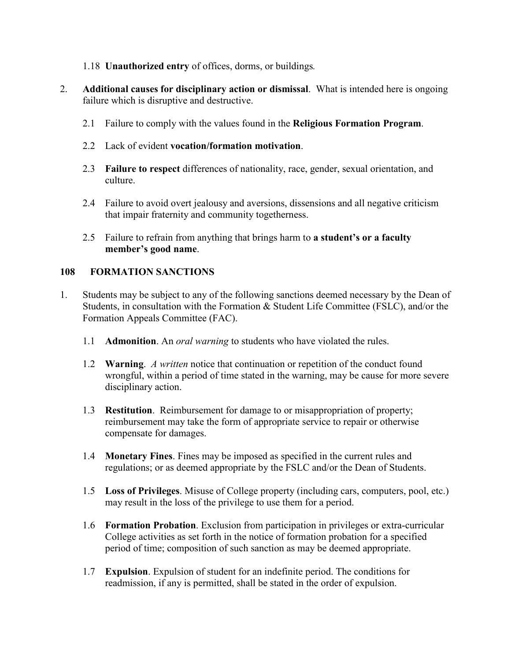- 1.18 **Unauthorized entry** of offices, dorms, or buildings*.*
- 2. **Additional causes for disciplinary action or dismissal**. What is intended here is ongoing failure which is disruptive and destructive.
	- 2.1 Failure to comply with the values found in the **Religious Formation Program**.
	- 2.2 Lack of evident **vocation/formation motivation**.
	- 2.3 **Failure to respect** differences of nationality, race, gender, sexual orientation, and culture.
	- 2.4 Failure to avoid overt jealousy and aversions, dissensions and all negative criticism that impair fraternity and community togetherness.
	- 2.5 Failure to refrain from anything that brings harm to **a student's or a faculty member's good name**.

### **108 FORMATION SANCTIONS**

- 1. Students may be subject to any of the following sanctions deemed necessary by the Dean of Students, in consultation with the Formation & Student Life Committee (FSLC), and/or the Formation Appeals Committee (FAC).
	- 1.1 **Admonition**. An *oral warning* to students who have violated the rules.
	- 1.2 **Warning**. *A written* notice that continuation or repetition of the conduct found wrongful, within a period of time stated in the warning, may be cause for more severe disciplinary action.
	- 1.3 **Restitution**. Reimbursement for damage to or misappropriation of property; reimbursement may take the form of appropriate service to repair or otherwise compensate for damages.
	- 1.4 **Monetary Fines**. Fines may be imposed as specified in the current rules and regulations; or as deemed appropriate by the FSLC and/or the Dean of Students.
	- 1.5 **Loss of Privileges**. Misuse of College property (including cars, computers, pool, etc.) may result in the loss of the privilege to use them for a period.
	- 1.6 **Formation Probation**. Exclusion from participation in privileges or extra-curricular College activities as set forth in the notice of formation probation for a specified period of time; composition of such sanction as may be deemed appropriate.
	- 1.7 **Expulsion**. Expulsion of student for an indefinite period. The conditions for readmission, if any is permitted, shall be stated in the order of expulsion.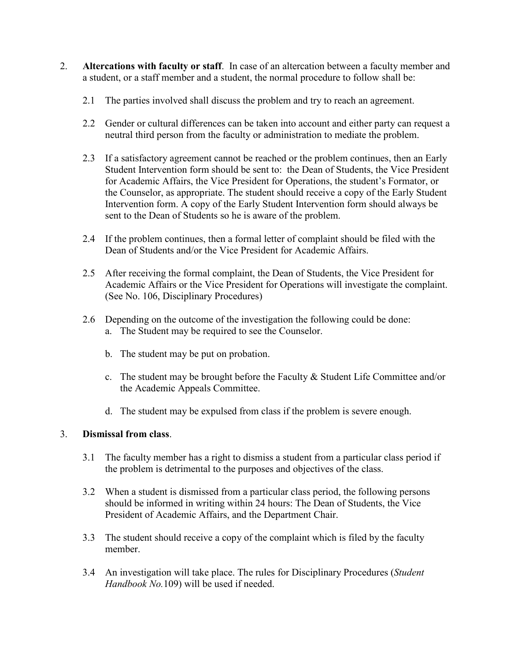- 2. **Altercations with faculty or staff**. In case of an altercation between a faculty member and a student, or a staff member and a student, the normal procedure to follow shall be:
	- 2.1 The parties involved shall discuss the problem and try to reach an agreement.
	- 2.2 Gender or cultural differences can be taken into account and either party can request a neutral third person from the faculty or administration to mediate the problem.
	- 2.3 If a satisfactory agreement cannot be reached or the problem continues, then an Early Student Intervention form should be sent to: the Dean of Students, the Vice President for Academic Affairs, the Vice President for Operations, the student's Formator, or the Counselor, as appropriate. The student should receive a copy of the Early Student Intervention form. A copy of the Early Student Intervention form should always be sent to the Dean of Students so he is aware of the problem.
	- 2.4 If the problem continues, then a formal letter of complaint should be filed with the Dean of Students and/or the Vice President for Academic Affairs.
	- 2.5 After receiving the formal complaint, the Dean of Students, the Vice President for Academic Affairs or the Vice President for Operations will investigate the complaint. (See No. 106, Disciplinary Procedures)
	- 2.6 Depending on the outcome of the investigation the following could be done: a. The Student may be required to see the Counselor.
		- b. The student may be put on probation.
		- c. The student may be brought before the Faculty & Student Life Committee and/or the Academic Appeals Committee.
		- d. The student may be expulsed from class if the problem is severe enough.

# 3. **Dismissal from class**.

- 3.1 The faculty member has a right to dismiss a student from a particular class period if the problem is detrimental to the purposes and objectives of the class.
- 3.2 When a student is dismissed from a particular class period, the following persons should be informed in writing within 24 hours: The Dean of Students, the Vice President of Academic Affairs, and the Department Chair.
- 3.3 The student should receive a copy of the complaint which is filed by the faculty member.
- 3.4 An investigation will take place. The rules for Disciplinary Procedures (*Student Handbook No.*109) will be used if needed.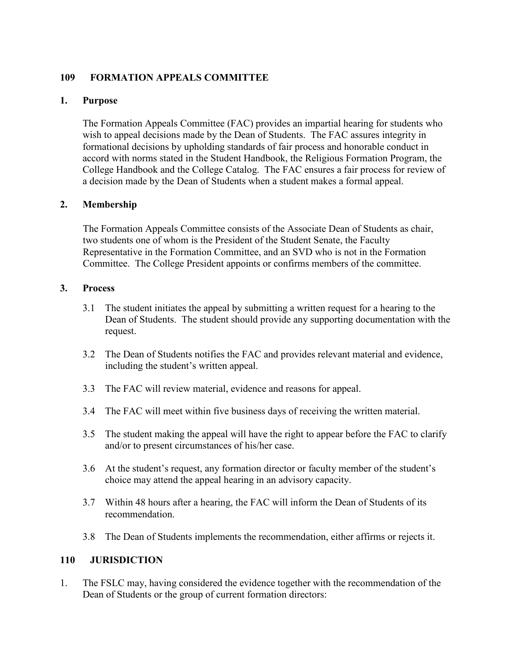# **109 FORMATION APPEALS COMMITTEE**

# **1. Purpose**

The Formation Appeals Committee (FAC) provides an impartial hearing for students who wish to appeal decisions made by the Dean of Students. The FAC assures integrity in formational decisions by upholding standards of fair process and honorable conduct in accord with norms stated in the Student Handbook, the Religious Formation Program, the College Handbook and the College Catalog. The FAC ensures a fair process for review of a decision made by the Dean of Students when a student makes a formal appeal.

# **2. Membership**

The Formation Appeals Committee consists of the Associate Dean of Students as chair, two students one of whom is the President of the Student Senate, the Faculty Representative in the Formation Committee, and an SVD who is not in the Formation Committee. The College President appoints or confirms members of the committee.

### **3. Process**

- 3.1 The student initiates the appeal by submitting a written request for a hearing to the Dean of Students. The student should provide any supporting documentation with the request.
- 3.2 The Dean of Students notifies the FAC and provides relevant material and evidence, including the student's written appeal.
- 3.3 The FAC will review material, evidence and reasons for appeal.
- 3.4 The FAC will meet within five business days of receiving the written material.
- 3.5 The student making the appeal will have the right to appear before the FAC to clarify and/or to present circumstances of his/her case.
- 3.6 At the student's request, any formation director or faculty member of the student's choice may attend the appeal hearing in an advisory capacity.
- 3.7 Within 48 hours after a hearing, the FAC will inform the Dean of Students of its recommendation.
- 3.8 The Dean of Students implements the recommendation, either affirms or rejects it.

# **110 JURISDICTION**

1. The FSLC may, having considered the evidence together with the recommendation of the Dean of Students or the group of current formation directors: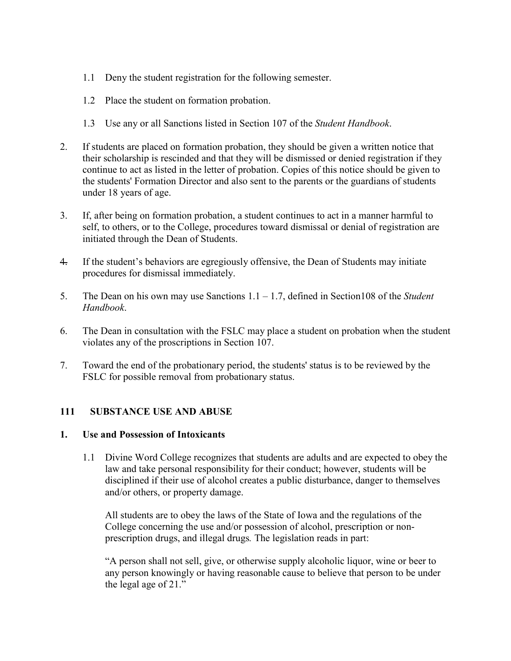- 1.1 Deny the student registration for the following semester.
- 1.2 Place the student on formation probation.
- 1.3 Use any or all Sanctions listed in Section 107 of the *Student Handbook*.
- 2. If students are placed on formation probation, they should be given a written notice that their scholarship is rescinded and that they will be dismissed or denied registration if they continue to act as listed in the letter of probation. Copies of this notice should be given to the students' Formation Director and also sent to the parents or the guardians of students under 18 years of age.
- 3. If, after being on formation probation, a student continues to act in a manner harmful to self, to others, or to the College, procedures toward dismissal or denial of registration are initiated through the Dean of Students.
- 4. If the student's behaviors are egregiously offensive, the Dean of Students may initiate procedures for dismissal immediately.
- 5. The Dean on his own may use Sanctions 1.1 1.7, defined in Section108 of the *Student Handbook*.
- 6. The Dean in consultation with the FSLC may place a student on probation when the student violates any of the proscriptions in Section 107.
- 7. Toward the end of the probationary period, the students' status is to be reviewed by the FSLC for possible removal from probationary status.

### **111 SUBSTANCE USE AND ABUSE**

### **1. Use and Possession of Intoxicants**

1.1 Divine Word College recognizes that students are adults and are expected to obey the law and take personal responsibility for their conduct; however, students will be disciplined if their use of alcohol creates a public disturbance, danger to themselves and/or others, or property damage.

All students are to obey the laws of the State of Iowa and the regulations of the College concerning the use and/or possession of alcohol, prescription or nonprescription drugs, and illegal drugs*.* The legislation reads in part:

"A person shall not sell, give, or otherwise supply alcoholic liquor, wine or beer to any person knowingly or having reasonable cause to believe that person to be under the legal age of 21."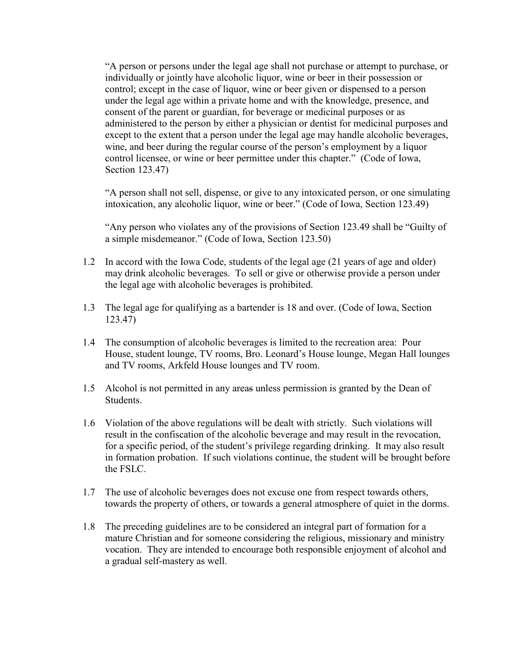"A person or persons under the legal age shall not purchase or attempt to purchase, or individually or jointly have alcoholic liquor, wine or beer in their possession or control; except in the case of liquor, wine or beer given or dispensed to a person under the legal age within a private home and with the knowledge, presence, and consent of the parent or guardian, for beverage or medicinal purposes or as administered to the person by either a physician or dentist for medicinal purposes and except to the extent that a person under the legal age may handle alcoholic beverages, wine, and beer during the regular course of the person's employment by a liquor control licensee, or wine or beer permittee under this chapter." (Code of Iowa, Section 123.47)

"A person shall not sell, dispense, or give to any intoxicated person, or one simulating intoxication, any alcoholic liquor, wine or beer." (Code of Iowa, Section 123.49)

"Any person who violates any of the provisions of Section 123.49 shall be "Guilty of a simple misdemeanor." (Code of Iowa, Section 123.50)

- 1.2 In accord with the Iowa Code, students of the legal age (21 years of age and older) may drink alcoholic beverages. To sell or give or otherwise provide a person under the legal age with alcoholic beverages is prohibited.
- 1.3 The legal age for qualifying as a bartender is 18 and over. (Code of Iowa, Section 123.47)
- 1.4 The consumption of alcoholic beverages is limited to the recreation area: Pour House, student lounge, TV rooms, Bro. Leonard's House lounge, Megan Hall lounges and TV rooms, Arkfeld House lounges and TV room.
- 1.5 Alcohol is not permitted in any areas unless permission is granted by the Dean of Students.
- 1.6 Violation of the above regulations will be dealt with strictly. Such violations will result in the confiscation of the alcoholic beverage and may result in the revocation, for a specific period, of the student's privilege regarding drinking. It may also result in formation probation. If such violations continue, the student will be brought before the FSLC.
- 1.7 The use of alcoholic beverages does not excuse one from respect towards others, towards the property of others, or towards a general atmosphere of quiet in the dorms.
- 1.8 The preceding guidelines are to be considered an integral part of formation for a mature Christian and for someone considering the religious, missionary and ministry vocation. They are intended to encourage both responsible enjoyment of alcohol and a gradual self-mastery as well.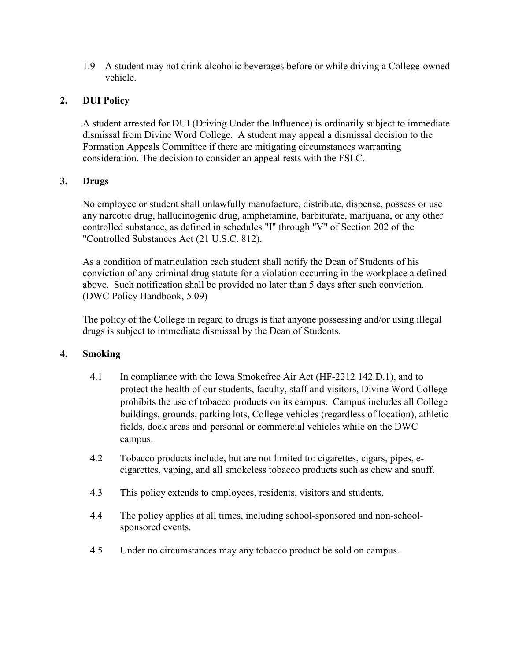1.9 A student may not drink alcoholic beverages before or while driving a College-owned vehicle.

# **2. DUI Policy**

A student arrested for DUI (Driving Under the Influence) is ordinarily subject to immediate dismissal from Divine Word College. A student may appeal a dismissal decision to the Formation Appeals Committee if there are mitigating circumstances warranting consideration. The decision to consider an appeal rests with the FSLC.

# **3. Drugs**

No employee or student shall unlawfully manufacture, distribute, dispense, possess or use any narcotic drug, hallucinogenic drug, amphetamine, barbiturate, marijuana, or any other controlled substance, as defined in schedules "I" through "V" of Section 202 of the "Controlled Substances Act (21 U.S.C. 812).

As a condition of matriculation each student shall notify the Dean of Students of his conviction of any criminal drug statute for a violation occurring in the workplace a defined above. Such notification shall be provided no later than 5 days after such conviction. (DWC Policy Handbook, 5.09)

The policy of the College in regard to drugs is that anyone possessing and/or using illegal drugs is subject to immediate dismissal by the Dean of Students*.*

# **4. Smoking**

- 4.1 In compliance with the Iowa Smokefree Air Act (HF-2212 142 D.1), and to protect the health of our students, faculty, staff and visitors, Divine Word College prohibits the use of tobacco products on its campus. Campus includes all College buildings, grounds, parking lots, College vehicles (regardless of location), athletic fields, dock areas and personal or commercial vehicles while on the DWC campus.
- 4.2 Tobacco products include, but are not limited to: cigarettes, cigars, pipes, ecigarettes, vaping, and all smokeless tobacco products such as chew and snuff.
- 4.3 This policy extends to employees, residents, visitors and students.
- 4.4 The policy applies at all times, including school-sponsored and non-schoolsponsored events.
- 4.5 Under no circumstances may any tobacco product be sold on campus.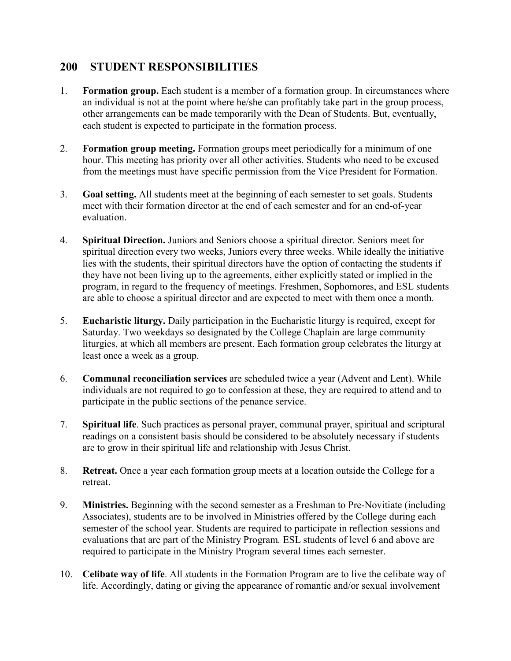# **200 STUDENT RESPONSIBILITIES**

- 1. **Formation group.** Each student is a member of a formation group. In circumstances where an individual is not at the point where he/she can profitably take part in the group process, other arrangements can be made temporarily with the Dean of Students. But, eventually, each student is expected to participate in the formation process.
- 2. **Formation group meeting.** Formation groups meet periodically for a minimum of one hour. This meeting has priority over all other activities. Students who need to be excused from the meetings must have specific permission from the Vice President for Formation.
- 3. **Goal setting.** All students meet at the beginning of each semester to set goals. Students meet with their formation director at the end of each semester and for an end-of-year evaluation.
- 4. **Spiritual Direction.** Juniors and Seniors choose a spiritual director. Seniors meet for spiritual direction every two weeks, Juniors every three weeks. While ideally the initiative lies with the students, their spiritual directors have the option of contacting the students if they have not been living up to the agreements, either explicitly stated or implied in the program, in regard to the frequency of meetings. Freshmen, Sophomores, and ESL students are able to choose a spiritual director and are expected to meet with them once a month*.*
- 5. **Eucharistic liturgy.** Daily participation in the Eucharistic liturgy is required, except for Saturday. Two weekdays so designated by the College Chaplain are large community liturgies, at which all members are present. Each formation group celebrates the liturgy at least once a week as a group.
- 6. **Communal reconciliation services** are scheduled twice a year (Advent and Lent). While individuals are not required to go to confession at these, they are required to attend and to participate in the public sections of the penance service.
- 7. **Spiritual life**. Such practices as personal prayer, communal prayer, spiritual and scriptural readings on a consistent basis should be considered to be absolutely necessary if students are to grow in their spiritual life and relationship with Jesus Christ.
- 8. **Retreat.** Once a year each formation group meets at a location outside the College for a retreat.
- 9. **Ministries.** Beginning with the second semester as a Freshman to Pre-Novitiate (including Associates), students are to be involved in Ministries offered by the College during each semester of the school year. Students are required to participate in reflection sessions and evaluations that are part of the Ministry Program*.* ESL students of level 6 and above are required to participate in the Ministry Program several times each semester.
- 10. **Celibate way of life**. All *s*tudents in the Formation Program are to live the celibate way of life. Accordingly, dating or giving the appearance of romantic and/or sexual involvement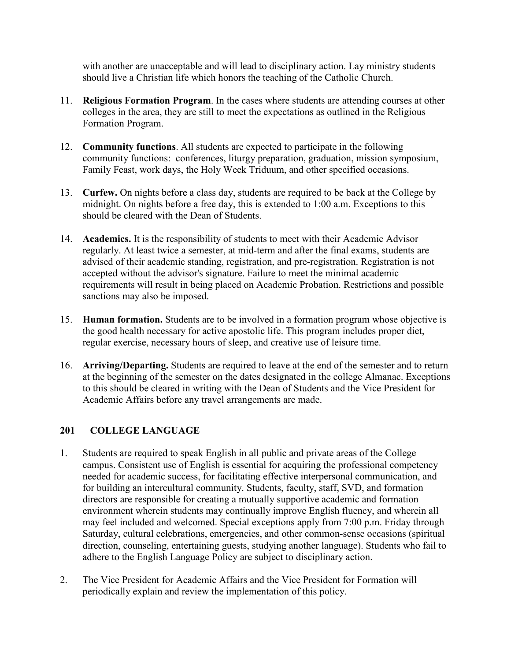with another are unacceptable and will lead to disciplinary action. Lay ministry students should live a Christian life which honors the teaching of the Catholic Church.

- 11. **Religious Formation Program**. In the cases where students are attending courses at other colleges in the area, they are still to meet the expectations as outlined in the Religious Formation Program.
- 12. **Community functions**. All students are expected to participate in the following community functions: conferences, liturgy preparation, graduation, mission symposium, Family Feast, work days, the Holy Week Triduum, and other specified occasions.
- 13. **Curfew.** On nights before a class day, students are required to be back at the College by midnight. On nights before a free day, this is extended to 1:00 a.m. Exceptions to this should be cleared with the Dean of Students.
- 14. **Academics.** It is the responsibility of students to meet with their Academic Advisor regularly. At least twice a semester, at mid-term and after the final exams, students are advised of their academic standing, registration, and pre-registration. Registration is not accepted without the advisor's signature. Failure to meet the minimal academic requirements will result in being placed on Academic Probation. Restrictions and possible sanctions may also be imposed.
- 15. **Human formation.** Students are to be involved in a formation program whose objective is the good health necessary for active apostolic life. This program includes proper diet, regular exercise, necessary hours of sleep, and creative use of leisure time.
- 16. **Arriving/Departing.** Students are required to leave at the end of the semester and to return at the beginning of the semester on the dates designated in the college Almanac. Exceptions to this should be cleared in writing with the Dean of Students and the Vice President for Academic Affairs before any travel arrangements are made.

# **201 COLLEGE LANGUAGE**

- 1. Students are required to speak English in all public and private areas of the College campus. Consistent use of English is essential for acquiring the professional competency needed for academic success, for facilitating effective interpersonal communication, and for building an intercultural community. Students, faculty, staff, SVD, and formation directors are responsible for creating a mutually supportive academic and formation environment wherein students may continually improve English fluency, and wherein all may feel included and welcomed. Special exceptions apply from 7:00 p.m. Friday through Saturday, cultural celebrations, emergencies, and other common-sense occasions (spiritual direction, counseling, entertaining guests, studying another language). Students who fail to adhere to the English Language Policy are subject to disciplinary action.
- 2. The Vice President for Academic Affairs and the Vice President for Formation will periodically explain and review the implementation of this policy.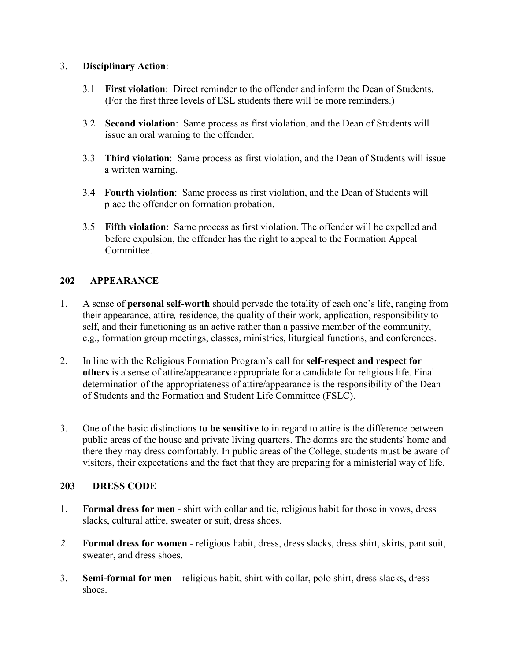# 3. **Disciplinary Action**:

- 3.1 **First violation**: Direct reminder to the offender and inform the Dean of Students. (For the first three levels of ESL students there will be more reminders.)
- 3.2 **Second violation**: Same process as first violation, and the Dean of Students will issue an oral warning to the offender.
- 3.3 **Third violation**: Same process as first violation, and the Dean of Students will issue a written warning.
- 3.4 **Fourth violation**: Same process as first violation, and the Dean of Students will place the offender on formation probation.
- 3.5 **Fifth violation**: Same process as first violation. The offender will be expelled and before expulsion, the offender has the right to appeal to the Formation Appeal Committee.

# **202 APPEARANCE**

- 1. A sense of **personal self-worth** should pervade the totality of each one's life, ranging from their appearance, attire*,* residence, the quality of their work, application, responsibility to self, and their functioning as an active rather than a passive member of the community, e.g., formation group meetings, classes, ministries, liturgical functions, and conferences.
- 2. In line with the Religious Formation Program's call for **self-respect and respect for others** is a sense of attire/appearance appropriate for a candidate for religious life. Final determination of the appropriateness of attire/appearance is the responsibility of the Dean of Students and the Formation and Student Life Committee (FSLC).
- 3. One of the basic distinctions **to be sensitive** to in regard to attire is the difference between public areas of the house and private living quarters. The dorms are the students' home and there they may dress comfortably. In public areas of the College, students must be aware of visitors, their expectations and the fact that they are preparing for a ministerial way of life.

# **203 DRESS CODE**

- 1. **Formal dress for men** *-* shirt with collar and tie, religious habit for those in vows, dress slacks, cultural attire, sweater or suit, dress shoes.
- *2.* **Formal dress for women** religious habit, dress, dress slacks, dress shirt, skirts, pant suit, sweater, and dress shoes.
- 3. **Semi-formal for men** religious habit, shirt with collar, polo shirt, dress slacks, dress shoes.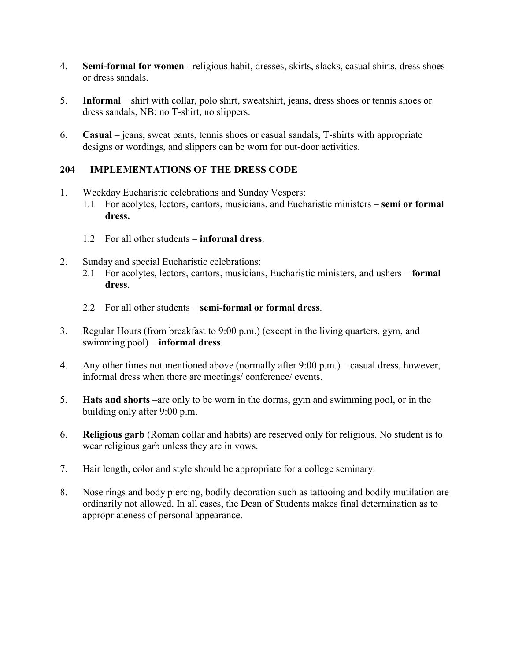- 4. **Semi-formal for women** religious habit, dresses, skirts, slacks, casual shirts, dress shoes or dress sandals.
- 5. **Informal** shirt with collar, polo shirt, sweatshirt, jeans, dress shoes or tennis shoes or dress sandals, NB: no T-shirt, no slippers.
- 6. **Casual** jeans, sweat pants, tennis shoes or casual sandals, T-shirts with appropriate designs or wordings, and slippers can be worn for out-door activities.

# **204 IMPLEMENTATIONS OF THE DRESS CODE**

- 1. Weekday Eucharistic celebrations and Sunday Vespers: 1.1 For acolytes, lectors, cantors, musicians, and Eucharistic ministers – **semi or formal dress.**
	- 1.2 For all other students **informal dress**.
- 2. Sunday and special Eucharistic celebrations:
	- 2.1 For acolytes, lectors, cantors, musicians, Eucharistic ministers, and ushers **formal dress**.
	- 2.2 For all other students **semi-formal or formal dress**.
- 3. Regular Hours (from breakfast to 9:00 p.m.) (except in the living quarters, gym, and swimming pool) – **informal dress**.
- 4. Any other times not mentioned above (normally after 9:00 p.m.) casual dress, however, informal dress when there are meetings/ conference/ events.
- 5. **Hats and shorts** –are only to be worn in the dorms, gym and swimming pool, or in the building only after 9:00 p.m.
- 6. **Religious garb** (Roman collar and habits) are reserved only for religious. No student is to wear religious garb unless they are in vows.
- 7. Hair length, color and style should be appropriate for a college seminary.
- 8. Nose rings and body piercing, bodily decoration such as tattooing and bodily mutilation are ordinarily not allowed. In all cases, the Dean of Students makes final determination as to appropriateness of personal appearance.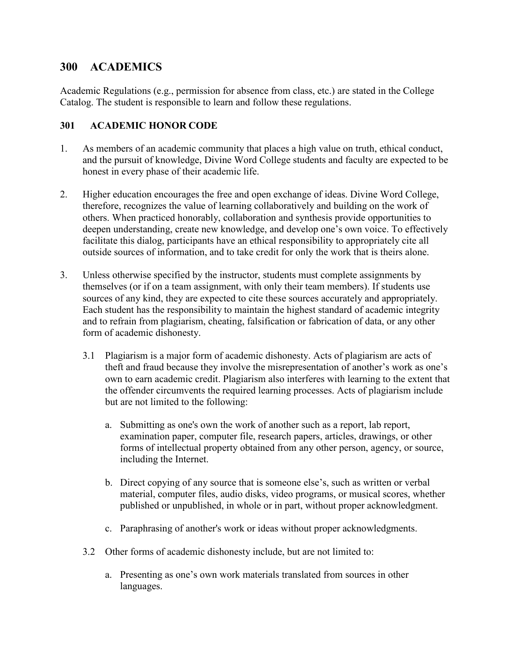# **300 ACADEMICS**

Academic Regulations (e.g., permission for absence from class, etc.) are stated in the College Catalog. The student is responsible to learn and follow these regulations.

### **301 ACADEMIC HONOR CODE**

- 1. As members of an academic community that places a high value on truth, ethical conduct, and the pursuit of knowledge, Divine Word College students and faculty are expected to be honest in every phase of their academic life.
- 2. Higher education encourages the free and open exchange of ideas. Divine Word College, therefore, recognizes the value of learning collaboratively and building on the work of others. When practiced honorably, collaboration and synthesis provide opportunities to deepen understanding, create new knowledge, and develop one's own voice. To effectively facilitate this dialog, participants have an ethical responsibility to appropriately cite all outside sources of information, and to take credit for only the work that is theirs alone.
- 3. Unless otherwise specified by the instructor, students must complete assignments by themselves (or if on a team assignment, with only their team members). If students use sources of any kind, they are expected to cite these sources accurately and appropriately. Each student has the responsibility to maintain the highest standard of academic integrity and to refrain from plagiarism, cheating, falsification or fabrication of data, or any other form of academic dishonesty.
	- 3.1 Plagiarism is a major form of academic dishonesty. Acts of plagiarism are acts of theft and fraud because they involve the misrepresentation of another's work as one's own to earn academic credit. Plagiarism also interferes with learning to the extent that the offender circumvents the required learning processes. Acts of plagiarism include but are not limited to the following:
		- a. Submitting as one's own the work of another such as a report, lab report, examination paper, computer file, research papers, articles, drawings, or other forms of intellectual property obtained from any other person, agency, or source, including the Internet.
		- b. Direct copying of any source that is someone else's, such as written or verbal material, computer files, audio disks, video programs, or musical scores, whether published or unpublished, in whole or in part, without proper acknowledgment.
		- c. Paraphrasing of another's work or ideas without proper acknowledgments.
	- 3.2 Other forms of academic dishonesty include, but are not limited to:
		- a. Presenting as one's own work materials translated from sources in other languages.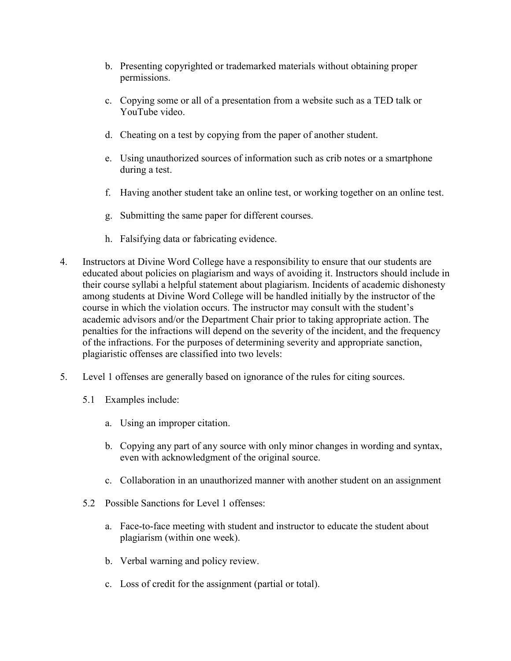- b. Presenting copyrighted or trademarked materials without obtaining proper permissions.
- c. Copying some or all of a presentation from a website such as a TED talk or YouTube video.
- d. Cheating on a test by copying from the paper of another student.
- e. Using unauthorized sources of information such as crib notes or a smartphone during a test.
- f. Having another student take an online test, or working together on an online test.
- g. Submitting the same paper for different courses.
- h. Falsifying data or fabricating evidence.
- 4. Instructors at Divine Word College have a responsibility to ensure that our students are educated about policies on plagiarism and ways of avoiding it. Instructors should include in their course syllabi a helpful statement about plagiarism. Incidents of academic dishonesty among students at Divine Word College will be handled initially by the instructor of the course in which the violation occurs. The instructor may consult with the student's academic advisors and/or the Department Chair prior to taking appropriate action. The penalties for the infractions will depend on the severity of the incident, and the frequency of the infractions. For the purposes of determining severity and appropriate sanction, plagiaristic offenses are classified into two levels:
- 5. Level 1 offenses are generally based on ignorance of the rules for citing sources.
	- 5.1 Examples include:
		- a. Using an improper citation.
		- b. Copying any part of any source with only minor changes in wording and syntax, even with acknowledgment of the original source.
		- c. Collaboration in an unauthorized manner with another student on an assignment
	- 5.2 Possible Sanctions for Level 1 offenses:
		- a. Face-to-face meeting with student and instructor to educate the student about plagiarism (within one week).
		- b. Verbal warning and policy review.
		- c. Loss of credit for the assignment (partial or total).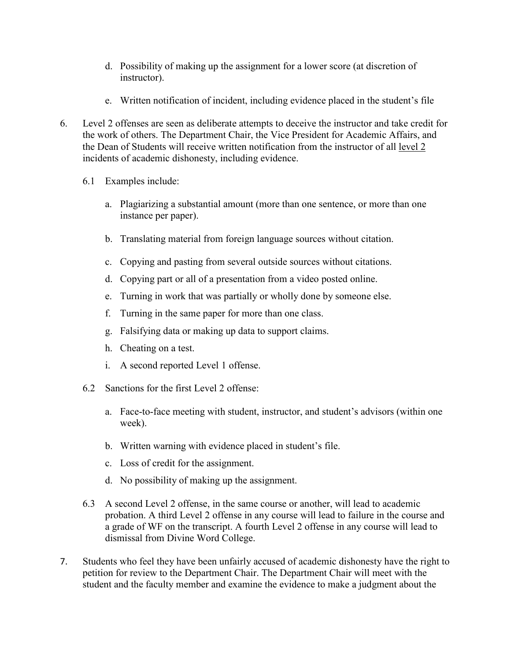- d. Possibility of making up the assignment for a lower score (at discretion of instructor).
- e. Written notification of incident, including evidence placed in the student's file
- 6. Level 2 offenses are seen as deliberate attempts to deceive the instructor and take credit for the work of others. The Department Chair, the Vice President for Academic Affairs, and the Dean of Students will receive written notification from the instructor of all level 2 incidents of academic dishonesty, including evidence.
	- 6.1 Examples include:
		- a. Plagiarizing a substantial amount (more than one sentence, or more than one instance per paper).
		- b. Translating material from foreign language sources without citation.
		- c. Copying and pasting from several outside sources without citations.
		- d. Copying part or all of a presentation from a video posted online.
		- e. Turning in work that was partially or wholly done by someone else.
		- f. Turning in the same paper for more than one class.
		- g. Falsifying data or making up data to support claims.
		- h. Cheating on a test.
		- i. A second reported Level 1 offense.
	- 6.2 Sanctions for the first Level 2 offense:
		- a. Face-to-face meeting with student, instructor, and student's advisors (within one week).
		- b. Written warning with evidence placed in student's file.
		- c. Loss of credit for the assignment.
		- d. No possibility of making up the assignment.
	- 6.3 A second Level 2 offense, in the same course or another, will lead to academic probation. A third Level 2 offense in any course will lead to failure in the course and a grade of WF on the transcript. A fourth Level 2 offense in any course will lead to dismissal from Divine Word College.
- 7. Students who feel they have been unfairly accused of academic dishonesty have the right to petition for review to the Department Chair. The Department Chair will meet with the student and the faculty member and examine the evidence to make a judgment about the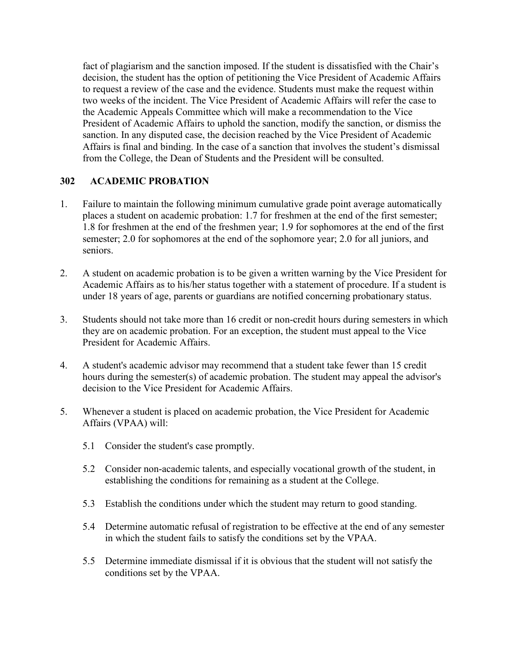fact of plagiarism and the sanction imposed. If the student is dissatisfied with the Chair's decision, the student has the option of petitioning the Vice President of Academic Affairs to request a review of the case and the evidence. Students must make the request within two weeks of the incident. The Vice President of Academic Affairs will refer the case to the Academic Appeals Committee which will make a recommendation to the Vice President of Academic Affairs to uphold the sanction, modify the sanction, or dismiss the sanction. In any disputed case, the decision reached by the Vice President of Academic Affairs is final and binding. In the case of a sanction that involves the student's dismissal from the College, the Dean of Students and the President will be consulted.

### **302 ACADEMIC PROBATION**

- 1. Failure to maintain the following minimum cumulative grade point average automatically places a student on academic probation: 1.7 for freshmen at the end of the first semester; 1.8 for freshmen at the end of the freshmen year; 1.9 for sophomores at the end of the first semester; 2.0 for sophomores at the end of the sophomore year; 2.0 for all juniors, and seniors.
- 2. A student on academic probation is to be given a written warning by the Vice President for Academic Affairs as to his/her status together with a statement of procedure. If a student is under 18 years of age, parents or guardians are notified concerning probationary status.
- 3. Students should not take more than 16 credit or non-credit hours during semesters in which they are on academic probation. For an exception, the student must appeal to the Vice President for Academic Affairs.
- 4. A student's academic advisor may recommend that a student take fewer than 15 credit hours during the semester(s) of academic probation. The student may appeal the advisor's decision to the Vice President for Academic Affairs.
- 5. Whenever a student is placed on academic probation, the Vice President for Academic Affairs (VPAA) will:
	- 5.1 Consider the student's case promptly.
	- 5.2 Consider non-academic talents, and especially vocational growth of the student, in establishing the conditions for remaining as a student at the College.
	- 5.3 Establish the conditions under which the student may return to good standing.
	- 5.4 Determine automatic refusal of registration to be effective at the end of any semester in which the student fails to satisfy the conditions set by the VPAA.
	- 5.5 Determine immediate dismissal if it is obvious that the student will not satisfy the conditions set by the VPAA.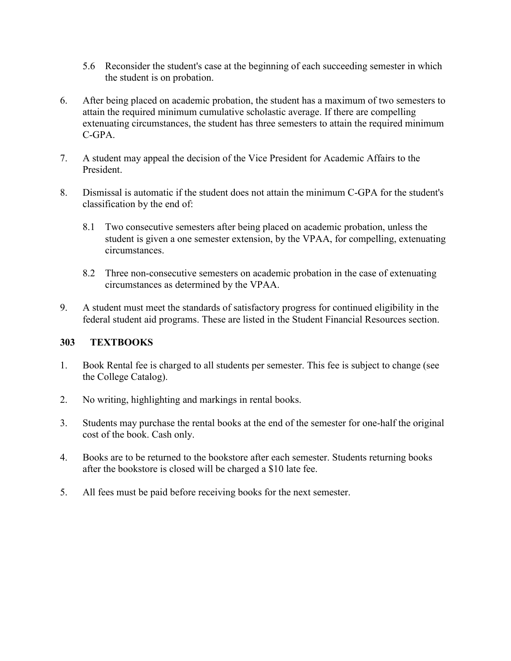- 5.6 Reconsider the student's case at the beginning of each succeeding semester in which the student is on probation.
- 6. After being placed on academic probation, the student has a maximum of two semesters to attain the required minimum cumulative scholastic average. If there are compelling extenuating circumstances, the student has three semesters to attain the required minimum C-GPA.
- 7. A student may appeal the decision of the Vice President for Academic Affairs to the President.
- 8. Dismissal is automatic if the student does not attain the minimum C-GPA for the student's classification by the end of:
	- 8.1 Two consecutive semesters after being placed on academic probation, unless the student is given a one semester extension, by the VPAA, for compelling, extenuating circumstances.
	- 8.2 Three non-consecutive semesters on academic probation in the case of extenuating circumstances as determined by the VPAA.
- 9. A student must meet the standards of satisfactory progress for continued eligibility in the federal student aid programs. These are listed in the Student Financial Resources section.

# **303 TEXTBOOKS**

- 1. Book Rental fee is charged to all students per semester. This fee is subject to change (see the College Catalog).
- 2. No writing, highlighting and markings in rental books.
- 3. Students may purchase the rental books at the end of the semester for one-half the original cost of the book. Cash only.
- 4. Books are to be returned to the bookstore after each semester. Students returning books after the bookstore is closed will be charged a \$10 late fee.
- 5. All fees must be paid before receiving books for the next semester.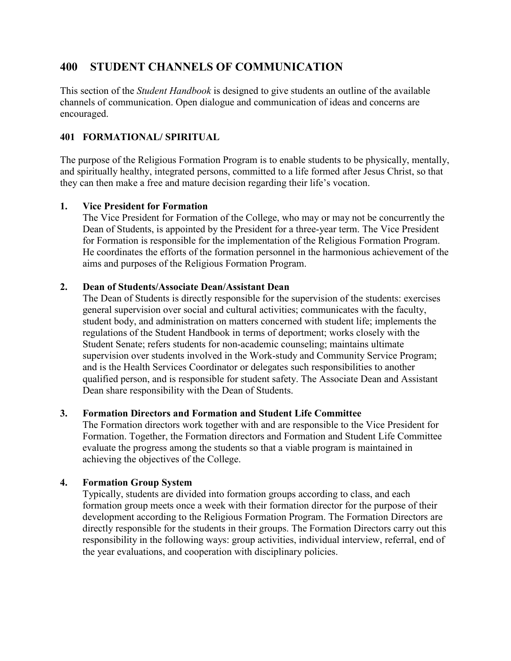# **400 STUDENT CHANNELS OF COMMUNICATION**

This section of the *Student Handbook* is designed to give students an outline of the available channels of communication. Open dialogue and communication of ideas and concerns are encouraged.

# **401 FORMATIONAL/ SPIRITUAL**

The purpose of the Religious Formation Program is to enable students to be physically, mentally, and spiritually healthy, integrated persons, committed to a life formed after Jesus Christ, so that they can then make a free and mature decision regarding their life's vocation.

# **1. Vice President for Formation**

The Vice President for Formation of the College, who may or may not be concurrently the Dean of Students, is appointed by the President for a three-year term. The Vice President for Formation is responsible for the implementation of the Religious Formation Program. He coordinates the efforts of the formation personnel in the harmonious achievement of the aims and purposes of the Religious Formation Program.

# **2. Dean of Students/Associate Dean/Assistant Dean**

The Dean of Students is directly responsible for the supervision of the students: exercises general supervision over social and cultural activities; communicates with the faculty, student body, and administration on matters concerned with student life; implements the regulations of the Student Handbook in terms of deportment; works closely with the Student Senate; refers students for non-academic counseling; maintains ultimate supervision over students involved in the Work-study and Community Service Program; and is the Health Services Coordinator or delegates such responsibilities to another qualified person, and is responsible for student safety. The Associate Dean and Assistant Dean share responsibility with the Dean of Students.

# **3. Formation Directors and Formation and Student Life Committee**

The Formation directors work together with and are responsible to the Vice President for Formation. Together, the Formation directors and Formation and Student Life Committee evaluate the progress among the students so that a viable program is maintained in achieving the objectives of the College.

# **4. Formation Group System**

Typically, students are divided into formation groups according to class, and each formation group meets once a week with their formation director for the purpose of their development according to the Religious Formation Program. The Formation Directors are directly responsible for the students in their groups. The Formation Directors carry out this responsibility in the following ways: group activities, individual interview, referral, end of the year evaluations, and cooperation with disciplinary policies.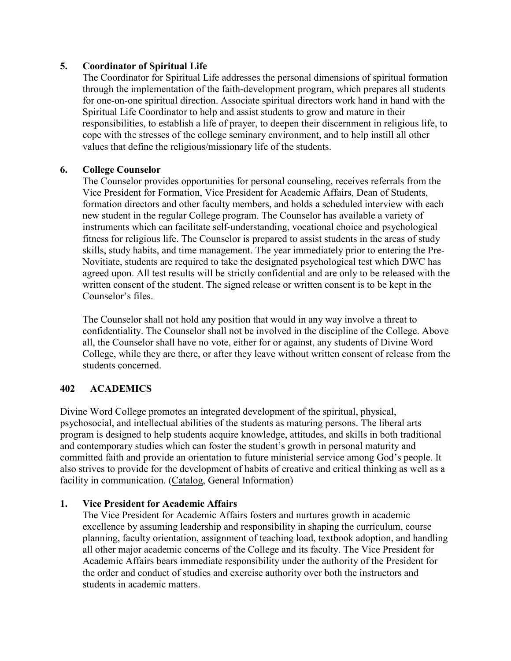# **5. Coordinator of Spiritual Life**

The Coordinator for Spiritual Life addresses the personal dimensions of spiritual formation through the implementation of the faith-development program, which prepares all students for one-on-one spiritual direction. Associate spiritual directors work hand in hand with the Spiritual Life Coordinator to help and assist students to grow and mature in their responsibilities, to establish a life of prayer, to deepen their discernment in religious life, to cope with the stresses of the college seminary environment, and to help instill all other values that define the religious/missionary life of the students.

### **6. College Counselor**

The Counselor provides opportunities for personal counseling, receives referrals from the Vice President for Formation, Vice President for Academic Affairs, Dean of Students, formation directors and other faculty members, and holds a scheduled interview with each new student in the regular College program. The Counselor has available a variety of instruments which can facilitate self-understanding, vocational choice and psychological fitness for religious life. The Counselor is prepared to assist students in the areas of study skills, study habits, and time management. The year immediately prior to entering the Pre-Novitiate, students are required to take the designated psychological test which DWC has agreed upon. All test results will be strictly confidential and are only to be released with the written consent of the student. The signed release or written consent is to be kept in the Counselor's files.

The Counselor shall not hold any position that would in any way involve a threat to confidentiality. The Counselor shall not be involved in the discipline of the College. Above all, the Counselor shall have no vote, either for or against, any students of Divine Word College, while they are there, or after they leave without written consent of release from the students concerned.

# **402 ACADEMICS**

Divine Word College promotes an integrated development of the spiritual, physical, psychosocial, and intellectual abilities of the students as maturing persons. The liberal arts program is designed to help students acquire knowledge, attitudes, and skills in both traditional and contemporary studies which can foster the student's growth in personal maturity and committed faith and provide an orientation to future ministerial service among God's people. It also strives to provide for the development of habits of creative and critical thinking as well as a facility in communication. (Catalog, General Information)

# **1. Vice President for Academic Affairs**

The Vice President for Academic Affairs fosters and nurtures growth in academic excellence by assuming leadership and responsibility in shaping the curriculum, course planning, faculty orientation, assignment of teaching load, textbook adoption, and handling all other major academic concerns of the College and its faculty. The Vice President for Academic Affairs bears immediate responsibility under the authority of the President for the order and conduct of studies and exercise authority over both the instructors and students in academic matters.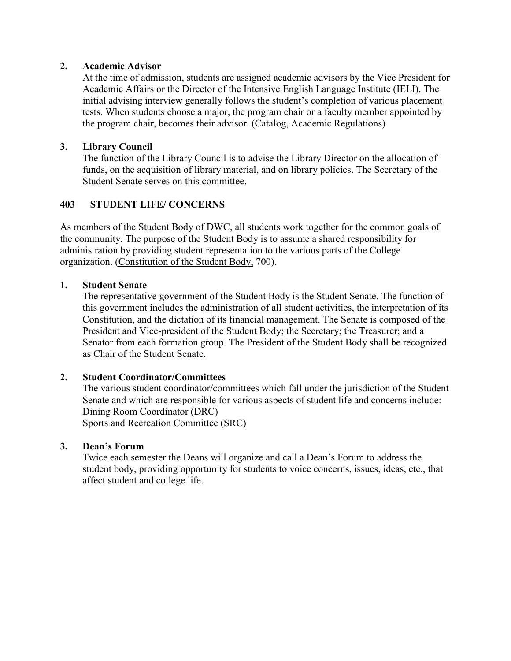### **2. Academic Advisor**

At the time of admission, students are assigned academic advisors by the Vice President for Academic Affairs or the Director of the Intensive English Language Institute (IELI). The initial advising interview generally follows the student's completion of various placement tests. When students choose a major, the program chair or a faculty member appointed by the program chair, becomes their advisor. (Catalog, Academic Regulations)

### **3. Library Council**

The function of the Library Council is to advise the Library Director on the allocation of funds, on the acquisition of library material, and on library policies. The Secretary of the Student Senate serves on this committee.

# **403 STUDENT LIFE/ CONCERNS**

As members of the Student Body of DWC, all students work together for the common goals of the community. The purpose of the Student Body is to assume a shared responsibility for administration by providing student representation to the various parts of the College organization. (Constitution of the Student Body, 700).

### **1. Student Senate**

The representative government of the Student Body is the Student Senate. The function of this government includes the administration of all student activities, the interpretation of its Constitution, and the dictation of its financial management. The Senate is composed of the President and Vice-president of the Student Body; the Secretary; the Treasurer; and a Senator from each formation group. The President of the Student Body shall be recognized as Chair of the Student Senate.

### **2. Student Coordinator/Committees**

The various student coordinator/committees which fall under the jurisdiction of the Student Senate and which are responsible for various aspects of student life and concerns include: Dining Room Coordinator (DRC) Sports and Recreation Committee (SRC)

### **3. Dean's Forum**

Twice each semester the Deans will organize and call a Dean's Forum to address the student body, providing opportunity for students to voice concerns, issues, ideas, etc., that affect student and college life.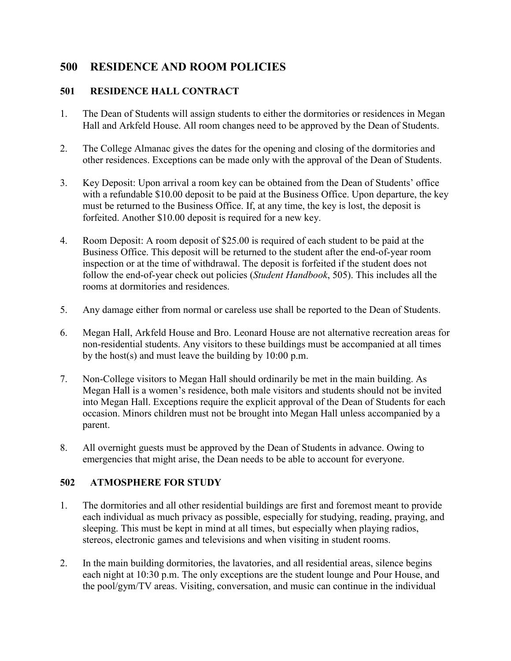# **500 RESIDENCE AND ROOM POLICIES**

# **501 RESIDENCE HALL CONTRACT**

- 1. The Dean of Students will assign students to either the dormitories or residences in Megan Hall and Arkfeld House. All room changes need to be approved by the Dean of Students.
- 2. The College Almanac gives the dates for the opening and closing of the dormitories and other residences. Exceptions can be made only with the approval of the Dean of Students.
- 3. Key Deposit: Upon arrival a room key can be obtained from the Dean of Students' office with a refundable \$10.00 deposit to be paid at the Business Office. Upon departure, the key must be returned to the Business Office. If, at any time, the key is lost, the deposit is forfeited. Another \$10.00 deposit is required for a new key.
- 4. Room Deposit: A room deposit of \$25.00 is required of each student to be paid at the Business Office. This deposit will be returned to the student after the end-of-year room inspection or at the time of withdrawal. The deposit is forfeited if the student does not follow the end-of-year check out policies (*Student Handbook*, 505). This includes all the rooms at dormitories and residences.
- 5. Any damage either from normal or careless use shall be reported to the Dean of Students.
- 6. Megan Hall, Arkfeld House and Bro. Leonard House are not alternative recreation areas for non-residential students. Any visitors to these buildings must be accompanied at all times by the host(s) and must leave the building by 10:00 p.m.
- 7. Non-College visitors to Megan Hall should ordinarily be met in the main building. As Megan Hall is a women's residence, both male visitors and students should not be invited into Megan Hall. Exceptions require the explicit approval of the Dean of Students for each occasion. Minors children must not be brought into Megan Hall unless accompanied by a parent.
- 8. All overnight guests must be approved by the Dean of Students in advance. Owing to emergencies that might arise, the Dean needs to be able to account for everyone.

# **502 ATMOSPHERE FOR STUDY**

- 1. The dormitories and all other residential buildings are first and foremost meant to provide each individual as much privacy as possible, especially for studying, reading, praying, and sleeping. This must be kept in mind at all times, but especially when playing radios, stereos, electronic games and televisions and when visiting in student rooms.
- 2. In the main building dormitories, the lavatories, and all residential areas, silence begins each night at 10:30 p.m. The only exceptions are the student lounge and Pour House, and the pool/gym/TV areas. Visiting, conversation, and music can continue in the individual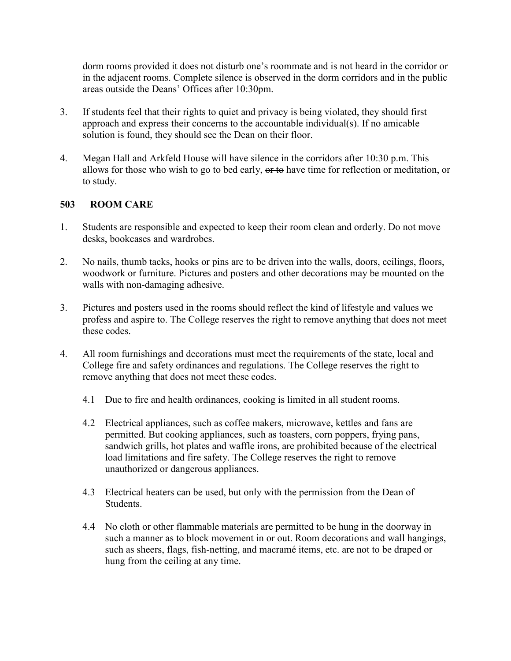dorm rooms provided it does not disturb one's roommate and is not heard in the corridor or in the adjacent rooms. Complete silence is observed in the dorm corridors and in the public areas outside the Deans' Offices after 10:30pm.

- 3. If students feel that their rights to quiet and privacy is being violated, they should first approach and express their concerns to the accountable individual(s). If no amicable solution is found, they should see the Dean on their floor.
- 4. Megan Hall and Arkfeld House will have silence in the corridors after 10:30 p.m. This allows for those who wish to go to bed early, or to have time for reflection or meditation, or to study.

# **503 ROOM CARE**

- 1. Students are responsible and expected to keep their room clean and orderly. Do not move desks, bookcases and wardrobes.
- 2. No nails, thumb tacks, hooks or pins are to be driven into the walls, doors, ceilings, floors, woodwork or furniture. Pictures and posters and other decorations may be mounted on the walls with non-damaging adhesive.
- 3. Pictures and posters used in the rooms should reflect the kind of lifestyle and values we profess and aspire to. The College reserves the right to remove anything that does not meet these codes.
- 4. All room furnishings and decorations must meet the requirements of the state, local and College fire and safety ordinances and regulations. The College reserves the right to remove anything that does not meet these codes.
	- 4.1 Due to fire and health ordinances, cooking is limited in all student rooms.
	- 4.2 Electrical appliances, such as coffee makers, microwave, kettles and fans are permitted. But cooking appliances, such as toasters, corn poppers, frying pans, sandwich grills, hot plates and waffle irons, are prohibited because of the electrical load limitations and fire safety. The College reserves the right to remove unauthorized or dangerous appliances.
	- 4.3 Electrical heaters can be used, but only with the permission from the Dean of Students.
	- 4.4 No cloth or other flammable materials are permitted to be hung in the doorway in such a manner as to block movement in or out. Room decorations and wall hangings, such as sheers, flags, fish-netting, and macramé items, etc. are not to be draped or hung from the ceiling at any time.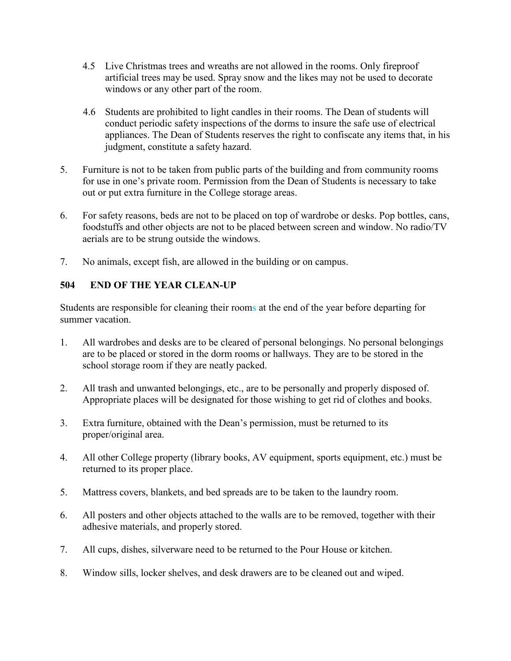- 4.5 Live Christmas trees and wreaths are not allowed in the rooms. Only fireproof artificial trees may be used. Spray snow and the likes may not be used to decorate windows or any other part of the room.
- 4.6 Students are prohibited to light candles in their rooms. The Dean of students will conduct periodic safety inspections of the dorms to insure the safe use of electrical appliances. The Dean of Students reserves the right to confiscate any items that, in his judgment, constitute a safety hazard.
- 5. Furniture is not to be taken from public parts of the building and from community rooms for use in one's private room. Permission from the Dean of Students is necessary to take out or put extra furniture in the College storage areas.
- 6. For safety reasons, beds are not to be placed on top of wardrobe or desks. Pop bottles, cans, foodstuffs and other objects are not to be placed between screen and window. No radio/TV aerials are to be strung outside the windows.
- 7. No animals, except fish, are allowed in the building or on campus.

# **504 END OF THE YEAR CLEAN-UP**

Students are responsible for cleaning their rooms at the end of the year before departing for summer vacation.

- 1. All wardrobes and desks are to be cleared of personal belongings. No personal belongings are to be placed or stored in the dorm rooms or hallways. They are to be stored in the school storage room if they are neatly packed.
- 2. All trash and unwanted belongings, etc., are to be personally and properly disposed of. Appropriate places will be designated for those wishing to get rid of clothes and books.
- 3. Extra furniture, obtained with the Dean's permission, must be returned to its proper/original area.
- 4. All other College property (library books, AV equipment, sports equipment, etc.) must be returned to its proper place.
- 5. Mattress covers, blankets, and bed spreads are to be taken to the laundry room.
- 6. All posters and other objects attached to the walls are to be removed, together with their adhesive materials, and properly stored.
- 7. All cups, dishes, silverware need to be returned to the Pour House or kitchen.
- 8. Window sills, locker shelves, and desk drawers are to be cleaned out and wiped.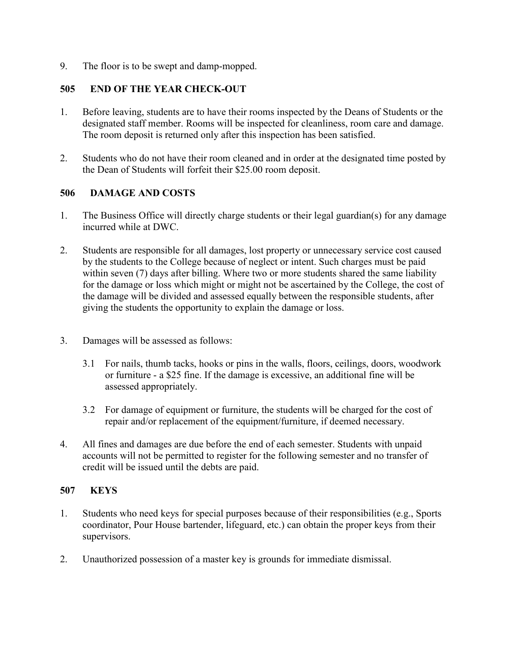9. The floor is to be swept and damp-mopped.

# **505 END OF THE YEAR CHECK-OUT**

- 1. Before leaving, students are to have their rooms inspected by the Deans of Students or the designated staff member. Rooms will be inspected for cleanliness, room care and damage. The room deposit is returned only after this inspection has been satisfied.
- 2. Students who do not have their room cleaned and in order at the designated time posted by the Dean of Students will forfeit their \$25.00 room deposit.

### **506 DAMAGE AND COSTS**

- 1. The Business Office will directly charge students or their legal guardian(s) for any damage incurred while at DWC.
- 2. Students are responsible for all damages, lost property or unnecessary service cost caused by the students to the College because of neglect or intent. Such charges must be paid within seven (7) days after billing. Where two or more students shared the same liability for the damage or loss which might or might not be ascertained by the College, the cost of the damage will be divided and assessed equally between the responsible students, after giving the students the opportunity to explain the damage or loss.
- 3. Damages will be assessed as follows:
	- 3.1 For nails, thumb tacks, hooks or pins in the walls, floors, ceilings, doors, woodwork or furniture - a \$25 fine. If the damage is excessive, an additional fine will be assessed appropriately.
	- 3.2 For damage of equipment or furniture, the students will be charged for the cost of repair and/or replacement of the equipment/furniture, if deemed necessary.
- 4. All fines and damages are due before the end of each semester. Students with unpaid accounts will not be permitted to register for the following semester and no transfer of credit will be issued until the debts are paid.

### **507 KEYS**

- 1. Students who need keys for special purposes because of their responsibilities (e.g., Sports coordinator, Pour House bartender, lifeguard, etc.) can obtain the proper keys from their supervisors.
- 2. Unauthorized possession of a master key is grounds for immediate dismissal.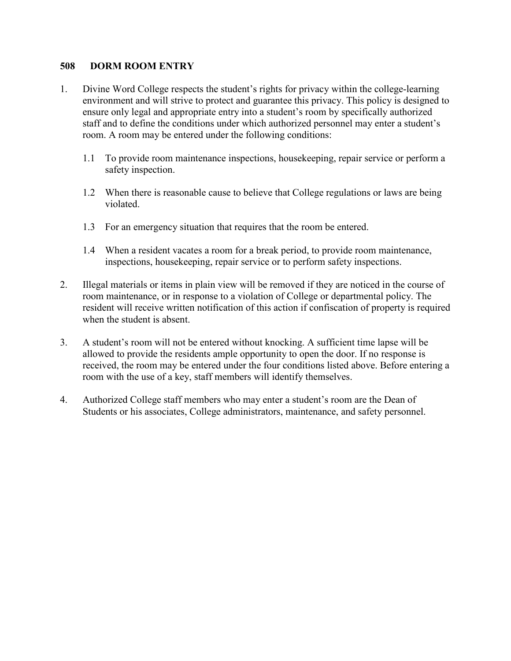### **508 DORM ROOM ENTRY**

- 1. Divine Word College respects the student's rights for privacy within the college-learning environment and will strive to protect and guarantee this privacy. This policy is designed to ensure only legal and appropriate entry into a student's room by specifically authorized staff and to define the conditions under which authorized personnel may enter a student's room. A room may be entered under the following conditions:
	- 1.1 To provide room maintenance inspections, housekeeping, repair service or perform a safety inspection.
	- 1.2 When there is reasonable cause to believe that College regulations or laws are being violated.
	- 1.3 For an emergency situation that requires that the room be entered.
	- 1.4 When a resident vacates a room for a break period, to provide room maintenance, inspections, housekeeping, repair service or to perform safety inspections.
- 2. Illegal materials or items in plain view will be removed if they are noticed in the course of room maintenance, or in response to a violation of College or departmental policy. The resident will receive written notification of this action if confiscation of property is required when the student is absent.
- 3. A student's room will not be entered without knocking. A sufficient time lapse will be allowed to provide the residents ample opportunity to open the door. If no response is received, the room may be entered under the four conditions listed above. Before entering a room with the use of a key, staff members will identify themselves.
- 4. Authorized College staff members who may enter a student's room are the Dean of Students or his associates, College administrators, maintenance, and safety personnel.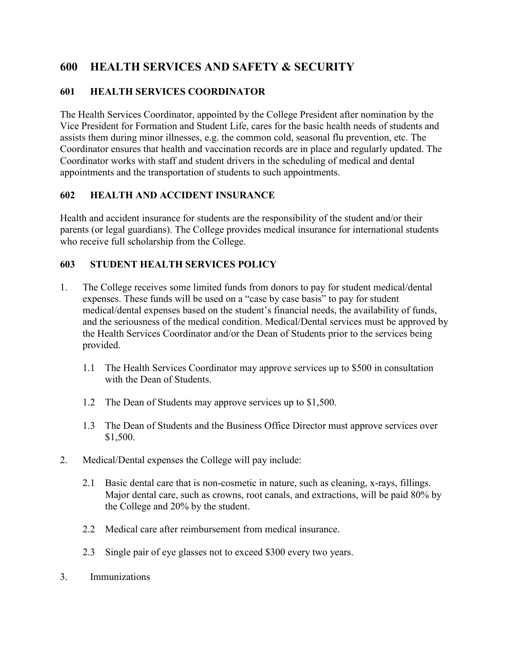# **600 HEALTH SERVICES AND SAFETY & SECURITY**

# **601 HEALTH SERVICES COORDINATOR**

The Health Services Coordinator, appointed by the College President after nomination by the Vice President for Formation and Student Life, cares for the basic health needs of students and assists them during minor illnesses, e.g. the common cold, seasonal flu prevention, etc. The Coordinator ensures that health and vaccination records are in place and regularly updated. The Coordinator works with staff and student drivers in the scheduling of medical and dental appointments and the transportation of students to such appointments.

# **602 HEALTH AND ACCIDENT INSURANCE**

Health and accident insurance for students are the responsibility of the student and/or their parents (or legal guardians). The College provides medical insurance for international students who receive full scholarship from the College.

# **603 STUDENT HEALTH SERVICES POLICY**

- 1. The College receives some limited funds from donors to pay for student medical/dental expenses. These funds will be used on a "case by case basis" to pay for student medical/dental expenses based on the student's financial needs, the availability of funds, and the seriousness of the medical condition. Medical/Dental services must be approved by the Health Services Coordinator and/or the Dean of Students prior to the services being provided.
	- 1.1 The Health Services Coordinator may approve services up to \$500 in consultation with the Dean of Students.
	- 1.2 The Dean of Students may approve services up to \$1,500.
	- 1.3 The Dean of Students and the Business Office Director must approve services over \$1,500.
- 2. Medical/Dental expenses the College will pay include:
	- 2.1 Basic dental care that is non-cosmetic in nature, such as cleaning, x-rays, fillings. Major dental care, such as crowns, root canals, and extractions, will be paid 80% by the College and 20% by the student.
	- 2.2 Medical care after reimbursement from medical insurance.
	- 2.3 Single pair of eye glasses not to exceed \$300 every two years.
- 3. Immunizations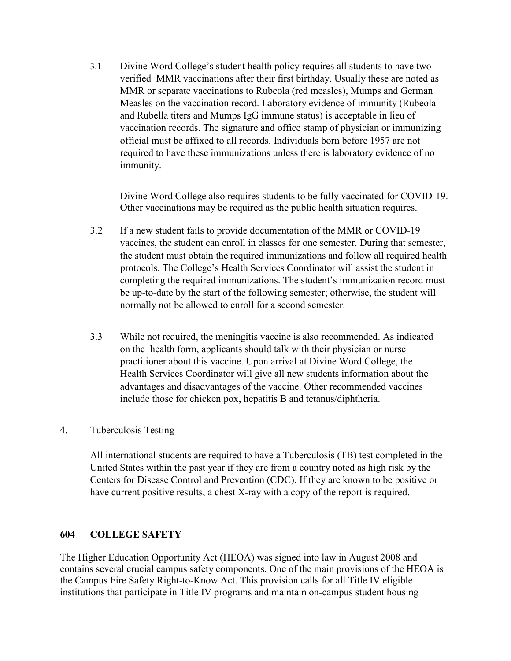3.1 Divine Word College's student health policy requires all students to have two verified MMR vaccinations after their first birthday. Usually these are noted as MMR or separate vaccinations to Rubeola (red measles), Mumps and German Measles on the vaccination record. Laboratory evidence of immunity (Rubeola and Rubella titers and Mumps IgG immune status) is acceptable in lieu of vaccination records. The signature and office stamp of physician or immunizing official must be affixed to all records. Individuals born before 1957 are not required to have these immunizations unless there is laboratory evidence of no immunity.

Divine Word College also requires students to be fully vaccinated for COVID-19. Other vaccinations may be required as the public health situation requires.

- 3.2 If a new student fails to provide documentation of the MMR or COVID-19 vaccines, the student can enroll in classes for one semester. During that semester, the student must obtain the required immunizations and follow all required health protocols. The College's Health Services Coordinator will assist the student in completing the required immunizations. The student's immunization record must be up-to-date by the start of the following semester; otherwise, the student will normally not be allowed to enroll for a second semester.
- 3.3 While not required, the meningitis vaccine is also recommended. As indicated on the health form, applicants should talk with their physician or nurse practitioner about this vaccine. Upon arrival at Divine Word College, the Health Services Coordinator will give all new students information about the advantages and disadvantages of the vaccine. Other recommended vaccines include those for chicken pox, hepatitis B and tetanus/diphtheria.

### 4. Tuberculosis Testing

All international students are required to have a Tuberculosis (TB) test completed in the United States within the past year if they are from a country noted as high risk by the Centers for Disease Control and Prevention (CDC). If they are known to be positive or have current positive results, a chest X-ray with a copy of the report is required.

### **604 COLLEGE SAFETY**

The Higher Education Opportunity Act (HEOA) was signed into law in August 2008 and contains several crucial campus safety components. One of the main provisions of the HEOA is the Campus Fire Safety Right-to-Know Act. This provision calls for all Title IV eligible institutions that participate in Title IV programs and maintain on-campus student housing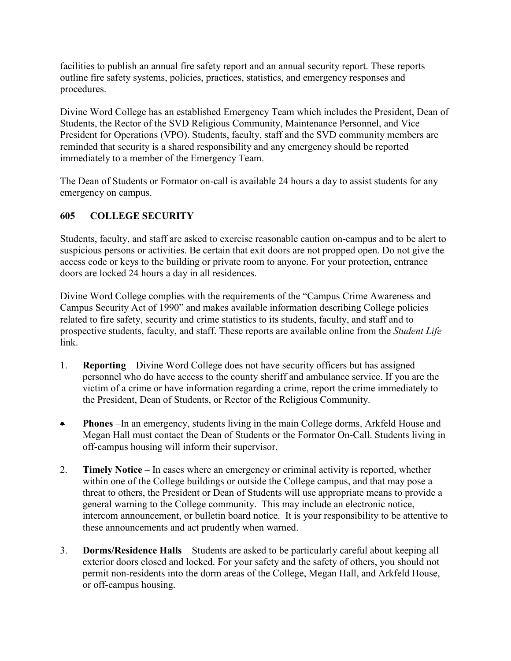facilities to publish an annual fire safety report and an annual security report. These reports outline fire safety systems, policies, practices, statistics, and emergency responses and procedures.

Divine Word College has an established Emergency Team which includes the President, Dean of Students, the Rector of the SVD Religious Community, Maintenance Personnel, and Vice President for Operations (VPO). Students, faculty, staff and the SVD community members are reminded that security is a shared responsibility and any emergency should be reported immediately to a member of the Emergency Team.

The Dean of Students or Formator on-call is available 24 hours a day to assist students for any emergency on campus.

# **605 COLLEGE SECURITY**

Students, faculty, and staff are asked to exercise reasonable caution on-campus and to be alert to suspicious persons or activities. Be certain that exit doors are not propped open. Do not give the access code or keys to the building or private room to anyone. For your protection, entrance doors are locked 24 hours a day in all residences.

Divine Word College complies with the requirements of the "Campus Crime Awareness and Campus Security Act of 1990" and makes available information describing College policies related to fire safety, security and crime statistics to its students, faculty, and staff and to prospective students, faculty, and staff. These reports are available online from the *Student Life* link.

- 1. **Reporting** Divine Word College does not have security officers but has assigned personnel who do have access to the county sheriff and ambulance service. If you are the victim of a crime or have information regarding a crime, report the crime immediately to the President, Dean of Students, or Rector of the Religious Community.
- **Phones** –In an emergency, students living in the main College dorms, Arkfeld House and Megan Hall must contact the Dean of Students or the Formator On-Call. Students living in off-campus housing will inform their supervisor.
- 2. **Timely Notice** In cases where an emergency or criminal activity is reported, whether within one of the College buildings or outside the College campus, and that may pose a threat to others, the President or Dean of Students will use appropriate means to provide a general warning to the College community. This may include an electronic notice, intercom announcement, or bulletin board notice. It is your responsibility to be attentive to these announcements and act prudently when warned.
- 3. **Dorms/Residence Halls** Students are asked to be particularly careful about keeping all exterior doors closed and locked. For your safety and the safety of others, you should not permit non-residents into the dorm areas of the College, Megan Hall, and Arkfeld House, or off-campus housing.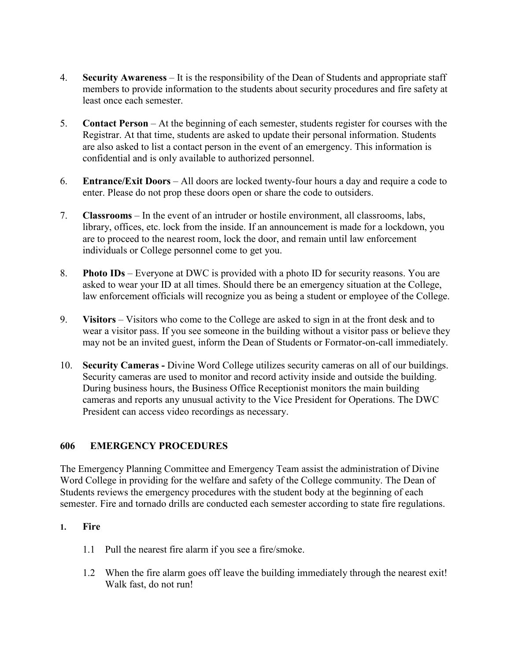- 4. **Security Awareness** It is the responsibility of the Dean of Students and appropriate staff members to provide information to the students about security procedures and fire safety at least once each semester.
- 5. **Contact Person** At the beginning of each semester, students register for courses with the Registrar. At that time, students are asked to update their personal information. Students are also asked to list a contact person in the event of an emergency. This information is confidential and is only available to authorized personnel.
- 6. **Entrance/Exit Doors** All doors are locked twenty-four hours a day and require a code to enter. Please do not prop these doors open or share the code to outsiders.
- 7. **Classrooms** In the event of an intruder or hostile environment, all classrooms, labs, library, offices, etc. lock from the inside. If an announcement is made for a lockdown, you are to proceed to the nearest room, lock the door, and remain until law enforcement individuals or College personnel come to get you.
- 8. **Photo IDs** Everyone at DWC is provided with a photo ID for security reasons. You are asked to wear your ID at all times. Should there be an emergency situation at the College, law enforcement officials will recognize you as being a student or employee of the College.
- 9. **Visitors** Visitors who come to the College are asked to sign in at the front desk and to wear a visitor pass. If you see someone in the building without a visitor pass or believe they may not be an invited guest, inform the Dean of Students or Formator-on-call immediately.
- 10. **Security Cameras -** Divine Word College utilizes security cameras on all of our buildings. Security cameras are used to monitor and record activity inside and outside the building. During business hours, the Business Office Receptionist monitors the main building cameras and reports any unusual activity to the Vice President for Operations. The DWC President can access video recordings as necessary.

## **606 EMERGENCY PROCEDURES**

The Emergency Planning Committee and Emergency Team assist the administration of Divine Word College in providing for the welfare and safety of the College community. The Dean of Students reviews the emergency procedures with the student body at the beginning of each semester. Fire and tornado drills are conducted each semester according to state fire regulations.

#### **1. Fire**

- 1.1 Pull the nearest fire alarm if you see a fire/smoke.
- 1.2 When the fire alarm goes off leave the building immediately through the nearest exit! Walk fast, do not run!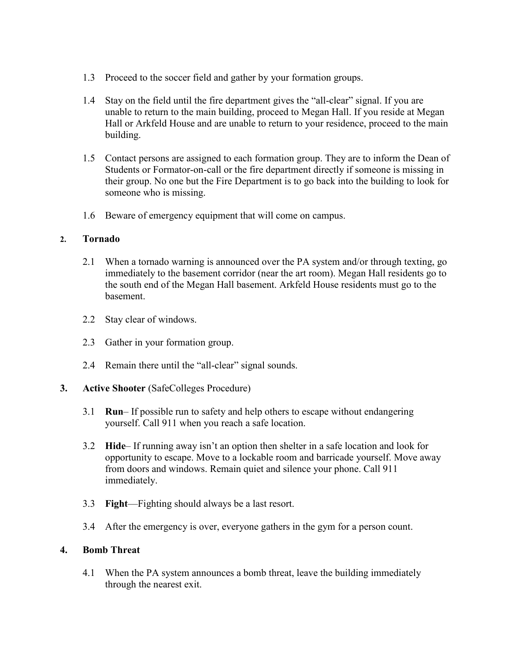- 1.3 Proceed to the soccer field and gather by your formation groups.
- 1.4 Stay on the field until the fire department gives the "all-clear" signal. If you are unable to return to the main building, proceed to Megan Hall. If you reside at Megan Hall or Arkfeld House and are unable to return to your residence, proceed to the main building.
- 1.5 Contact persons are assigned to each formation group. They are to inform the Dean of Students or Formator-on-call or the fire department directly if someone is missing in their group. No one but the Fire Department is to go back into the building to look for someone who is missing.
- 1.6 Beware of emergency equipment that will come on campus.

#### **2. Tornado**

- 2.1 When a tornado warning is announced over the PA system and/or through texting, go immediately to the basement corridor (near the art room). Megan Hall residents go to the south end of the Megan Hall basement. Arkfeld House residents must go to the basement.
- 2.2 Stay clear of windows.
- 2.3 Gather in your formation group.
- 2.4 Remain there until the "all-clear" signal sounds.
- **3. Active Shooter** (SafeColleges Procedure)
	- 3.1 **Run** If possible run to safety and help others to escape without endangering yourself. Call 911 when you reach a safe location.
	- 3.2 **Hide** If running away isn't an option then shelter in a safe location and look for opportunity to escape. Move to a lockable room and barricade yourself. Move away from doors and windows. Remain quiet and silence your phone. Call 911 immediately.
	- 3.3 **Fight**—Fighting should always be a last resort.
	- 3.4 After the emergency is over, everyone gathers in the gym for a person count.

## **4. Bomb Threat**

4.1 When the PA system announces a bomb threat, leave the building immediately through the nearest exit.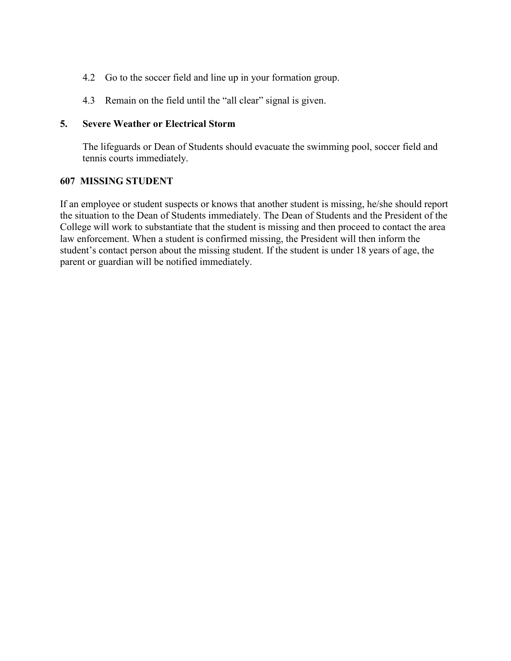- 4.2 Go to the soccer field and line up in your formation group.
- 4.3 Remain on the field until the "all clear" signal is given.

#### **5. Severe Weather or Electrical Storm**

The lifeguards or Dean of Students should evacuate the swimming pool, soccer field and tennis courts immediately.

## **607 MISSING STUDENT**

If an employee or student suspects or knows that another student is missing, he/she should report the situation to the Dean of Students immediately. The Dean of Students and the President of the College will work to substantiate that the student is missing and then proceed to contact the area law enforcement. When a student is confirmed missing, the President will then inform the student's contact person about the missing student. If the student is under 18 years of age, the parent or guardian will be notified immediately.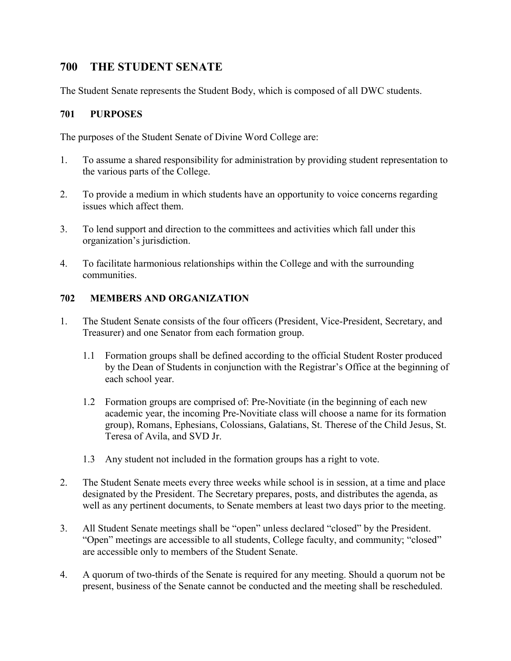# **700 THE STUDENT SENATE**

The Student Senate represents the Student Body, which is composed of all DWC students.

#### **701 PURPOSES**

The purposes of the Student Senate of Divine Word College are:

- 1. To assume a shared responsibility for administration by providing student representation to the various parts of the College.
- 2. To provide a medium in which students have an opportunity to voice concerns regarding issues which affect them.
- 3. To lend support and direction to the committees and activities which fall under this organization's jurisdiction.
- 4. To facilitate harmonious relationships within the College and with the surrounding communities.

#### **702 MEMBERS AND ORGANIZATION**

- 1. The Student Senate consists of the four officers (President, Vice-President, Secretary, and Treasurer) and one Senator from each formation group.
	- 1.1 Formation groups shall be defined according to the official Student Roster produced by the Dean of Students in conjunction with the Registrar's Office at the beginning of each school year.
	- 1.2 Formation groups are comprised of: Pre-Novitiate (in the beginning of each new academic year, the incoming Pre-Novitiate class will choose a name for its formation group), Romans, Ephesians, Colossians, Galatians, St. Therese of the Child Jesus, St. Teresa of Avila, and SVD Jr.
	- 1.3 Any student not included in the formation groups has a right to vote.
- 2. The Student Senate meets every three weeks while school is in session, at a time and place designated by the President. The Secretary prepares, posts, and distributes the agenda, as well as any pertinent documents, to Senate members at least two days prior to the meeting.
- 3. All Student Senate meetings shall be "open" unless declared "closed" by the President. "Open" meetings are accessible to all students, College faculty, and community; "closed" are accessible only to members of the Student Senate.
- 4. A quorum of two-thirds of the Senate is required for any meeting. Should a quorum not be present, business of the Senate cannot be conducted and the meeting shall be rescheduled.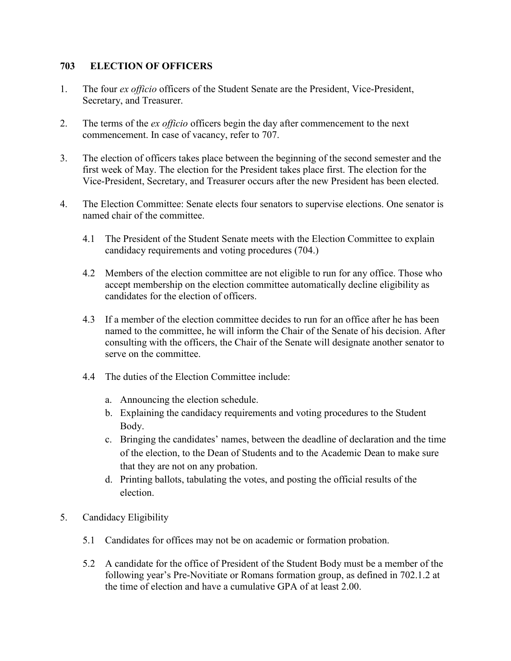#### **703 ELECTION OF OFFICERS**

- 1. The four *ex officio* officers of the Student Senate are the President, Vice-President, Secretary, and Treasurer.
- 2. The terms of the *ex officio* officers begin the day after commencement to the next commencement. In case of vacancy, refer to 707.
- 3. The election of officers takes place between the beginning of the second semester and the first week of May. The election for the President takes place first. The election for the Vice-President, Secretary, and Treasurer occurs after the new President has been elected.
- 4. The Election Committee: Senate elects four senators to supervise elections. One senator is named chair of the committee.
	- 4.1 The President of the Student Senate meets with the Election Committee to explain candidacy requirements and voting procedures (704.)
	- 4.2 Members of the election committee are not eligible to run for any office. Those who accept membership on the election committee automatically decline eligibility as candidates for the election of officers.
	- 4.3 If a member of the election committee decides to run for an office after he has been named to the committee, he will inform the Chair of the Senate of his decision. After consulting with the officers, the Chair of the Senate will designate another senator to serve on the committee.
	- 4.4 The duties of the Election Committee include:
		- a. Announcing the election schedule.
		- b. Explaining the candidacy requirements and voting procedures to the Student Body.
		- c. Bringing the candidates' names, between the deadline of declaration and the time of the election, to the Dean of Students and to the Academic Dean to make sure that they are not on any probation.
		- d. Printing ballots, tabulating the votes, and posting the official results of the election.
- 5. Candidacy Eligibility
	- 5.1 Candidates for offices may not be on academic or formation probation.
	- 5.2 A candidate for the office of President of the Student Body must be a member of the following year's Pre-Novitiate or Romans formation group, as defined in 702.1.2 at the time of election and have a cumulative GPA of at least 2.00.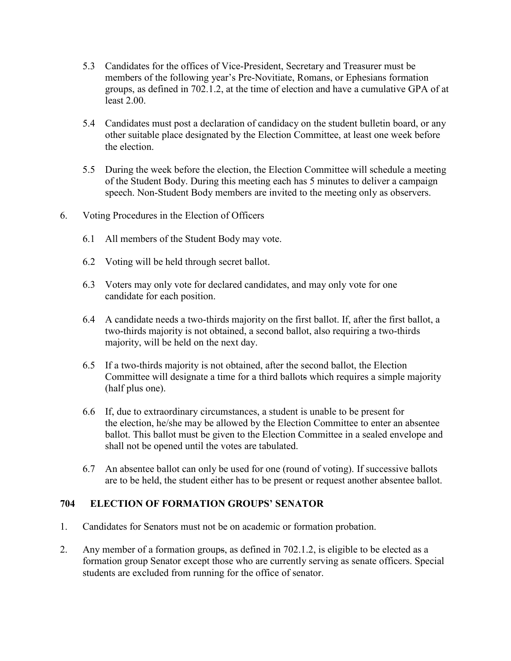- 5.3 Candidates for the offices of Vice-President, Secretary and Treasurer must be members of the following year's Pre-Novitiate, Romans, or Ephesians formation groups, as defined in 702.1.2, at the time of election and have a cumulative GPA of at least 2.00.
- 5.4 Candidates must post a declaration of candidacy on the student bulletin board, or any other suitable place designated by the Election Committee, at least one week before the election.
- 5.5 During the week before the election, the Election Committee will schedule a meeting of the Student Body. During this meeting each has 5 minutes to deliver a campaign speech. Non-Student Body members are invited to the meeting only as observers.
- 6. Voting Procedures in the Election of Officers
	- 6.1 All members of the Student Body may vote.
	- 6.2 Voting will be held through secret ballot.
	- 6.3 Voters may only vote for declared candidates, and may only vote for one candidate for each position.
	- 6.4 A candidate needs a two-thirds majority on the first ballot. If, after the first ballot, a two-thirds majority is not obtained, a second ballot, also requiring a two-thirds majority, will be held on the next day.
	- 6.5 If a two-thirds majority is not obtained, after the second ballot, the Election Committee will designate a time for a third ballots which requires a simple majority (half plus one).
	- 6.6 If, due to extraordinary circumstances, a student is unable to be present for the election, he/she may be allowed by the Election Committee to enter an absentee ballot. This ballot must be given to the Election Committee in a sealed envelope and shall not be opened until the votes are tabulated.
	- 6.7 An absentee ballot can only be used for one (round of voting). If successive ballots are to be held, the student either has to be present or request another absentee ballot.

#### **704 ELECTION OF FORMATION GROUPS' SENATOR**

- 1. Candidates for Senators must not be on academic or formation probation.
- 2. Any member of a formation groups, as defined in 702.1.2, is eligible to be elected as a formation group Senator except those who are currently serving as senate officers. Special students are excluded from running for the office of senator.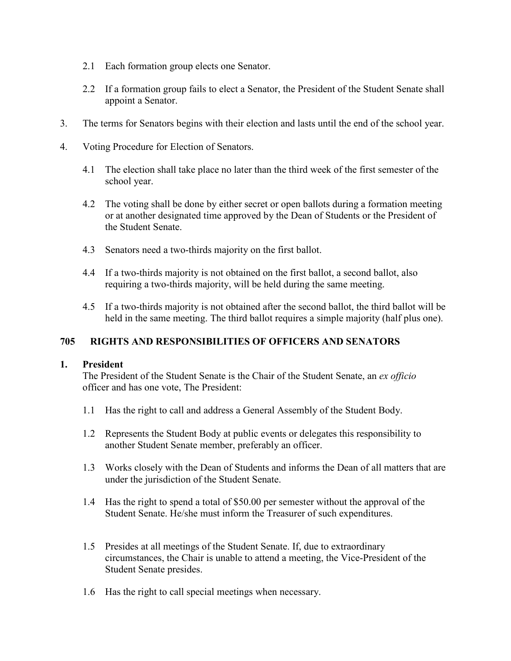- 2.1 Each formation group elects one Senator.
- 2.2 If a formation group fails to elect a Senator, the President of the Student Senate shall appoint a Senator.
- 3. The terms for Senators begins with their election and lasts until the end of the school year.
- 4. Voting Procedure for Election of Senators.
	- 4.1 The election shall take place no later than the third week of the first semester of the school year.
	- 4.2 The voting shall be done by either secret or open ballots during a formation meeting or at another designated time approved by the Dean of Students or the President of the Student Senate.
	- 4.3 Senators need a two-thirds majority on the first ballot.
	- 4.4 If a two-thirds majority is not obtained on the first ballot, a second ballot, also requiring a two-thirds majority, will be held during the same meeting.
	- 4.5 If a two-thirds majority is not obtained after the second ballot, the third ballot will be held in the same meeting. The third ballot requires a simple majority (half plus one).

## **705 RIGHTS AND RESPONSIBILITIES OF OFFICERS AND SENATORS**

#### **1. President**

The President of the Student Senate is the Chair of the Student Senate, an *ex officio* officer and has one vote, The President:

- 1.1 Has the right to call and address a General Assembly of the Student Body.
- 1.2 Represents the Student Body at public events or delegates this responsibility to another Student Senate member, preferably an officer.
- 1.3 Works closely with the Dean of Students and informs the Dean of all matters that are under the jurisdiction of the Student Senate.
- 1.4 Has the right to spend a total of \$50.00 per semester without the approval of the Student Senate. He/she must inform the Treasurer of such expenditures.
- 1.5 Presides at all meetings of the Student Senate. If, due to extraordinary circumstances, the Chair is unable to attend a meeting, the Vice-President of the Student Senate presides.
- 1.6 Has the right to call special meetings when necessary.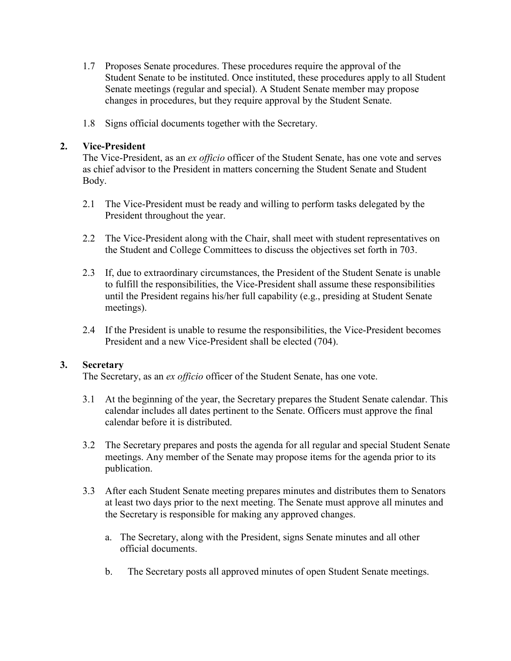- 1.7 Proposes Senate procedures. These procedures require the approval of the Student Senate to be instituted. Once instituted, these procedures apply to all Student Senate meetings (regular and special). A Student Senate member may propose changes in procedures, but they require approval by the Student Senate.
- 1.8 Signs official documents together with the Secretary.

#### **2. Vice-President**

The Vice-President, as an *ex officio* officer of the Student Senate, has one vote and serves as chief advisor to the President in matters concerning the Student Senate and Student Body.

- 2.1 The Vice-President must be ready and willing to perform tasks delegated by the President throughout the year.
- 2.2 The Vice-President along with the Chair, shall meet with student representatives on the Student and College Committees to discuss the objectives set forth in 703.
- 2.3 If, due to extraordinary circumstances, the President of the Student Senate is unable to fulfill the responsibilities, the Vice-President shall assume these responsibilities until the President regains his/her full capability (e.g., presiding at Student Senate meetings).
- 2.4 If the President is unable to resume the responsibilities, the Vice-President becomes President and a new Vice-President shall be elected (704).

#### **3. Secretary**

The Secretary, as an *ex officio* officer of the Student Senate, has one vote.

- 3.1 At the beginning of the year, the Secretary prepares the Student Senate calendar. This calendar includes all dates pertinent to the Senate. Officers must approve the final calendar before it is distributed.
- 3.2 The Secretary prepares and posts the agenda for all regular and special Student Senate meetings. Any member of the Senate may propose items for the agenda prior to its publication.
- 3.3 After each Student Senate meeting prepares minutes and distributes them to Senators at least two days prior to the next meeting. The Senate must approve all minutes and the Secretary is responsible for making any approved changes.
	- a. The Secretary, along with the President, signs Senate minutes and all other official documents.
	- b. The Secretary posts all approved minutes of open Student Senate meetings.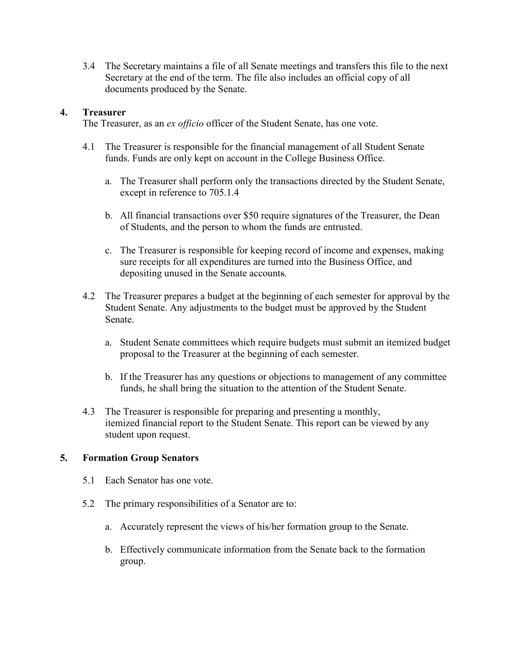3.4 The Secretary maintains a file of all Senate meetings and transfers this file to the next Secretary at the end of the term. The file also includes an official copy of all documents produced by the Senate.

## **4. Treasurer**

The Treasurer, as an *ex officio* officer of the Student Senate, has one vote.

- 4.1 The Treasurer is responsible for the financial management of all Student Senate funds. Funds are only kept on account in the College Business Office.
	- a. The Treasurer shall perform only the transactions directed by the Student Senate, except in reference to 705.1.4
	- b. All financial transactions over \$50 require signatures of the Treasurer, the Dean of Students, and the person to whom the funds are entrusted.
	- c. The Treasurer is responsible for keeping record of income and expenses, making sure receipts for all expenditures are turned into the Business Office, and depositing unused in the Senate accounts.
- 4.2 The Treasurer prepares a budget at the beginning of each semester for approval by the Student Senate. Any adjustments to the budget must be approved by the Student Senate.
	- a. Student Senate committees which require budgets must submit an itemized budget proposal to the Treasurer at the beginning of each semester.
	- b. If the Treasurer has any questions or objections to management of any committee funds, he shall bring the situation to the attention of the Student Senate.
- 4.3 The Treasurer is responsible for preparing and presenting a monthly, itemized financial report to the Student Senate. This report can be viewed by any student upon request.

#### **5. Formation Group Senators**

- 5.1 Each Senator has one vote.
- 5.2 The primary responsibilities of a Senator are to:
	- a. Accurately represent the views of his/her formation group to the Senate.
	- b. Effectively communicate information from the Senate back to the formation group.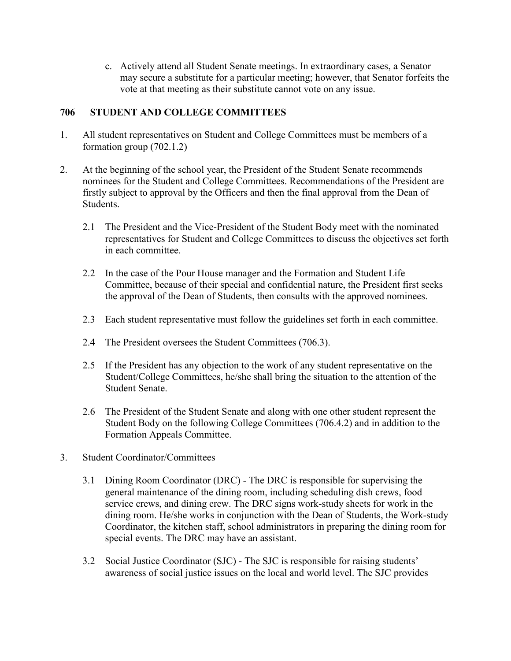c. Actively attend all Student Senate meetings. In extraordinary cases, a Senator may secure a substitute for a particular meeting; however, that Senator forfeits the vote at that meeting as their substitute cannot vote on any issue.

## **706 STUDENT AND COLLEGE COMMITTEES**

- 1. All student representatives on Student and College Committees must be members of a formation group (702.1.2)
- 2. At the beginning of the school year, the President of the Student Senate recommends nominees for the Student and College Committees. Recommendations of the President are firstly subject to approval by the Officers and then the final approval from the Dean of Students.
	- 2.1 The President and the Vice-President of the Student Body meet with the nominated representatives for Student and College Committees to discuss the objectives set forth in each committee.
	- 2.2 In the case of the Pour House manager and the Formation and Student Life Committee, because of their special and confidential nature, the President first seeks the approval of the Dean of Students, then consults with the approved nominees.
	- 2.3 Each student representative must follow the guidelines set forth in each committee.
	- 2.4 The President oversees the Student Committees (706.3).
	- 2.5 If the President has any objection to the work of any student representative on the Student/College Committees, he/she shall bring the situation to the attention of the Student Senate.
	- 2.6 The President of the Student Senate and along with one other student represent the Student Body on the following College Committees (706.4.2) and in addition to the Formation Appeals Committee.
- 3. Student Coordinator/Committees
	- 3.1 Dining Room Coordinator (DRC) The DRC is responsible for supervising the general maintenance of the dining room, including scheduling dish crews, food service crews, and dining crew. The DRC signs work-study sheets for work in the dining room. He/she works in conjunction with the Dean of Students, the Work-study Coordinator, the kitchen staff, school administrators in preparing the dining room for special events. The DRC may have an assistant.
	- 3.2 Social Justice Coordinator (SJC) The SJC is responsible for raising students' awareness of social justice issues on the local and world level. The SJC provides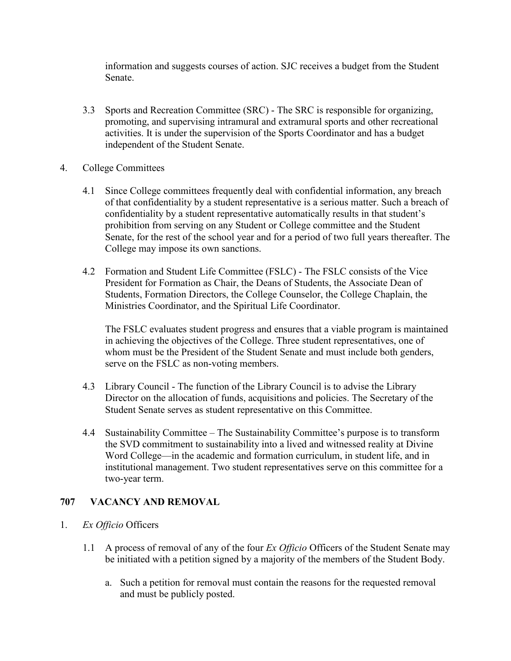information and suggests courses of action. SJC receives a budget from the Student Senate.

- 3.3 Sports and Recreation Committee (SRC) The SRC is responsible for organizing, promoting, and supervising intramural and extramural sports and other recreational activities. It is under the supervision of the Sports Coordinator and has a budget independent of the Student Senate.
- 4. College Committees
	- 4.1 Since College committees frequently deal with confidential information, any breach of that confidentiality by a student representative is a serious matter. Such a breach of confidentiality by a student representative automatically results in that student's prohibition from serving on any Student or College committee and the Student Senate, for the rest of the school year and for a period of two full years thereafter. The College may impose its own sanctions.
	- 4.2 Formation and Student Life Committee (FSLC) The FSLC consists of the Vice President for Formation as Chair, the Deans of Students, the Associate Dean of Students, Formation Directors, the College Counselor, the College Chaplain, the Ministries Coordinator, and the Spiritual Life Coordinator.

The FSLC evaluates student progress and ensures that a viable program is maintained in achieving the objectives of the College. Three student representatives, one of whom must be the President of the Student Senate and must include both genders, serve on the FSLC as non-voting members.

- 4.3 Library Council The function of the Library Council is to advise the Library Director on the allocation of funds, acquisitions and policies. The Secretary of the Student Senate serves as student representative on this Committee.
- 4.4 Sustainability Committee The Sustainability Committee's purpose is to transform the SVD commitment to sustainability into a lived and witnessed reality at Divine Word College—in the academic and formation curriculum, in student life, and in institutional management. Two student representatives serve on this committee for a two-year term.

## **707 VACANCY AND REMOVAL**

- 1. *Ex Officio* Officers
	- 1.1 A process of removal of any of the four *Ex Officio* Officers of the Student Senate may be initiated with a petition signed by a majority of the members of the Student Body.
		- a. Such a petition for removal must contain the reasons for the requested removal and must be publicly posted.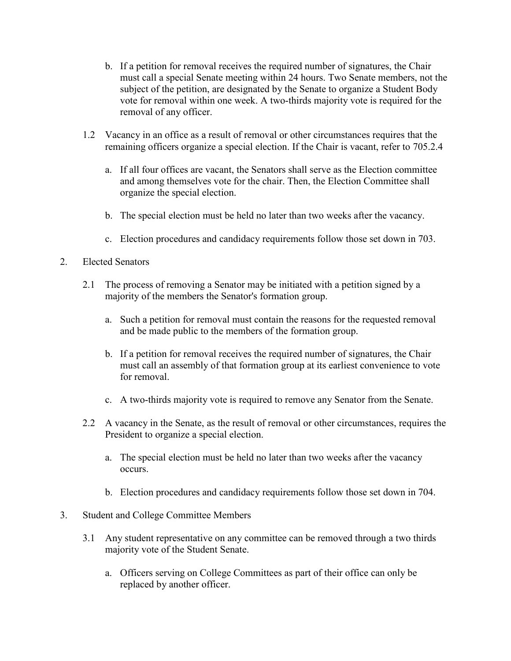- b. If a petition for removal receives the required number of signatures, the Chair must call a special Senate meeting within 24 hours. Two Senate members, not the subject of the petition, are designated by the Senate to organize a Student Body vote for removal within one week. A two-thirds majority vote is required for the removal of any officer.
- 1.2 Vacancy in an office as a result of removal or other circumstances requires that the remaining officers organize a special election. If the Chair is vacant, refer to 705.2.4
	- a. If all four offices are vacant, the Senators shall serve as the Election committee and among themselves vote for the chair. Then, the Election Committee shall organize the special election.
	- b. The special election must be held no later than two weeks after the vacancy.
	- c. Election procedures and candidacy requirements follow those set down in 703.
- 2. Elected Senators
	- 2.1 The process of removing a Senator may be initiated with a petition signed by a majority of the members the Senator's formation group.
		- a. Such a petition for removal must contain the reasons for the requested removal and be made public to the members of the formation group.
		- b. If a petition for removal receives the required number of signatures, the Chair must call an assembly of that formation group at its earliest convenience to vote for removal.
		- c. A two-thirds majority vote is required to remove any Senator from the Senate.
	- 2.2 A vacancy in the Senate, as the result of removal or other circumstances, requires the President to organize a special election.
		- a. The special election must be held no later than two weeks after the vacancy occurs.
		- b. Election procedures and candidacy requirements follow those set down in 704.
- 3. Student and College Committee Members
	- 3.1 Any student representative on any committee can be removed through a two thirds majority vote of the Student Senate.
		- a. Officers serving on College Committees as part of their office can only be replaced by another officer.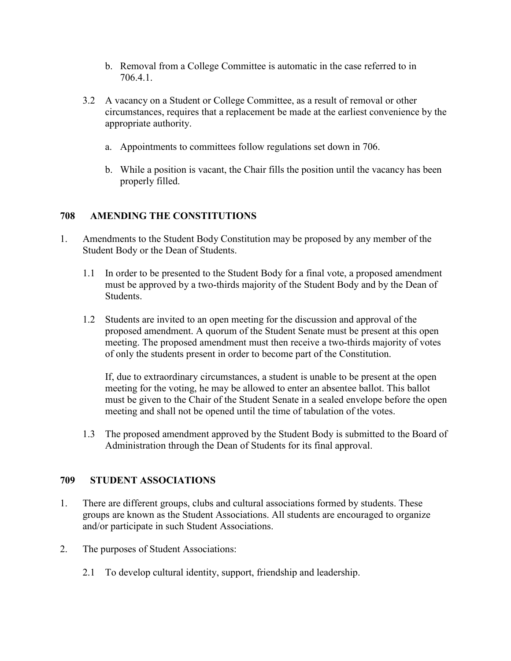- b. Removal from a College Committee is automatic in the case referred to in 706.4.1.
- 3.2 A vacancy on a Student or College Committee, as a result of removal or other circumstances, requires that a replacement be made at the earliest convenience by the appropriate authority.
	- a. Appointments to committees follow regulations set down in 706.
	- b. While a position is vacant, the Chair fills the position until the vacancy has been properly filled.

## **708 AMENDING THE CONSTITUTIONS**

- 1. Amendments to the Student Body Constitution may be proposed by any member of the Student Body or the Dean of Students.
	- 1.1 In order to be presented to the Student Body for a final vote, a proposed amendment must be approved by a two-thirds majority of the Student Body and by the Dean of Students.
	- 1.2 Students are invited to an open meeting for the discussion and approval of the proposed amendment. A quorum of the Student Senate must be present at this open meeting. The proposed amendment must then receive a two-thirds majority of votes of only the students present in order to become part of the Constitution.

If, due to extraordinary circumstances, a student is unable to be present at the open meeting for the voting, he may be allowed to enter an absentee ballot. This ballot must be given to the Chair of the Student Senate in a sealed envelope before the open meeting and shall not be opened until the time of tabulation of the votes.

1.3 The proposed amendment approved by the Student Body is submitted to the Board of Administration through the Dean of Students for its final approval.

## **709 STUDENT ASSOCIATIONS**

- 1. There are different groups, clubs and cultural associations formed by students. These groups are known as the Student Associations. All students are encouraged to organize and/or participate in such Student Associations.
- 2. The purposes of Student Associations:
	- 2.1 To develop cultural identity, support, friendship and leadership.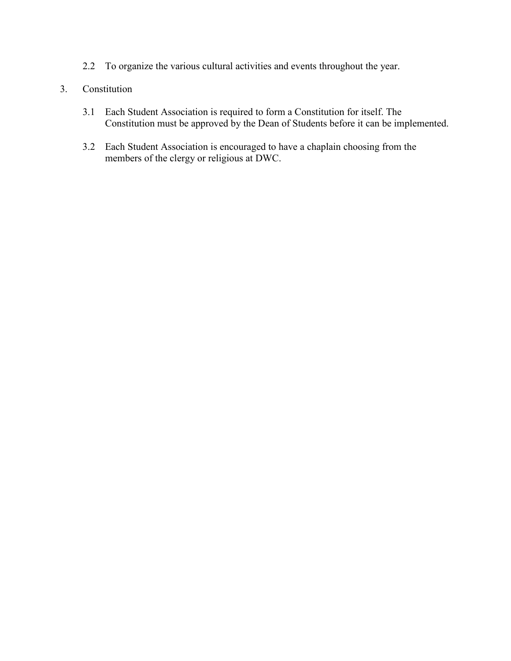2.2 To organize the various cultural activities and events throughout the year.

## 3. Constitution

- 3.1 Each Student Association is required to form a Constitution for itself. The Constitution must be approved by the Dean of Students before it can be implemented.
- 3.2 Each Student Association is encouraged to have a chaplain choosing from the members of the clergy or religious at DWC.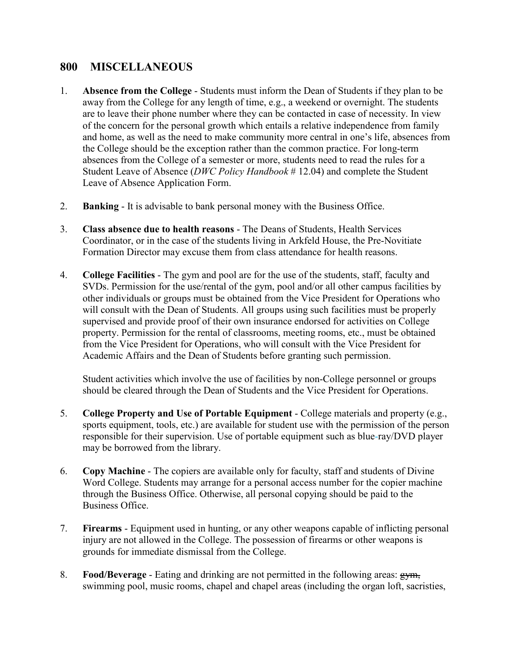# **800 MISCELLANEOUS**

- 1. **Absence from the College** Students must inform the Dean of Students if they plan to be away from the College for any length of time, e.g., a weekend or overnight. The students are to leave their phone number where they can be contacted in case of necessity. In view of the concern for the personal growth which entails a relative independence from family and home, as well as the need to make community more central in one's life, absences from the College should be the exception rather than the common practice. For long-term absences from the College of a semester or more, students need to read the rules for a Student Leave of Absence (*DWC Policy Handbook* # 12.04) and complete the Student Leave of Absence Application Form.
- 2. **Banking** It is advisable to bank personal money with the Business Office.
- 3. **Class absence due to health reasons** The Deans of Students, Health Services Coordinator, or in the case of the students living in Arkfeld House, the Pre-Novitiate Formation Director may excuse them from class attendance for health reasons.
- 4. **College Facilities** The gym and pool are for the use of the students, staff, faculty and SVDs. Permission for the use/rental of the gym, pool and/or all other campus facilities by other individuals or groups must be obtained from the Vice President for Operations who will consult with the Dean of Students. All groups using such facilities must be properly supervised and provide proof of their own insurance endorsed for activities on College property. Permission for the rental of classrooms, meeting rooms, etc., must be obtained from the Vice President for Operations, who will consult with the Vice President for Academic Affairs and the Dean of Students before granting such permission.

Student activities which involve the use of facilities by non-College personnel or groups should be cleared through the Dean of Students and the Vice President for Operations.

- 5. **College Property and Use of Portable Equipment** College materials and property (e.g., sports equipment, tools, etc.) are available for student use with the permission of the person responsible for their supervision. Use of portable equipment such as blue-ray/DVD player may be borrowed from the library.
- 6. **Copy Machine** The copiers are available only for faculty, staff and students of Divine Word College. Students may arrange for a personal access number for the copier machine through the Business Office. Otherwise, all personal copying should be paid to the Business Office.
- 7. **Firearms** Equipment used in hunting, or any other weapons capable of inflicting personal injury are not allowed in the College. The possession of firearms or other weapons is grounds for immediate dismissal from the College.
- 8. **Food/Beverage** Eating and drinking are not permitted in the following areas: gym, swimming pool, music rooms, chapel and chapel areas (including the organ loft, sacristies,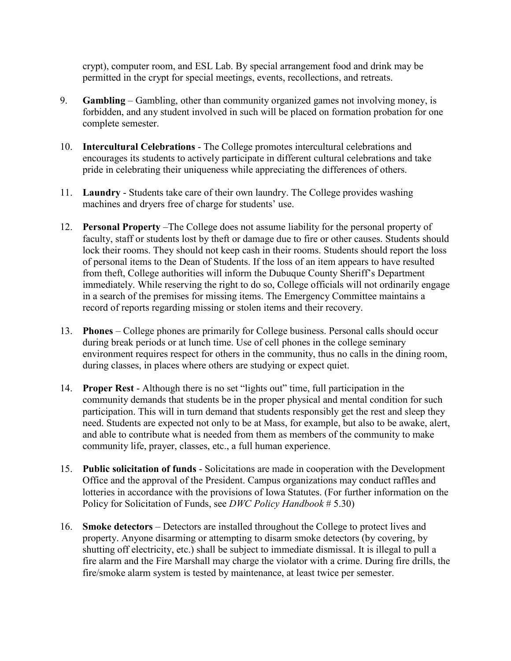crypt), computer room, and ESL Lab. By special arrangement food and drink may be permitted in the crypt for special meetings, events, recollections, and retreats.

- 9. **Gambling** Gambling, other than community organized games not involving money, is forbidden, and any student involved in such will be placed on formation probation for one complete semester.
- 10. **Intercultural Celebrations** The College promotes intercultural celebrations and encourages its students to actively participate in different cultural celebrations and take pride in celebrating their uniqueness while appreciating the differences of others.
- 11. **Laundry** Students take care of their own laundry. The College provides washing machines and dryers free of charge for students' use.
- 12. **Personal Property** –The College does not assume liability for the personal property of faculty, staff or students lost by theft or damage due to fire or other causes. Students should lock their rooms. They should not keep cash in their rooms. Students should report the loss of personal items to the Dean of Students. If the loss of an item appears to have resulted from theft, College authorities will inform the Dubuque County Sheriff's Department immediately. While reserving the right to do so, College officials will not ordinarily engage in a search of the premises for missing items. The Emergency Committee maintains a record of reports regarding missing or stolen items and their recovery.
- 13. **Phones** College phones are primarily for College business. Personal calls should occur during break periods or at lunch time. Use of cell phones in the college seminary environment requires respect for others in the community, thus no calls in the dining room, during classes, in places where others are studying or expect quiet.
- 14. **Proper Rest** Although there is no set "lights out" time, full participation in the community demands that students be in the proper physical and mental condition for such participation. This will in turn demand that students responsibly get the rest and sleep they need. Students are expected not only to be at Mass, for example, but also to be awake, alert, and able to contribute what is needed from them as members of the community to make community life, prayer, classes, etc., a full human experience.
- 15. **Public solicitation of funds** Solicitations are made in cooperation with the Development Office and the approval of the President. Campus organizations may conduct raffles and lotteries in accordance with the provisions of Iowa Statutes. (For further information on the Policy for Solicitation of Funds, see *DWC Policy Handbook* # 5.30)
- 16. **Smoke detectors** Detectors are installed throughout the College to protect lives and property. Anyone disarming or attempting to disarm smoke detectors (by covering, by shutting off electricity, etc.) shall be subject to immediate dismissal. It is illegal to pull a fire alarm and the Fire Marshall may charge the violator with a crime. During fire drills, the fire/smoke alarm system is tested by maintenance, at least twice per semester.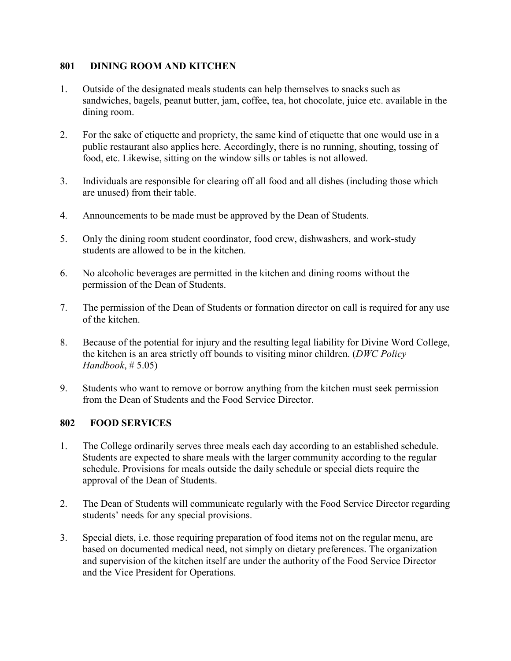#### **801 DINING ROOM AND KITCHEN**

- 1. Outside of the designated meals students can help themselves to snacks such as sandwiches, bagels, peanut butter, jam, coffee, tea, hot chocolate, juice etc. available in the dining room.
- 2. For the sake of etiquette and propriety, the same kind of etiquette that one would use in a public restaurant also applies here. Accordingly, there is no running, shouting, tossing of food, etc. Likewise, sitting on the window sills or tables is not allowed.
- 3. Individuals are responsible for clearing off all food and all dishes (including those which are unused) from their table.
- 4. Announcements to be made must be approved by the Dean of Students.
- 5. Only the dining room student coordinator, food crew, dishwashers, and work-study students are allowed to be in the kitchen.
- 6. No alcoholic beverages are permitted in the kitchen and dining rooms without the permission of the Dean of Students.
- 7. The permission of the Dean of Students or formation director on call is required for any use of the kitchen.
- 8. Because of the potential for injury and the resulting legal liability for Divine Word College, the kitchen is an area strictly off bounds to visiting minor children. (*DWC Policy Handbook*, # 5.05)
- 9. Students who want to remove or borrow anything from the kitchen must seek permission from the Dean of Students and the Food Service Director.

## **802 FOOD SERVICES**

- 1. The College ordinarily serves three meals each day according to an established schedule. Students are expected to share meals with the larger community according to the regular schedule. Provisions for meals outside the daily schedule or special diets require the approval of the Dean of Students.
- 2. The Dean of Students will communicate regularly with the Food Service Director regarding students' needs for any special provisions.
- 3. Special diets, i.e. those requiring preparation of food items not on the regular menu, are based on documented medical need, not simply on dietary preferences. The organization and supervision of the kitchen itself are under the authority of the Food Service Director and the Vice President for Operations.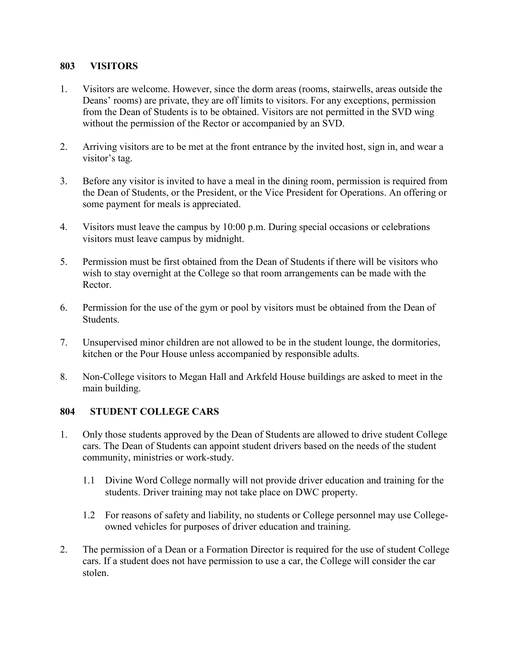#### **803 VISITORS**

- 1. Visitors are welcome. However, since the dorm areas (rooms, stairwells, areas outside the Deans' rooms) are private, they are off limits to visitors. For any exceptions, permission from the Dean of Students is to be obtained. Visitors are not permitted in the SVD wing without the permission of the Rector or accompanied by an SVD.
- 2. Arriving visitors are to be met at the front entrance by the invited host, sign in, and wear a visitor's tag.
- 3. Before any visitor is invited to have a meal in the dining room, permission is required from the Dean of Students, or the President, or the Vice President for Operations. An offering or some payment for meals is appreciated.
- 4. Visitors must leave the campus by 10:00 p.m. During special occasions or celebrations visitors must leave campus by midnight.
- 5. Permission must be first obtained from the Dean of Students if there will be visitors who wish to stay overnight at the College so that room arrangements can be made with the Rector.
- 6. Permission for the use of the gym or pool by visitors must be obtained from the Dean of Students.
- 7. Unsupervised minor children are not allowed to be in the student lounge, the dormitories, kitchen or the Pour House unless accompanied by responsible adults.
- 8. Non-College visitors to Megan Hall and Arkfeld House buildings are asked to meet in the main building.

## **804 STUDENT COLLEGE CARS**

- 1. Only those students approved by the Dean of Students are allowed to drive student College cars. The Dean of Students can appoint student drivers based on the needs of the student community, ministries or work-study.
	- 1.1 Divine Word College normally will not provide driver education and training for the students. Driver training may not take place on DWC property.
	- 1.2 For reasons of safety and liability, no students or College personnel may use Collegeowned vehicles for purposes of driver education and training.
- 2. The permission of a Dean or a Formation Director is required for the use of student College cars. If a student does not have permission to use a car, the College will consider the car stolen.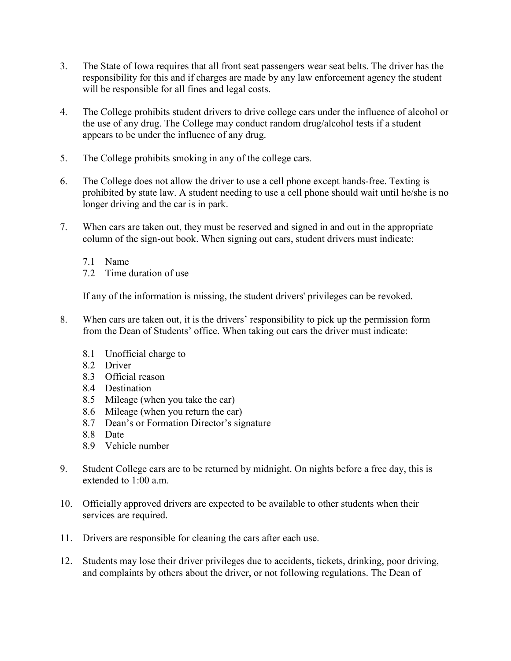- 3. The State of Iowa requires that all front seat passengers wear seat belts. The driver has the responsibility for this and if charges are made by any law enforcement agency the student will be responsible for all fines and legal costs.
- 4. The College prohibits student drivers to drive college cars under the influence of alcohol or the use of any drug. The College may conduct random drug/alcohol tests if a student appears to be under the influence of any drug.
- 5. The College prohibits smoking in any of the college cars*.*
- 6. The College does not allow the driver to use a cell phone except hands-free. Texting is prohibited by state law. A student needing to use a cell phone should wait until he/she is no longer driving and the car is in park.
- 7. When cars are taken out, they must be reserved and signed in and out in the appropriate column of the sign-out book. When signing out cars, student drivers must indicate:
	- 7.1 Name
	- 7.2 Time duration of use

If any of the information is missing, the student drivers' privileges can be revoked.

- 8. When cars are taken out, it is the drivers' responsibility to pick up the permission form from the Dean of Students' office. When taking out cars the driver must indicate:
	- 8.1 Unofficial charge to
	- 8.2 Driver
	- 8.3 Official reason
	- 8.4 Destination
	- 8.5 Mileage (when you take the car)
	- 8.6 Mileage (when you return the car)
	- 8.7 Dean's or Formation Director's signature
	- 8.8 Date
	- 8.9 Vehicle number
- 9. Student College cars are to be returned by midnight. On nights before a free day, this is extended to 1:00 a.m.
- 10. Officially approved drivers are expected to be available to other students when their services are required.
- 11. Drivers are responsible for cleaning the cars after each use.
- 12. Students may lose their driver privileges due to accidents, tickets, drinking, poor driving, and complaints by others about the driver, or not following regulations. The Dean of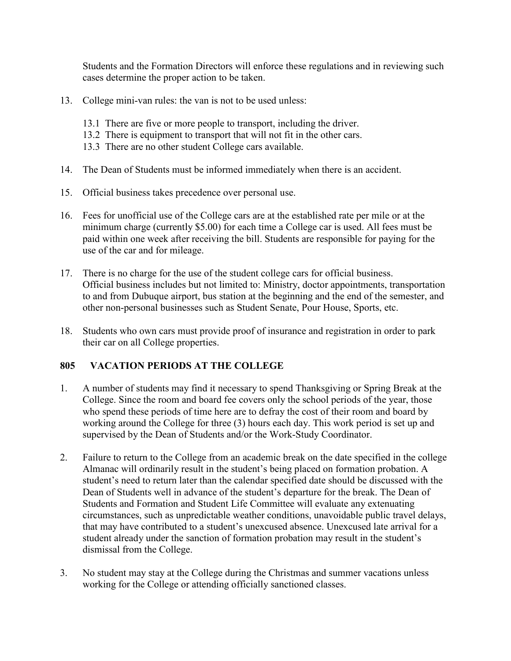Students and the Formation Directors will enforce these regulations and in reviewing such cases determine the proper action to be taken.

- 13. College mini-van rules: the van is not to be used unless:
	- 13.1 There are five or more people to transport, including the driver.
	- 13.2 There is equipment to transport that will not fit in the other cars.
	- 13.3 There are no other student College cars available.
- 14. The Dean of Students must be informed immediately when there is an accident.
- 15. Official business takes precedence over personal use.
- 16. Fees for unofficial use of the College cars are at the established rate per mile or at the minimum charge (currently \$5.00) for each time a College car is used. All fees must be paid within one week after receiving the bill. Students are responsible for paying for the use of the car and for mileage.
- 17. There is no charge for the use of the student college cars for official business. Official business includes but not limited to: Ministry, doctor appointments, transportation to and from Dubuque airport, bus station at the beginning and the end of the semester, and other non-personal businesses such as Student Senate, Pour House, Sports, etc.
- 18. Students who own cars must provide proof of insurance and registration in order to park their car on all College properties.

## **805 VACATION PERIODS AT THE COLLEGE**

- 1. A number of students may find it necessary to spend Thanksgiving or Spring Break at the College. Since the room and board fee covers only the school periods of the year, those who spend these periods of time here are to defray the cost of their room and board by working around the College for three (3) hours each day. This work period is set up and supervised by the Dean of Students and/or the Work-Study Coordinator.
- 2. Failure to return to the College from an academic break on the date specified in the college Almanac will ordinarily result in the student's being placed on formation probation. A student's need to return later than the calendar specified date should be discussed with the Dean of Students well in advance of the student's departure for the break. The Dean of Students and Formation and Student Life Committee will evaluate any extenuating circumstances, such as unpredictable weather conditions, unavoidable public travel delays, that may have contributed to a student's unexcused absence. Unexcused late arrival for a student already under the sanction of formation probation may result in the student's dismissal from the College.
- 3. No student may stay at the College during the Christmas and summer vacations unless working for the College or attending officially sanctioned classes.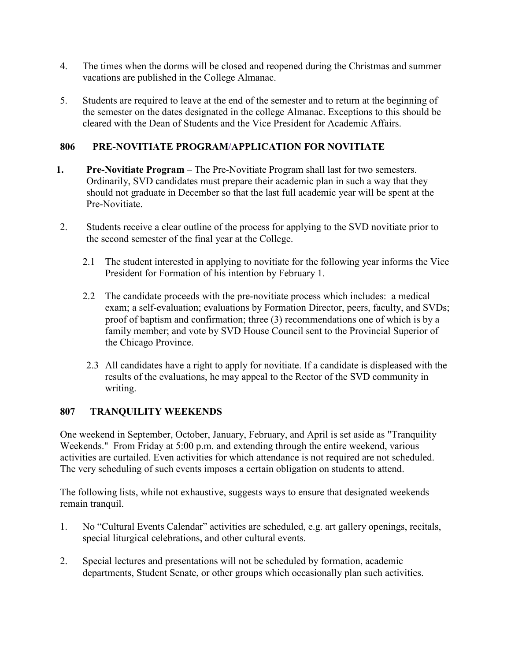- 4. The times when the dorms will be closed and reopened during the Christmas and summer vacations are published in the College Almanac.
- 5. Students are required to leave at the end of the semester and to return at the beginning of the semester on the dates designated in the college Almanac. Exceptions to this should be cleared with the Dean of Students and the Vice President for Academic Affairs.

## **806 PRE-NOVITIATE PROGRAM/APPLICATION FOR NOVITIATE**

- **1. Pre-Novitiate Program** The Pre-Novitiate Program shall last for two semesters. Ordinarily, SVD candidates must prepare their academic plan in such a way that they should not graduate in December so that the last full academic year will be spent at the Pre-Novitiate.
- 2. Students receive a clear outline of the process for applying to the SVD novitiate prior to the second semester of the final year at the College.
	- 2.1 The student interested in applying to novitiate for the following year informs the Vice President for Formation of his intention by February 1.
	- 2.2 The candidate proceeds with the pre-novitiate process which includes: a medical exam; a self-evaluation; evaluations by Formation Director, peers, faculty, and SVDs; proof of baptism and confirmation; three (3) recommendations one of which is by a family member; and vote by SVD House Council sent to the Provincial Superior of the Chicago Province.
	- 2.3 All candidates have a right to apply for novitiate. If a candidate is displeased with the results of the evaluations, he may appeal to the Rector of the SVD community in writing.

## **807 TRANQUILITY WEEKENDS**

One weekend in September, October, January, February, and April is set aside as "Tranquility Weekends." From Friday at 5:00 p.m. and extending through the entire weekend, various activities are curtailed. Even activities for which attendance is not required are not scheduled. The very scheduling of such events imposes a certain obligation on students to attend.

The following lists, while not exhaustive, suggests ways to ensure that designated weekends remain tranquil.

- 1. No "Cultural Events Calendar" activities are scheduled, e.g. art gallery openings, recitals, special liturgical celebrations, and other cultural events.
- 2. Special lectures and presentations will not be scheduled by formation, academic departments, Student Senate, or other groups which occasionally plan such activities.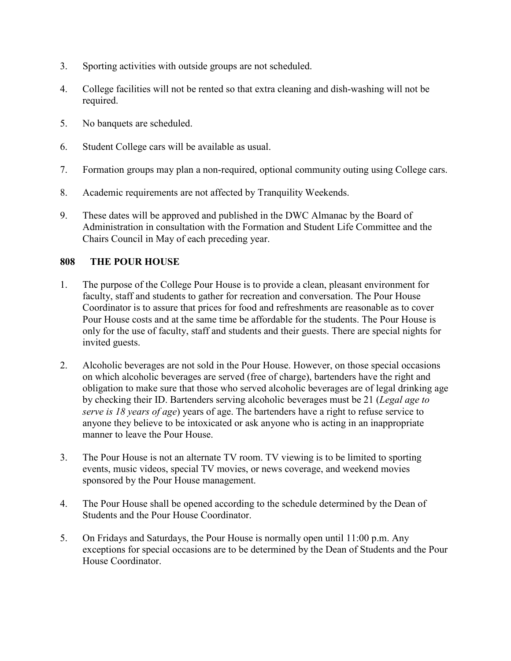- 3. Sporting activities with outside groups are not scheduled.
- 4. College facilities will not be rented so that extra cleaning and dish-washing will not be required.
- 5. No banquets are scheduled.
- 6. Student College cars will be available as usual.
- 7. Formation groups may plan a non-required, optional community outing using College cars.
- 8. Academic requirements are not affected by Tranquility Weekends.
- 9. These dates will be approved and published in the DWC Almanac by the Board of Administration in consultation with the Formation and Student Life Committee and the Chairs Council in May of each preceding year.

## **808 THE POUR HOUSE**

- 1. The purpose of the College Pour House is to provide a clean, pleasant environment for faculty, staff and students to gather for recreation and conversation. The Pour House Coordinator is to assure that prices for food and refreshments are reasonable as to cover Pour House costs and at the same time be affordable for the students. The Pour House is only for the use of faculty, staff and students and their guests. There are special nights for invited guests.
- 2. Alcoholic beverages are not sold in the Pour House. However, on those special occasions on which alcoholic beverages are served (free of charge), bartenders have the right and obligation to make sure that those who served alcoholic beverages are of legal drinking age by checking their ID. Bartenders serving alcoholic beverages must be 21 (*Legal age to serve is 18 years of age*) years of age. The bartenders have a right to refuse service to anyone they believe to be intoxicated or ask anyone who is acting in an inappropriate manner to leave the Pour House.
- 3. The Pour House is not an alternate TV room. TV viewing is to be limited to sporting events, music videos, special TV movies, or news coverage, and weekend movies sponsored by the Pour House management.
- 4. The Pour House shall be opened according to the schedule determined by the Dean of Students and the Pour House Coordinator.
- 5. On Fridays and Saturdays, the Pour House is normally open until 11:00 p.m. Any exceptions for special occasions are to be determined by the Dean of Students and the Pour House Coordinator.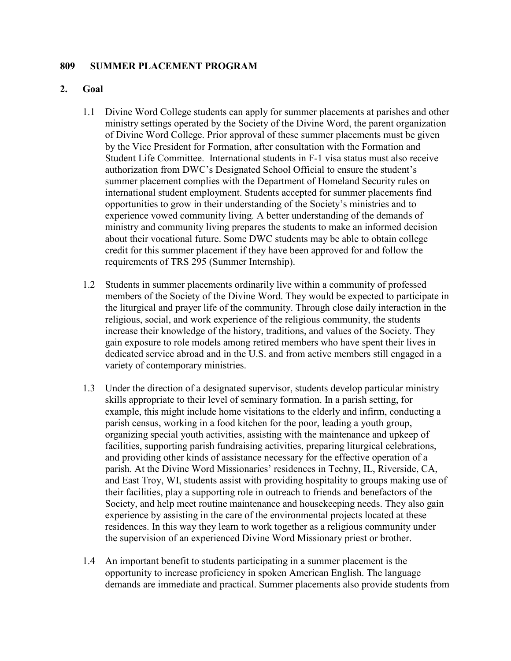#### **809 SUMMER PLACEMENT PROGRAM**

#### **2. Goal**

- 1.1 Divine Word College students can apply for summer placements at parishes and other ministry settings operated by the Society of the Divine Word, the parent organization of Divine Word College. Prior approval of these summer placements must be given by the Vice President for Formation, after consultation with the Formation and Student Life Committee. International students in F-1 visa status must also receive authorization from DWC's Designated School Official to ensure the student's summer placement complies with the Department of Homeland Security rules on international student employment. Students accepted for summer placements find opportunities to grow in their understanding of the Society's ministries and to experience vowed community living. A better understanding of the demands of ministry and community living prepares the students to make an informed decision about their vocational future. Some DWC students may be able to obtain college credit for this summer placement if they have been approved for and follow the requirements of TRS 295 (Summer Internship).
- 1.2 Students in summer placements ordinarily live within a community of professed members of the Society of the Divine Word. They would be expected to participate in the liturgical and prayer life of the community. Through close daily interaction in the religious, social, and work experience of the religious community, the students increase their knowledge of the history, traditions, and values of the Society. They gain exposure to role models among retired members who have spent their lives in dedicated service abroad and in the U.S. and from active members still engaged in a variety of contemporary ministries.
- 1.3 Under the direction of a designated supervisor, students develop particular ministry skills appropriate to their level of seminary formation. In a parish setting, for example, this might include home visitations to the elderly and infirm, conducting a parish census, working in a food kitchen for the poor, leading a youth group, organizing special youth activities, assisting with the maintenance and upkeep of facilities, supporting parish fundraising activities, preparing liturgical celebrations, and providing other kinds of assistance necessary for the effective operation of a parish. At the Divine Word Missionaries' residences in Techny, IL, Riverside, CA, and East Troy, WI, students assist with providing hospitality to groups making use of their facilities, play a supporting role in outreach to friends and benefactors of the Society, and help meet routine maintenance and housekeeping needs. They also gain experience by assisting in the care of the environmental projects located at these residences. In this way they learn to work together as a religious community under the supervision of an experienced Divine Word Missionary priest or brother.
- 1.4 An important benefit to students participating in a summer placement is the opportunity to increase proficiency in spoken American English. The language demands are immediate and practical. Summer placements also provide students from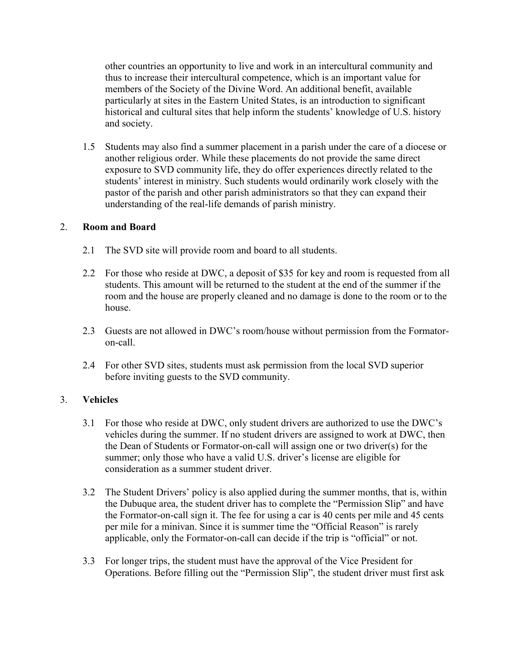other countries an opportunity to live and work in an intercultural community and thus to increase their intercultural competence, which is an important value for members of the Society of the Divine Word. An additional benefit, available particularly at sites in the Eastern United States, is an introduction to significant historical and cultural sites that help inform the students' knowledge of U.S. history and society.

1.5 Students may also find a summer placement in a parish under the care of a diocese or another religious order. While these placements do not provide the same direct exposure to SVD community life, they do offer experiences directly related to the students' interest in ministry. Such students would ordinarily work closely with the pastor of the parish and other parish administrators so that they can expand their understanding of the real-life demands of parish ministry.

#### 2. **Room and Board**

- 2.1 The SVD site will provide room and board to all students.
- 2.2 For those who reside at DWC, a deposit of \$35 for key and room is requested from all students. This amount will be returned to the student at the end of the summer if the room and the house are properly cleaned and no damage is done to the room or to the house.
- 2.3 Guests are not allowed in DWC's room/house without permission from the Formatoron-call.
- 2.4 For other SVD sites, students must ask permission from the local SVD superior before inviting guests to the SVD community.

## 3. **Vehicles**

- 3.1 For those who reside at DWC, only student drivers are authorized to use the DWC's vehicles during the summer. If no student drivers are assigned to work at DWC, then the Dean of Students or Formator-on-call will assign one or two driver(s) for the summer; only those who have a valid U.S. driver's license are eligible for consideration as a summer student driver.
- 3.2 The Student Drivers' policy is also applied during the summer months, that is, within the Dubuque area, the student driver has to complete the "Permission Slip" and have the Formator-on-call sign it. The fee for using a car is 40 cents per mile and 45 cents per mile for a minivan. Since it is summer time the "Official Reason" is rarely applicable, only the Formator-on-call can decide if the trip is "official" or not.
- 3.3 For longer trips, the student must have the approval of the Vice President for Operations. Before filling out the "Permission Slip", the student driver must first ask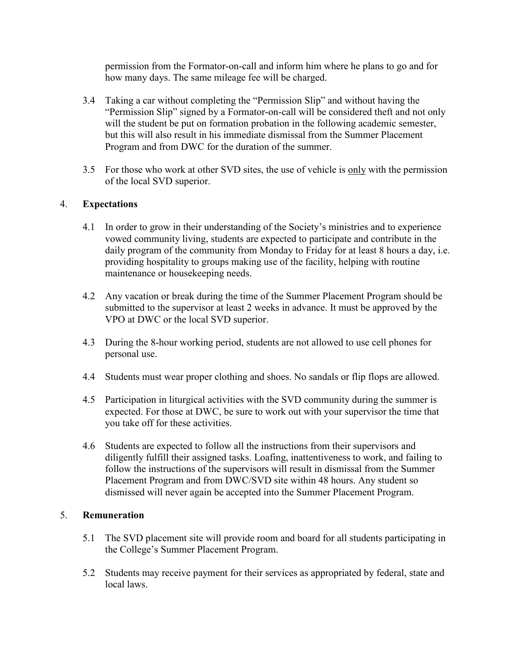permission from the Formator-on-call and inform him where he plans to go and for how many days. The same mileage fee will be charged.

- 3.4 Taking a car without completing the "Permission Slip" and without having the "Permission Slip" signed by a Formator-on-call will be considered theft and not only will the student be put on formation probation in the following academic semester, but this will also result in his immediate dismissal from the Summer Placement Program and from DWC for the duration of the summer.
- 3.5 For those who work at other SVD sites, the use of vehicle is only with the permission of the local SVD superior.

#### 4. **Expectations**

- 4.1 In order to grow in their understanding of the Society's ministries and to experience vowed community living, students are expected to participate and contribute in the daily program of the community from Monday to Friday for at least 8 hours a day, i.e. providing hospitality to groups making use of the facility, helping with routine maintenance or housekeeping needs.
- 4.2 Any vacation or break during the time of the Summer Placement Program should be submitted to the supervisor at least 2 weeks in advance. It must be approved by the VPO at DWC or the local SVD superior.
- 4.3 During the 8-hour working period, students are not allowed to use cell phones for personal use.
- 4.4 Students must wear proper clothing and shoes. No sandals or flip flops are allowed.
- 4.5 Participation in liturgical activities with the SVD community during the summer is expected. For those at DWC, be sure to work out with your supervisor the time that you take off for these activities.
- 4.6 Students are expected to follow all the instructions from their supervisors and diligently fulfill their assigned tasks. Loafing, inattentiveness to work, and failing to follow the instructions of the supervisors will result in dismissal from the Summer Placement Program and from DWC/SVD site within 48 hours. Any student so dismissed will never again be accepted into the Summer Placement Program.

#### 5. **Remuneration**

- 5.1 The SVD placement site will provide room and board for all students participating in the College's Summer Placement Program.
- 5.2 Students may receive payment for their services as appropriated by federal, state and local laws.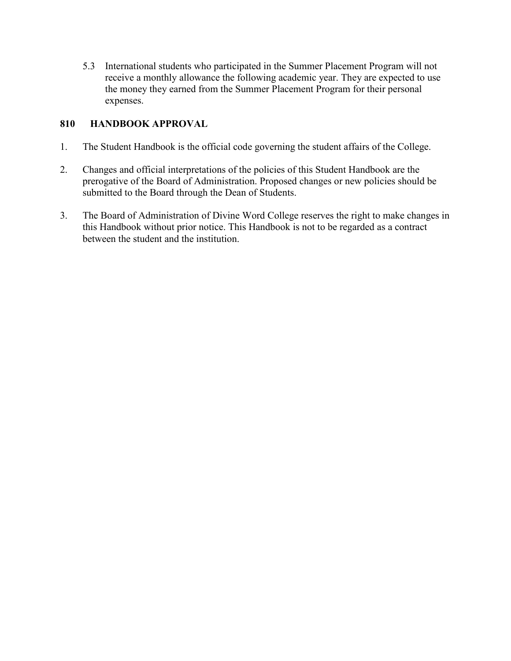5.3 International students who participated in the Summer Placement Program will not receive a monthly allowance the following academic year. They are expected to use the money they earned from the Summer Placement Program for their personal expenses.

## **810 HANDBOOK APPROVAL**

- 1. The Student Handbook is the official code governing the student affairs of the College.
- 2. Changes and official interpretations of the policies of this Student Handbook are the prerogative of the Board of Administration. Proposed changes or new policies should be submitted to the Board through the Dean of Students.
- 3. The Board of Administration of Divine Word College reserves the right to make changes in this Handbook without prior notice. This Handbook is not to be regarded as a contract between the student and the institution.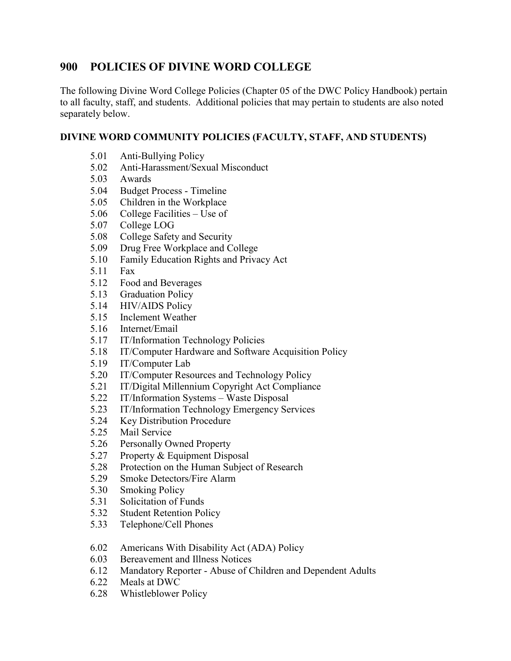# **900 POLICIES OF DIVINE WORD COLLEGE**

The following Divine Word College Policies (Chapter 05 of the DWC Policy Handbook) pertain to all faculty, staff, and students. Additional policies that may pertain to students are also noted separately below.

## **DIVINE WORD COMMUNITY POLICIES (FACULTY, STAFF, AND STUDENTS)**

- 5.01 Anti-Bullying Policy
- 5.02 Anti-Harassment/Sexual Misconduct
- 5.03 Awards
- 5.04 Budget Process Timeline
- 5.05 Children in the Workplace
- 5.06 College Facilities Use of
- 5.07 College LOG
- 5.08 College Safety and Security
- 5.09 Drug Free Workplace and College
- 5.10 Family Education Rights and Privacy Act
- 5.11 Fax
- 5.12 Food and Beverages
- 5.13 Graduation Policy
- 5.14 HIV/AIDS Policy
- 5.15 Inclement Weather
- 5.16 Internet/Email
- 5.17 IT/Information Technology Policies
- 5.18 IT/Computer Hardware and Software Acquisition Policy
- 5.19 IT/Computer Lab
- 5.20 IT/Computer Resources and Technology Policy
- 5.21 IT/Digital Millennium Copyright Act Compliance
- 5.22 IT/Information Systems Waste Disposal
- 5.23 IT/Information Technology Emergency Services
- 5.24 Key Distribution Procedure
- 5.25 Mail Service
- 5.26 Personally Owned Property
- 5.27 Property & Equipment Disposal
- 5.28 Protection on the Human Subject of Research
- 5.29 Smoke Detectors/Fire Alarm
- 5.30 Smoking Policy
- 5.31 Solicitation of Funds
- 5.32 Student Retention Policy
- 5.33 Telephone/Cell Phones
- 6.02 Americans With Disability Act (ADA) Policy
- 6.03 Bereavement and Illness Notices
- 6.12 Mandatory Reporter Abuse of Children and Dependent Adults
- 6.22 Meals at DWC
- 6.28 Whistleblower Policy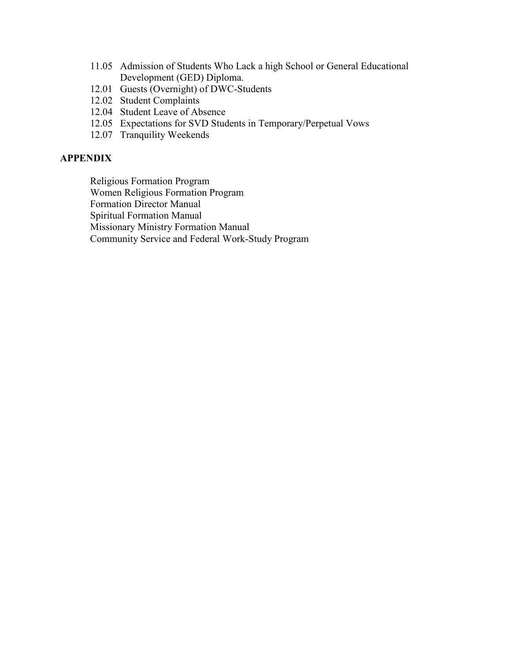- 11.05 Admission of Students Who Lack a high School or General Educational Development (GED) Diploma.
- 12.01 Guests (Overnight) of DWC-Students
- 12.02 Student Complaints
- 12.04 Student Leave of Absence
- 12.05 Expectations for SVD Students in Temporary/Perpetual Vows
- 12.07 Tranquility Weekends

## **APPENDIX**

Religious Formation Program

Women Religious Formation Program

Formation Director Manual

Spiritual Formation Manual

Missionary Ministry Formation Manual

Community Service and Federal Work-Study Program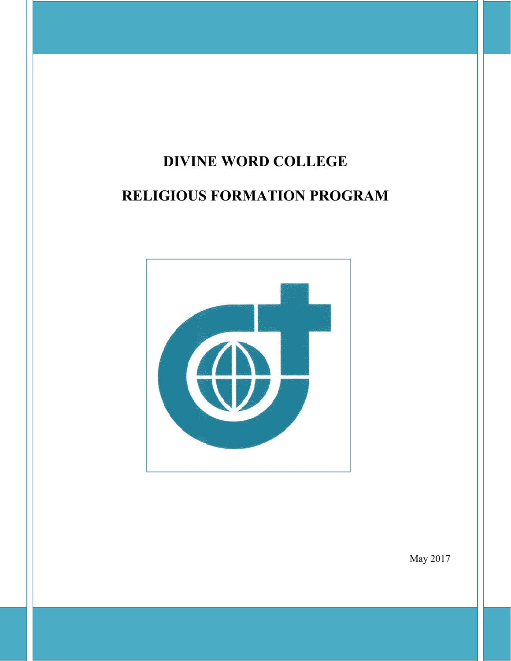# **DIVINE WORD COLLEGE**

# **RELIGIOUS FORMATION PROGRAM**



May 2017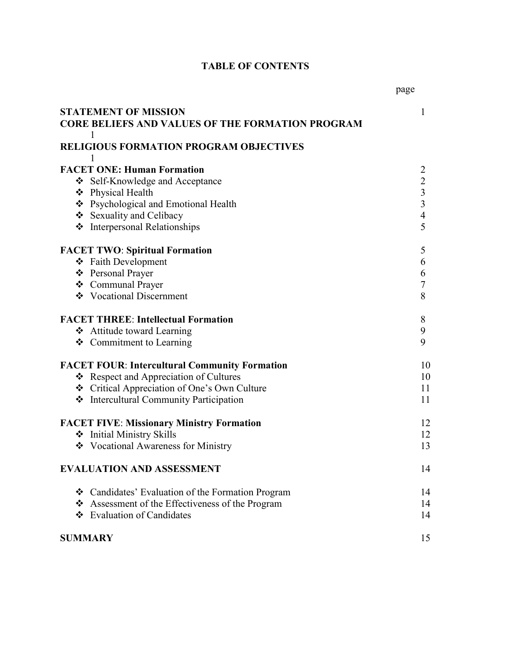# **TABLE OF CONTENTS**

|                                            | <b>STATEMENT OF MISSION</b>                             | 1                        |
|--------------------------------------------|---------------------------------------------------------|--------------------------|
|                                            | <b>CORE BELIEFS AND VALUES OF THE FORMATION PROGRAM</b> |                          |
|                                            | 1                                                       |                          |
|                                            | <b>RELIGIOUS FORMATION PROGRAM OBJECTIVES</b>           |                          |
|                                            | 1                                                       |                          |
|                                            | <b>FACET ONE: Human Formation</b>                       | $\overline{2}$           |
|                                            | Self-Knowledge and Acceptance                           | $\overline{2}$           |
|                                            | ❖ Physical Health                                       | $\overline{3}$           |
|                                            | ❖ Psychological and Emotional Health                    | $\overline{3}$           |
|                                            | Sexuality and Celibacy                                  | $\overline{\mathcal{A}}$ |
|                                            | <b>*</b> Interpersonal Relationships                    | 5                        |
|                                            | <b>FACET TWO: Spiritual Formation</b>                   | 5                        |
|                                            | ❖ Faith Development                                     | 6                        |
|                                            | ❖ Personal Prayer                                       | 6                        |
|                                            | ❖ Communal Prayer                                       | $\overline{7}$           |
|                                            | ❖ Vocational Discernment                                | 8                        |
| <b>FACET THREE: Intellectual Formation</b> |                                                         | 8                        |
|                                            | ❖ Attitude toward Learning                              | 9                        |
|                                            | ❖ Commitment to Learning                                | 9                        |
|                                            | <b>FACET FOUR: Intercultural Community Formation</b>    | 10                       |
|                                            | ❖ Respect and Appreciation of Cultures                  | 10                       |
|                                            | ❖ Critical Appreciation of One's Own Culture            | 11                       |
|                                            | ❖ Intercultural Community Participation                 | 11                       |
|                                            | <b>FACET FIVE: Missionary Ministry Formation</b>        | 12                       |
|                                            | ❖ Initial Ministry Skills                               | 12                       |
|                                            | ❖ Vocational Awareness for Ministry                     | 13                       |
|                                            | <b>EVALUATION AND ASSESSMENT</b>                        | 14                       |
|                                            | ❖ Candidates' Evaluation of the Formation Program       | 14                       |
|                                            | ❖ Assessment of the Effectiveness of the Program        | 14                       |
|                                            | ❖ Evaluation of Candidates                              | 14                       |
| <b>SUMMARY</b>                             |                                                         | 15                       |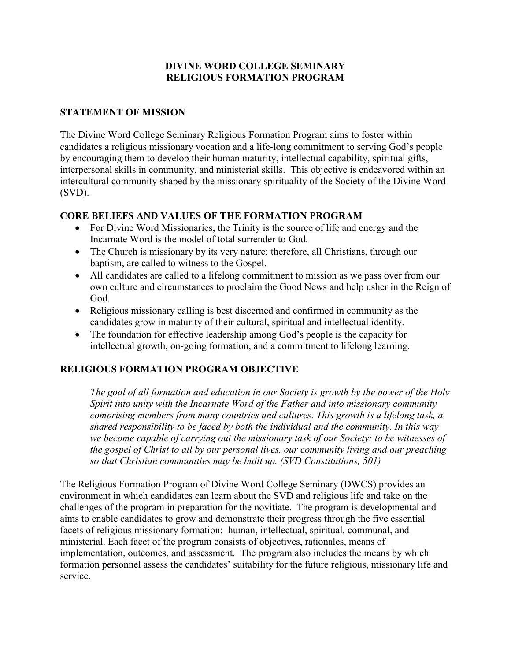## **DIVINE WORD COLLEGE SEMINARY RELIGIOUS FORMATION PROGRAM**

## **STATEMENT OF MISSION**

The Divine Word College Seminary Religious Formation Program aims to foster within candidates a religious missionary vocation and a life-long commitment to serving God's people by encouraging them to develop their human maturity, intellectual capability, spiritual gifts, interpersonal skills in community, and ministerial skills. This objective is endeavored within an intercultural community shaped by the missionary spirituality of the Society of the Divine Word (SVD).

## **CORE BELIEFS AND VALUES OF THE FORMATION PROGRAM**

- For Divine Word Missionaries, the Trinity is the source of life and energy and the Incarnate Word is the model of total surrender to God.
- The Church is missionary by its very nature; therefore, all Christians, through our baptism, are called to witness to the Gospel.
- All candidates are called to a lifelong commitment to mission as we pass over from our own culture and circumstances to proclaim the Good News and help usher in the Reign of God.
- Religious missionary calling is best discerned and confirmed in community as the candidates grow in maturity of their cultural, spiritual and intellectual identity.
- The foundation for effective leadership among God's people is the capacity for intellectual growth, on-going formation, and a commitment to lifelong learning.

## **RELIGIOUS FORMATION PROGRAM OBJECTIVE**

*The goal of all formation and education in our Society is growth by the power of the Holy Spirit into unity with the Incarnate Word of the Father and into missionary community comprising members from many countries and cultures. This growth is a lifelong task, a shared responsibility to be faced by both the individual and the community. In this way we become capable of carrying out the missionary task of our Society: to be witnesses of the gospel of Christ to all by our personal lives, our community living and our preaching so that Christian communities may be built up. (SVD Constitutions, 501)*

The Religious Formation Program of Divine Word College Seminary (DWCS) provides an environment in which candidates can learn about the SVD and religious life and take on the challenges of the program in preparation for the novitiate. The program is developmental and aims to enable candidates to grow and demonstrate their progress through the five essential facets of religious missionary formation: human, intellectual, spiritual, communal, and ministerial. Each facet of the program consists of objectives, rationales, means of implementation, outcomes, and assessment. The program also includes the means by which formation personnel assess the candidates' suitability for the future religious, missionary life and service.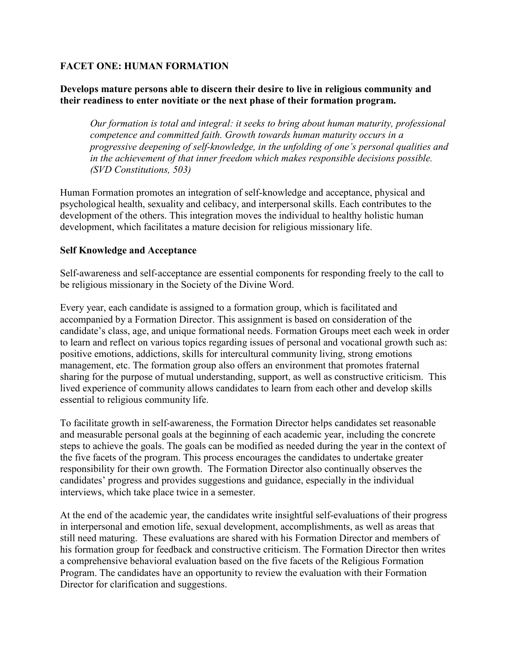## **FACET ONE: HUMAN FORMATION**

### **Develops mature persons able to discern their desire to live in religious community and their readiness to enter novitiate or the next phase of their formation program.**

*Our formation is total and integral: it seeks to bring about human maturity, professional competence and committed faith. Growth towards human maturity occurs in a progressive deepening of self-knowledge, in the unfolding of one's personal qualities and in the achievement of that inner freedom which makes responsible decisions possible. (SVD Constitutions, 503)*

Human Formation promotes an integration of self-knowledge and acceptance, physical and psychological health, sexuality and celibacy, and interpersonal skills. Each contributes to the development of the others. This integration moves the individual to healthy holistic human development, which facilitates a mature decision for religious missionary life.

#### **Self Knowledge and Acceptance**

Self-awareness and self-acceptance are essential components for responding freely to the call to be religious missionary in the Society of the Divine Word.

Every year, each candidate is assigned to a formation group, which is facilitated and accompanied by a Formation Director. This assignment is based on consideration of the candidate's class, age, and unique formational needs. Formation Groups meet each week in order to learn and reflect on various topics regarding issues of personal and vocational growth such as: positive emotions, addictions, skills for intercultural community living, strong emotions management, etc. The formation group also offers an environment that promotes fraternal sharing for the purpose of mutual understanding, support, as well as constructive criticism. This lived experience of community allows candidates to learn from each other and develop skills essential to religious community life.

To facilitate growth in self-awareness, the Formation Director helps candidates set reasonable and measurable personal goals at the beginning of each academic year, including the concrete steps to achieve the goals. The goals can be modified as needed during the year in the context of the five facets of the program. This process encourages the candidates to undertake greater responsibility for their own growth. The Formation Director also continually observes the candidates' progress and provides suggestions and guidance, especially in the individual interviews, which take place twice in a semester.

At the end of the academic year, the candidates write insightful self-evaluations of their progress in interpersonal and emotion life, sexual development, accomplishments, as well as areas that still need maturing. These evaluations are shared with his Formation Director and members of his formation group for feedback and constructive criticism. The Formation Director then writes a comprehensive behavioral evaluation based on the five facets of the Religious Formation Program. The candidates have an opportunity to review the evaluation with their Formation Director for clarification and suggestions.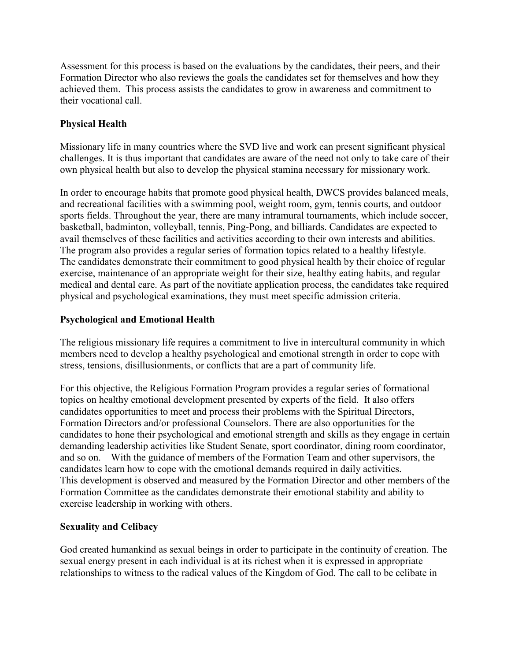Assessment for this process is based on the evaluations by the candidates, their peers, and their Formation Director who also reviews the goals the candidates set for themselves and how they achieved them. This process assists the candidates to grow in awareness and commitment to their vocational call.

## **Physical Health**

Missionary life in many countries where the SVD live and work can present significant physical challenges. It is thus important that candidates are aware of the need not only to take care of their own physical health but also to develop the physical stamina necessary for missionary work.

In order to encourage habits that promote good physical health, DWCS provides balanced meals, and recreational facilities with a swimming pool, weight room, gym, tennis courts, and outdoor sports fields. Throughout the year, there are many intramural tournaments, which include soccer, basketball, badminton, volleyball, tennis, Ping-Pong, and billiards. Candidates are expected to avail themselves of these facilities and activities according to their own interests and abilities. The program also provides a regular series of formation topics related to a healthy lifestyle. The candidates demonstrate their commitment to good physical health by their choice of regular exercise, maintenance of an appropriate weight for their size, healthy eating habits, and regular medical and dental care. As part of the novitiate application process, the candidates take required physical and psychological examinations, they must meet specific admission criteria.

## **Psychological and Emotional Health**

The religious missionary life requires a commitment to live in intercultural community in which members need to develop a healthy psychological and emotional strength in order to cope with stress, tensions, disillusionments, or conflicts that are a part of community life.

For this objective, the Religious Formation Program provides a regular series of formational topics on healthy emotional development presented by experts of the field. It also offers candidates opportunities to meet and process their problems with the Spiritual Directors, Formation Directors and/or professional Counselors. There are also opportunities for the candidates to hone their psychological and emotional strength and skills as they engage in certain demanding leadership activities like Student Senate, sport coordinator, dining room coordinator, and so on. With the guidance of members of the Formation Team and other supervisors, the candidates learn how to cope with the emotional demands required in daily activities. This development is observed and measured by the Formation Director and other members of the Formation Committee as the candidates demonstrate their emotional stability and ability to exercise leadership in working with others.

## **Sexuality and Celibacy**

God created humankind as sexual beings in order to participate in the continuity of creation. The sexual energy present in each individual is at its richest when it is expressed in appropriate relationships to witness to the radical values of the Kingdom of God. The call to be celibate in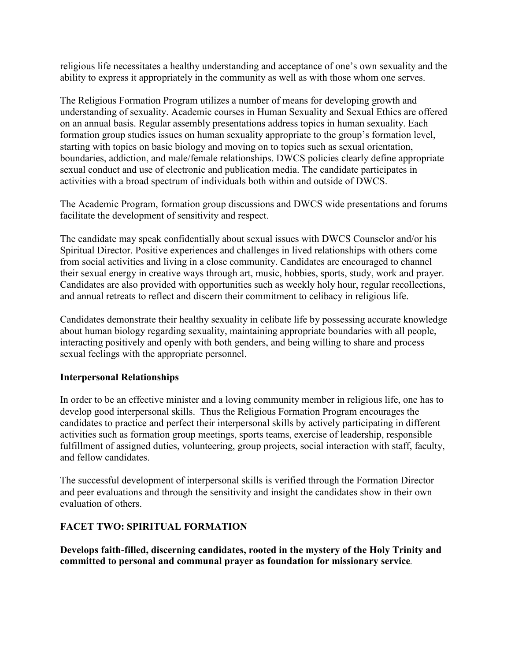religious life necessitates a healthy understanding and acceptance of one's own sexuality and the ability to express it appropriately in the community as well as with those whom one serves.

The Religious Formation Program utilizes a number of means for developing growth and understanding of sexuality. Academic courses in Human Sexuality and Sexual Ethics are offered on an annual basis. Regular assembly presentations address topics in human sexuality. Each formation group studies issues on human sexuality appropriate to the group's formation level, starting with topics on basic biology and moving on to topics such as sexual orientation, boundaries, addiction, and male/female relationships. DWCS policies clearly define appropriate sexual conduct and use of electronic and publication media. The candidate participates in activities with a broad spectrum of individuals both within and outside of DWCS.

The Academic Program, formation group discussions and DWCS wide presentations and forums facilitate the development of sensitivity and respect.

The candidate may speak confidentially about sexual issues with DWCS Counselor and/or his Spiritual Director. Positive experiences and challenges in lived relationships with others come from social activities and living in a close community. Candidates are encouraged to channel their sexual energy in creative ways through art, music, hobbies, sports, study, work and prayer. Candidates are also provided with opportunities such as weekly holy hour, regular recollections, and annual retreats to reflect and discern their commitment to celibacy in religious life.

Candidates demonstrate their healthy sexuality in celibate life by possessing accurate knowledge about human biology regarding sexuality, maintaining appropriate boundaries with all people, interacting positively and openly with both genders, and being willing to share and process sexual feelings with the appropriate personnel.

## **Interpersonal Relationships**

In order to be an effective minister and a loving community member in religious life, one has to develop good interpersonal skills. Thus the Religious Formation Program encourages the candidates to practice and perfect their interpersonal skills by actively participating in different activities such as formation group meetings, sports teams, exercise of leadership, responsible fulfillment of assigned duties, volunteering, group projects, social interaction with staff, faculty, and fellow candidates.

The successful development of interpersonal skills is verified through the Formation Director and peer evaluations and through the sensitivity and insight the candidates show in their own evaluation of others.

## **FACET TWO: SPIRITUAL FORMATION**

**Develops faith-filled, discerning candidates, rooted in the mystery of the Holy Trinity and committed to personal and communal prayer as foundation for missionary service***.*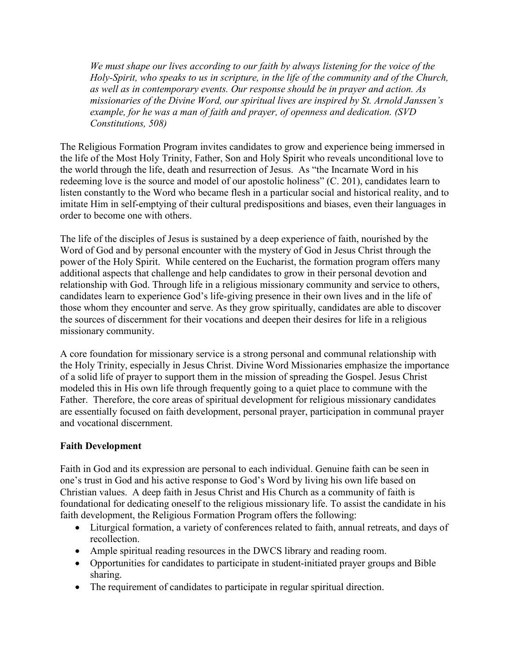*We must shape our lives according to our faith by always listening for the voice of the Holy-Spirit, who speaks to us in scripture, in the life of the community and of the Church, as well as in contemporary events. Our response should be in prayer and action. As missionaries of the Divine Word, our spiritual lives are inspired by St. Arnold Janssen's example, for he was a man of faith and prayer, of openness and dedication. (SVD Constitutions, 508)*

The Religious Formation Program invites candidates to grow and experience being immersed in the life of the Most Holy Trinity, Father, Son and Holy Spirit who reveals unconditional love to the world through the life, death and resurrection of Jesus. As "the Incarnate Word in his redeeming love is the source and model of our apostolic holiness" (C. 201), candidates learn to listen constantly to the Word who became flesh in a particular social and historical reality, and to imitate Him in self-emptying of their cultural predispositions and biases, even their languages in order to become one with others.

The life of the disciples of Jesus is sustained by a deep experience of faith, nourished by the Word of God and by personal encounter with the mystery of God in Jesus Christ through the power of the Holy Spirit. While centered on the Eucharist, the formation program offers many additional aspects that challenge and help candidates to grow in their personal devotion and relationship with God. Through life in a religious missionary community and service to others, candidates learn to experience God's life-giving presence in their own lives and in the life of those whom they encounter and serve. As they grow spiritually, candidates are able to discover the sources of discernment for their vocations and deepen their desires for life in a religious missionary community.

A core foundation for missionary service is a strong personal and communal relationship with the Holy Trinity, especially in Jesus Christ. Divine Word Missionaries emphasize the importance of a solid life of prayer to support them in the mission of spreading the Gospel. Jesus Christ modeled this in His own life through frequently going to a quiet place to commune with the Father. Therefore, the core areas of spiritual development for religious missionary candidates are essentially focused on faith development, personal prayer, participation in communal prayer and vocational discernment.

## **Faith Development**

Faith in God and its expression are personal to each individual. Genuine faith can be seen in one's trust in God and his active response to God's Word by living his own life based on Christian values. A deep faith in Jesus Christ and His Church as a community of faith is foundational for dedicating oneself to the religious missionary life. To assist the candidate in his faith development, the Religious Formation Program offers the following:

- Liturgical formation, a variety of conferences related to faith, annual retreats, and days of recollection.
- Ample spiritual reading resources in the DWCS library and reading room.
- Opportunities for candidates to participate in student-initiated prayer groups and Bible sharing.
- The requirement of candidates to participate in regular spiritual direction.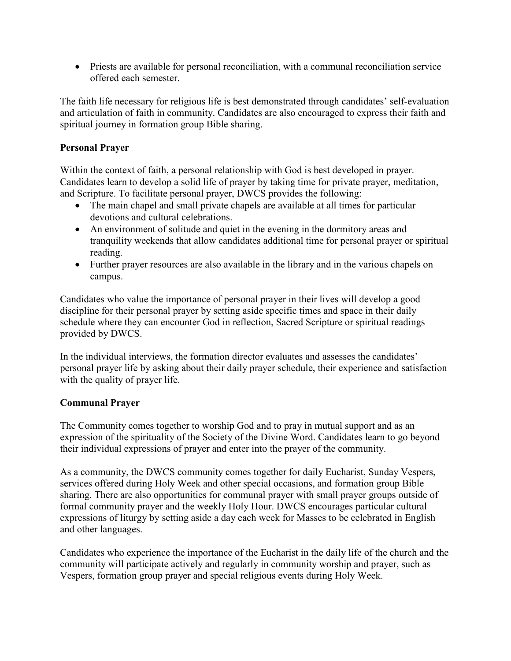• Priests are available for personal reconciliation, with a communal reconciliation service offered each semester.

The faith life necessary for religious life is best demonstrated through candidates' self-evaluation and articulation of faith in community. Candidates are also encouraged to express their faith and spiritual journey in formation group Bible sharing.

## **Personal Prayer**

Within the context of faith, a personal relationship with God is best developed in prayer. Candidates learn to develop a solid life of prayer by taking time for private prayer, meditation, and Scripture. To facilitate personal prayer, DWCS provides the following:

- The main chapel and small private chapels are available at all times for particular devotions and cultural celebrations.
- An environment of solitude and quiet in the evening in the dormitory areas and tranquility weekends that allow candidates additional time for personal prayer or spiritual reading.
- Further prayer resources are also available in the library and in the various chapels on campus.

Candidates who value the importance of personal prayer in their lives will develop a good discipline for their personal prayer by setting aside specific times and space in their daily schedule where they can encounter God in reflection, Sacred Scripture or spiritual readings provided by DWCS.

In the individual interviews, the formation director evaluates and assesses the candidates' personal prayer life by asking about their daily prayer schedule, their experience and satisfaction with the quality of prayer life.

## **Communal Prayer**

The Community comes together to worship God and to pray in mutual support and as an expression of the spirituality of the Society of the Divine Word. Candidates learn to go beyond their individual expressions of prayer and enter into the prayer of the community.

As a community, the DWCS community comes together for daily Eucharist, Sunday Vespers, services offered during Holy Week and other special occasions, and formation group Bible sharing. There are also opportunities for communal prayer with small prayer groups outside of formal community prayer and the weekly Holy Hour. DWCS encourages particular cultural expressions of liturgy by setting aside a day each week for Masses to be celebrated in English and other languages.

Candidates who experience the importance of the Eucharist in the daily life of the church and the community will participate actively and regularly in community worship and prayer, such as Vespers, formation group prayer and special religious events during Holy Week.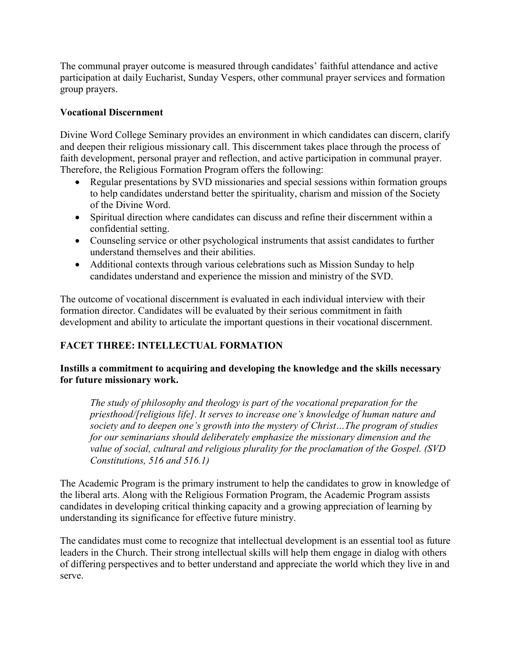The communal prayer outcome is measured through candidates' faithful attendance and active participation at daily Eucharist, Sunday Vespers, other communal prayer services and formation group prayers.

#### **Vocational Discernment**

Divine Word College Seminary provides an environment in which candidates can discern, clarify and deepen their religious missionary call. This discernment takes place through the process of faith development, personal prayer and reflection, and active participation in communal prayer. Therefore, the Religious Formation Program offers the following:

- Regular presentations by SVD missionaries and special sessions within formation groups to help candidates understand better the spirituality, charism and mission of the Society of the Divine Word.
- Spiritual direction where candidates can discuss and refine their discernment within a confidential setting.
- Counseling service or other psychological instruments that assist candidates to further understand themselves and their abilities.
- Additional contexts through various celebrations such as Mission Sunday to help candidates understand and experience the mission and ministry of the SVD.

The outcome of vocational discernment is evaluated in each individual interview with their formation director. Candidates will be evaluated by their serious commitment in faith development and ability to articulate the important questions in their vocational discernment.

#### **FACET THREE: INTELLECTUAL FORMATION**

#### **Instills a commitment to acquiring and developing the knowledge and the skills necessary for future missionary work.**

*The study of philosophy and theology is part of the vocational preparation for the priesthood/[religious life]. It serves to increase one's knowledge of human nature and society and to deepen one's growth into the mystery of Christ…The program of studies for our seminarians should deliberately emphasize the missionary dimension and the value of social, cultural and religious plurality for the proclamation of the Gospel. (SVD Constitutions, 516 and 516.1)*

The Academic Program is the primary instrument to help the candidates to grow in knowledge of the liberal arts. Along with the Religious Formation Program, the Academic Program assists candidates in developing critical thinking capacity and a growing appreciation of learning by understanding its significance for effective future ministry.

The candidates must come to recognize that intellectual development is an essential tool as future leaders in the Church. Their strong intellectual skills will help them engage in dialog with others of differing perspectives and to better understand and appreciate the world which they live in and serve.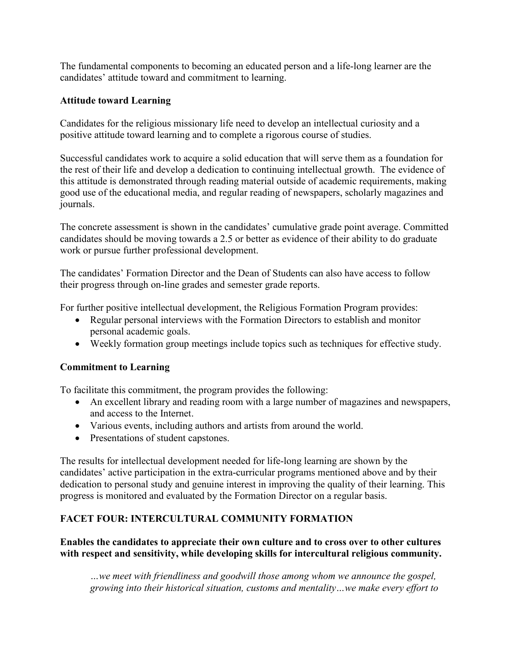The fundamental components to becoming an educated person and a life-long learner are the candidates' attitude toward and commitment to learning.

#### **Attitude toward Learning**

Candidates for the religious missionary life need to develop an intellectual curiosity and a positive attitude toward learning and to complete a rigorous course of studies.

Successful candidates work to acquire a solid education that will serve them as a foundation for the rest of their life and develop a dedication to continuing intellectual growth. The evidence of this attitude is demonstrated through reading material outside of academic requirements, making good use of the educational media, and regular reading of newspapers, scholarly magazines and journals.

The concrete assessment is shown in the candidates' cumulative grade point average. Committed candidates should be moving towards a 2.5 or better as evidence of their ability to do graduate work or pursue further professional development.

The candidates' Formation Director and the Dean of Students can also have access to follow their progress through on-line grades and semester grade reports.

For further positive intellectual development, the Religious Formation Program provides:

- Regular personal interviews with the Formation Directors to establish and monitor personal academic goals.
- Weekly formation group meetings include topics such as techniques for effective study.

#### **Commitment to Learning**

To facilitate this commitment, the program provides the following:

- An excellent library and reading room with a large number of magazines and newspapers, and access to the Internet.
- Various events, including authors and artists from around the world.
- Presentations of student capstones.

The results for intellectual development needed for life-long learning are shown by the candidates' active participation in the extra-curricular programs mentioned above and by their dedication to personal study and genuine interest in improving the quality of their learning. This progress is monitored and evaluated by the Formation Director on a regular basis.

#### **FACET FOUR: INTERCULTURAL COMMUNITY FORMATION**

#### **Enables the candidates to appreciate their own culture and to cross over to other cultures with respect and sensitivity, while developing skills for intercultural religious community.**

*…we meet with friendliness and goodwill those among whom we announce the gospel, growing into their historical situation, customs and mentality…we make every effort to*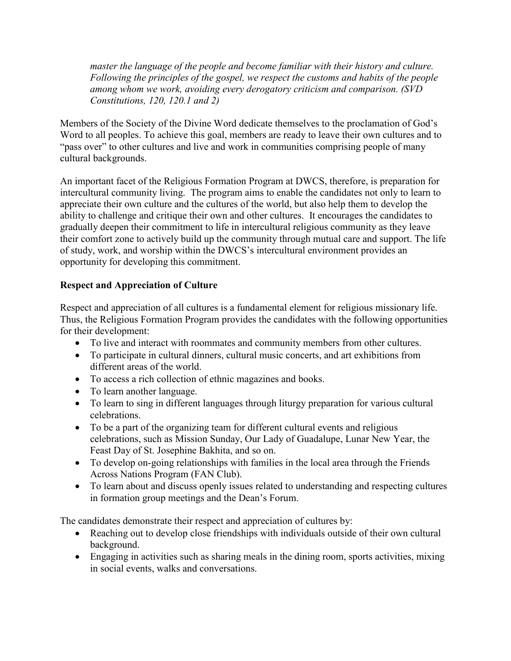*master the language of the people and become familiar with their history and culture. Following the principles of the gospel, we respect the customs and habits of the people among whom we work, avoiding every derogatory criticism and comparison. (SVD Constitutions, 120, 120.1 and 2)*

Members of the Society of the Divine Word dedicate themselves to the proclamation of God's Word to all peoples. To achieve this goal, members are ready to leave their own cultures and to "pass over" to other cultures and live and work in communities comprising people of many cultural backgrounds.

An important facet of the Religious Formation Program at DWCS, therefore, is preparation for intercultural community living. The program aims to enable the candidates not only to learn to appreciate their own culture and the cultures of the world, but also help them to develop the ability to challenge and critique their own and other cultures. It encourages the candidates to gradually deepen their commitment to life in intercultural religious community as they leave their comfort zone to actively build up the community through mutual care and support. The life of study, work, and worship within the DWCS's intercultural environment provides an opportunity for developing this commitment.

#### **Respect and Appreciation of Culture**

Respect and appreciation of all cultures is a fundamental element for religious missionary life. Thus, the Religious Formation Program provides the candidates with the following opportunities for their development:

- To live and interact with roommates and community members from other cultures.
- To participate in cultural dinners, cultural music concerts, and art exhibitions from different areas of the world.
- To access a rich collection of ethnic magazines and books.
- To learn another language.
- To learn to sing in different languages through liturgy preparation for various cultural celebrations.
- To be a part of the organizing team for different cultural events and religious celebrations, such as Mission Sunday, Our Lady of Guadalupe, Lunar New Year, the Feast Day of St. Josephine Bakhita, and so on.
- To develop on-going relationships with families in the local area through the Friends Across Nations Program (FAN Club).
- To learn about and discuss openly issues related to understanding and respecting cultures in formation group meetings and the Dean's Forum.

The candidates demonstrate their respect and appreciation of cultures by:

- Reaching out to develop close friendships with individuals outside of their own cultural background.
- Engaging in activities such as sharing meals in the dining room, sports activities, mixing in social events, walks and conversations.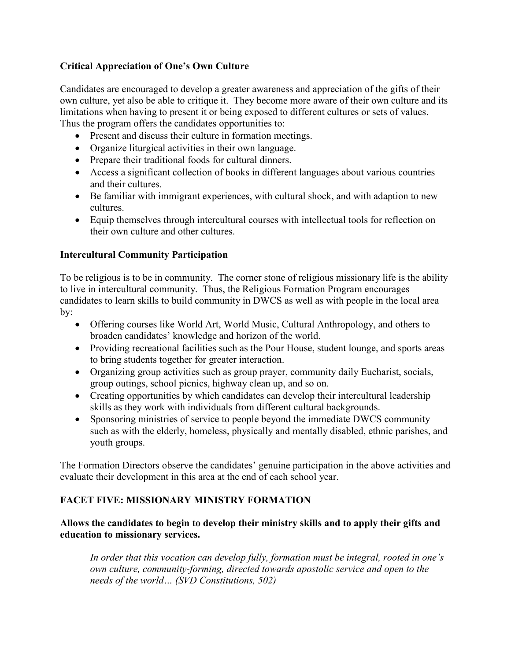#### **Critical Appreciation of One's Own Culture**

Candidates are encouraged to develop a greater awareness and appreciation of the gifts of their own culture, yet also be able to critique it. They become more aware of their own culture and its limitations when having to present it or being exposed to different cultures or sets of values. Thus the program offers the candidates opportunities to:

- Present and discuss their culture in formation meetings.
- Organize liturgical activities in their own language.
- Prepare their traditional foods for cultural dinners.
- Access a significant collection of books in different languages about various countries and their cultures.
- Be familiar with immigrant experiences, with cultural shock, and with adaption to new cultures.
- Equip themselves through intercultural courses with intellectual tools for reflection on their own culture and other cultures.

#### **Intercultural Community Participation**

To be religious is to be in community. The corner stone of religious missionary life is the ability to live in intercultural community. Thus, the Religious Formation Program encourages candidates to learn skills to build community in DWCS as well as with people in the local area by:

- Offering courses like World Art, World Music, Cultural Anthropology, and others to broaden candidates' knowledge and horizon of the world.
- Providing recreational facilities such as the Pour House, student lounge, and sports areas to bring students together for greater interaction.
- Organizing group activities such as group prayer, community daily Eucharist, socials, group outings, school picnics, highway clean up, and so on.
- Creating opportunities by which candidates can develop their intercultural leadership skills as they work with individuals from different cultural backgrounds.
- Sponsoring ministries of service to people beyond the immediate DWCS community such as with the elderly, homeless, physically and mentally disabled, ethnic parishes, and youth groups.

The Formation Directors observe the candidates' genuine participation in the above activities and evaluate their development in this area at the end of each school year.

#### **FACET FIVE: MISSIONARY MINISTRY FORMATION**

#### **Allows the candidates to begin to develop their ministry skills and to apply their gifts and education to missionary services.**

*In order that this vocation can develop fully, formation must be integral, rooted in one's own culture, community-forming, directed towards apostolic service and open to the needs of the world… (SVD Constitutions, 502)*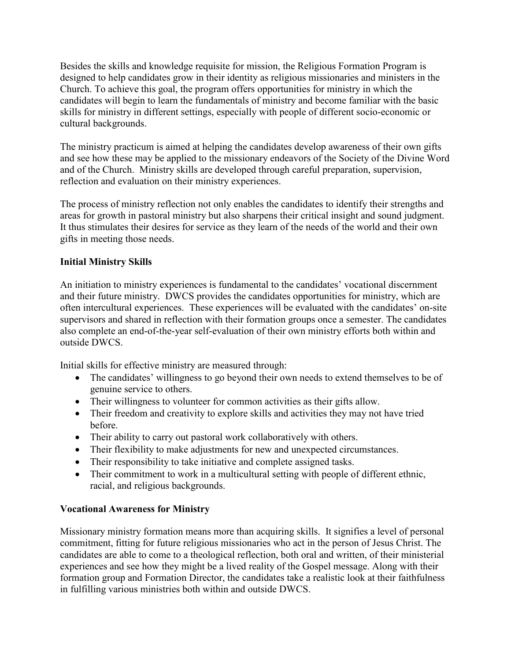Besides the skills and knowledge requisite for mission, the Religious Formation Program is designed to help candidates grow in their identity as religious missionaries and ministers in the Church. To achieve this goal, the program offers opportunities for ministry in which the candidates will begin to learn the fundamentals of ministry and become familiar with the basic skills for ministry in different settings, especially with people of different socio-economic or cultural backgrounds.

The ministry practicum is aimed at helping the candidates develop awareness of their own gifts and see how these may be applied to the missionary endeavors of the Society of the Divine Word and of the Church. Ministry skills are developed through careful preparation, supervision, reflection and evaluation on their ministry experiences.

The process of ministry reflection not only enables the candidates to identify their strengths and areas for growth in pastoral ministry but also sharpens their critical insight and sound judgment. It thus stimulates their desires for service as they learn of the needs of the world and their own gifts in meeting those needs.

#### **Initial Ministry Skills**

An initiation to ministry experiences is fundamental to the candidates' vocational discernment and their future ministry. DWCS provides the candidates opportunities for ministry, which are often intercultural experiences. These experiences will be evaluated with the candidates' on-site supervisors and shared in reflection with their formation groups once a semester. The candidates also complete an end-of-the-year self-evaluation of their own ministry efforts both within and outside DWCS.

Initial skills for effective ministry are measured through:

- The candidates' willingness to go beyond their own needs to extend themselves to be of genuine service to others.
- Their willingness to volunteer for common activities as their gifts allow.
- Their freedom and creativity to explore skills and activities they may not have tried before.
- Their ability to carry out pastoral work collaboratively with others.
- Their flexibility to make adjustments for new and unexpected circumstances.
- Their responsibility to take initiative and complete assigned tasks.
- Their commitment to work in a multicultural setting with people of different ethnic, racial, and religious backgrounds.

#### **Vocational Awareness for Ministry**

Missionary ministry formation means more than acquiring skills. It signifies a level of personal commitment, fitting for future religious missionaries who act in the person of Jesus Christ. The candidates are able to come to a theological reflection, both oral and written, of their ministerial experiences and see how they might be a lived reality of the Gospel message. Along with their formation group and Formation Director, the candidates take a realistic look at their faithfulness in fulfilling various ministries both within and outside DWCS.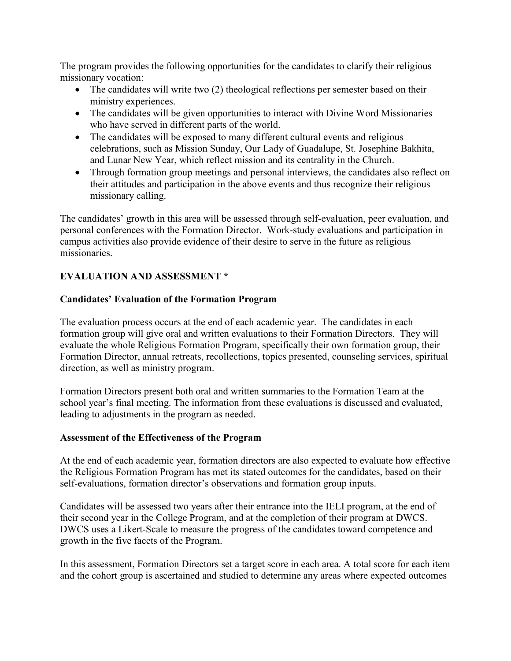The program provides the following opportunities for the candidates to clarify their religious missionary vocation:

- The candidates will write two (2) theological reflections per semester based on their ministry experiences.
- The candidates will be given opportunities to interact with Divine Word Missionaries who have served in different parts of the world.
- The candidates will be exposed to many different cultural events and religious celebrations, such as Mission Sunday, Our Lady of Guadalupe, St. Josephine Bakhita, and Lunar New Year, which reflect mission and its centrality in the Church.
- Through formation group meetings and personal interviews, the candidates also reflect on their attitudes and participation in the above events and thus recognize their religious missionary calling.

The candidates' growth in this area will be assessed through self-evaluation, peer evaluation, and personal conferences with the Formation Director. Work-study evaluations and participation in campus activities also provide evidence of their desire to serve in the future as religious missionaries.

#### **EVALUATION AND ASSESSMENT \***

#### **Candidates' Evaluation of the Formation Program**

The evaluation process occurs at the end of each academic year. The candidates in each formation group will give oral and written evaluations to their Formation Directors. They will evaluate the whole Religious Formation Program, specifically their own formation group, their Formation Director, annual retreats, recollections, topics presented, counseling services, spiritual direction, as well as ministry program.

Formation Directors present both oral and written summaries to the Formation Team at the school year's final meeting. The information from these evaluations is discussed and evaluated, leading to adjustments in the program as needed.

#### **Assessment of the Effectiveness of the Program**

At the end of each academic year, formation directors are also expected to evaluate how effective the Religious Formation Program has met its stated outcomes for the candidates, based on their self-evaluations, formation director's observations and formation group inputs.

Candidates will be assessed two years after their entrance into the IELI program, at the end of their second year in the College Program, and at the completion of their program at DWCS. DWCS uses a Likert-Scale to measure the progress of the candidates toward competence and growth in the five facets of the Program.

In this assessment, Formation Directors set a target score in each area. A total score for each item and the cohort group is ascertained and studied to determine any areas where expected outcomes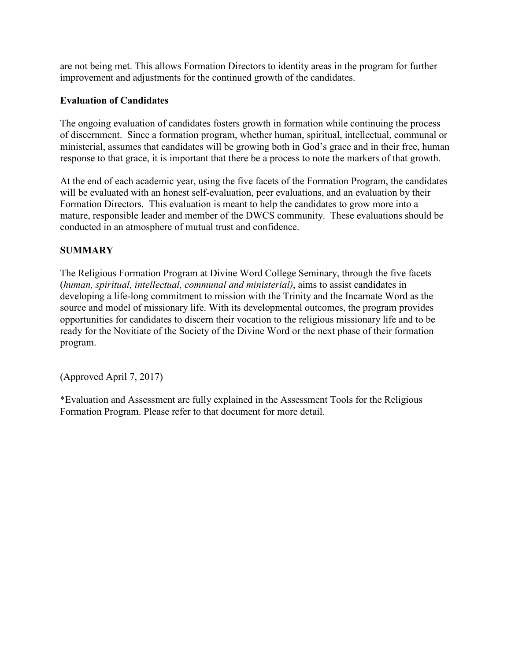are not being met. This allows Formation Directors to identity areas in the program for further improvement and adjustments for the continued growth of the candidates.

#### **Evaluation of Candidates**

The ongoing evaluation of candidates fosters growth in formation while continuing the process of discernment. Since a formation program, whether human, spiritual, intellectual, communal or ministerial, assumes that candidates will be growing both in God's grace and in their free, human response to that grace, it is important that there be a process to note the markers of that growth.

At the end of each academic year, using the five facets of the Formation Program, the candidates will be evaluated with an honest self-evaluation, peer evaluations, and an evaluation by their Formation Directors. This evaluation is meant to help the candidates to grow more into a mature, responsible leader and member of the DWCS community. These evaluations should be conducted in an atmosphere of mutual trust and confidence.

#### **SUMMARY**

The Religious Formation Program at Divine Word College Seminary, through the five facets (*human, spiritual, intellectual, communal and ministerial)*, aims to assist candidates in developing a life-long commitment to mission with the Trinity and the Incarnate Word as the source and model of missionary life. With its developmental outcomes, the program provides opportunities for candidates to discern their vocation to the religious missionary life and to be ready for the Novitiate of the Society of the Divine Word or the next phase of their formation program.

(Approved April 7, 2017)

\*Evaluation and Assessment are fully explained in the Assessment Tools for the Religious Formation Program. Please refer to that document for more detail.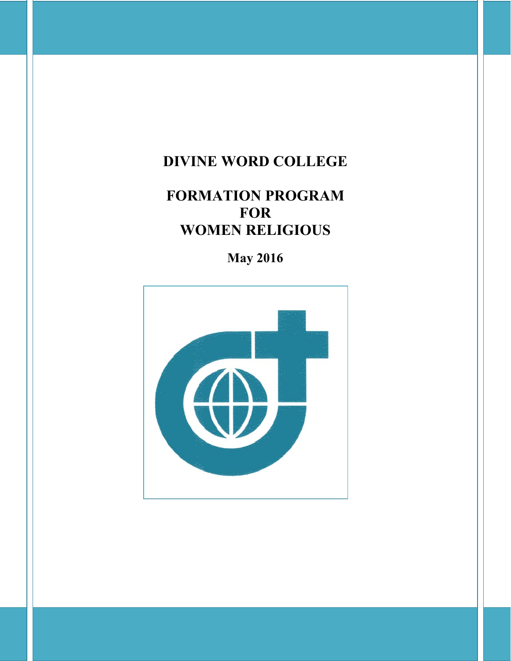## **DIVINE WORD COLLEGE**

# **FORMATION PROGRAM FOR WOMEN RELIGIOUS**

**May 2016**

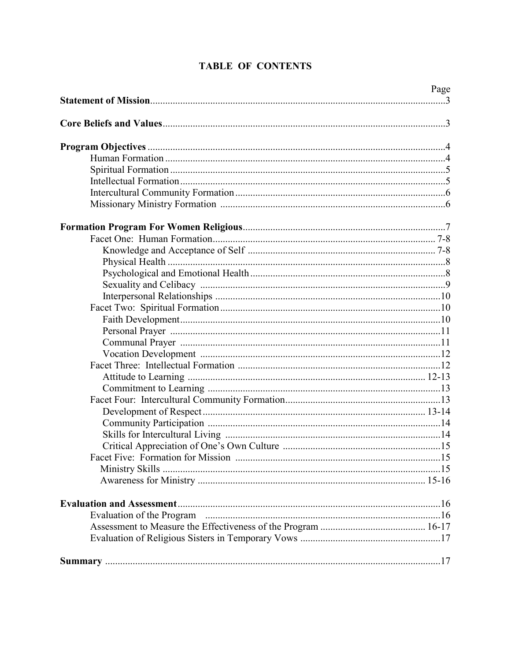| Page |
|------|
|      |
|      |
|      |
|      |
|      |
|      |
|      |
|      |
|      |
|      |
|      |
|      |
|      |
|      |
|      |
|      |
|      |
|      |
|      |
|      |
|      |
|      |
|      |
|      |
|      |
|      |
|      |
|      |
|      |
|      |
|      |
|      |
|      |
|      |
|      |
|      |

#### **TABLE OF CONTENTS**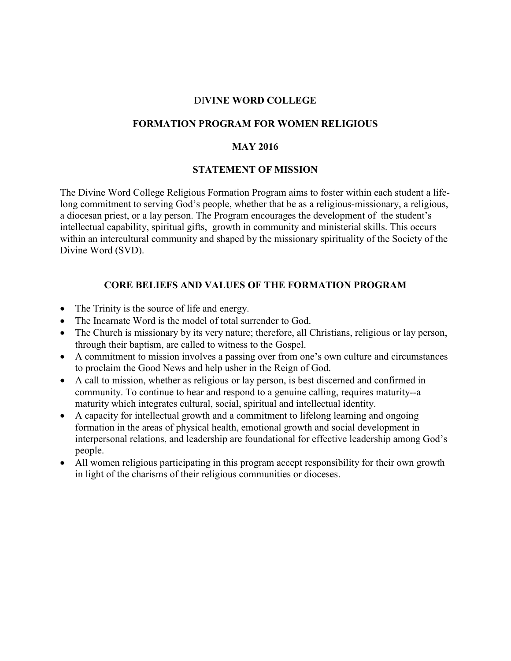#### DI**VINE WORD COLLEGE**

#### **FORMATION PROGRAM FOR WOMEN RELIGIOUS**

#### **MAY 2016**

#### **STATEMENT OF MISSION**

The Divine Word College Religious Formation Program aims to foster within each student a lifelong commitment to serving God's people, whether that be as a religious-missionary, a religious, a diocesan priest, or a lay person. The Program encourages the development of the student's intellectual capability, spiritual gifts, growth in community and ministerial skills. This occurs within an intercultural community and shaped by the missionary spirituality of the Society of the Divine Word (SVD).

#### **CORE BELIEFS AND VALUES OF THE FORMATION PROGRAM**

- The Trinity is the source of life and energy.
- The Incarnate Word is the model of total surrender to God.
- The Church is missionary by its very nature; therefore, all Christians, religious or lay person, through their baptism, are called to witness to the Gospel.
- A commitment to mission involves a passing over from one's own culture and circumstances to proclaim the Good News and help usher in the Reign of God.
- A call to mission, whether as religious or lay person, is best discerned and confirmed in community. To continue to hear and respond to a genuine calling, requires maturity--a maturity which integrates cultural, social, spiritual and intellectual identity.
- A capacity for intellectual growth and a commitment to lifelong learning and ongoing formation in the areas of physical health, emotional growth and social development in interpersonal relations, and leadership are foundational for effective leadership among God's people.
- All women religious participating in this program accept responsibility for their own growth in light of the charisms of their religious communities or dioceses.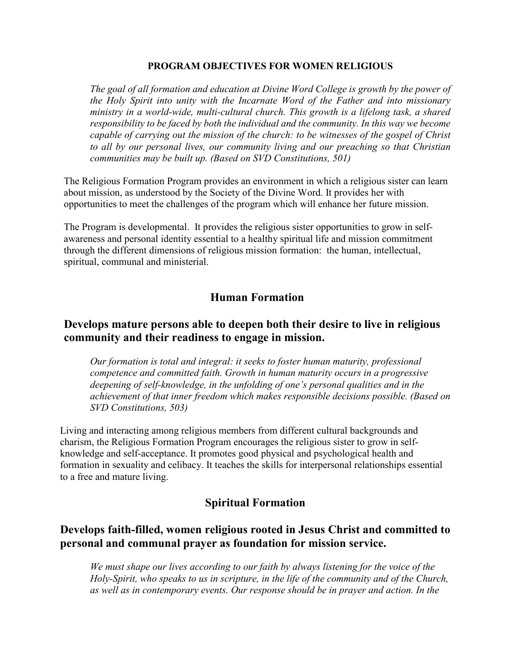#### **PROGRAM OBJECTIVES FOR WOMEN RELIGIOUS**

*The goal of all formation and education at Divine Word College is growth by the power of the Holy Spirit into unity with the Incarnate Word of the Father and into missionary ministry in a world-wide, multi-cultural church. This growth is a lifelong task, a shared responsibility to be faced by both the individual and the community. In this way we become capable of carrying out the mission of the church: to be witnesses of the gospel of Christ to all by our personal lives, our community living and our preaching so that Christian communities may be built up. (Based on SVD Constitutions, 501)*

The Religious Formation Program provides an environment in which a religious sister can learn about mission, as understood by the Society of the Divine Word. It provides her with opportunities to meet the challenges of the program which will enhance her future mission.

The Program is developmental. It provides the religious sister opportunities to grow in selfawareness and personal identity essential to a healthy spiritual life and mission commitment through the different dimensions of religious mission formation: the human, intellectual, spiritual, communal and ministerial.

#### **Human Formation**

#### **Develops mature persons able to deepen both their desire to live in religious community and their readiness to engage in mission.**

*Our formation is total and integral: it seeks to foster human maturity, professional competence and committed faith. Growth in human maturity occurs in a progressive deepening of self-knowledge, in the unfolding of one's personal qualities and in the achievement of that inner freedom which makes responsible decisions possible. (Based on SVD Constitutions, 503)*

Living and interacting among religious members from different cultural backgrounds and charism, the Religious Formation Program encourages the religious sister to grow in selfknowledge and self-acceptance. It promotes good physical and psychological health and formation in sexuality and celibacy. It teaches the skills for interpersonal relationships essential to a free and mature living.

#### **Spiritual Formation**

#### **Develops faith-filled, women religious rooted in Jesus Christ and committed to personal and communal prayer as foundation for mission service.**

*We must shape our lives according to our faith by always listening for the voice of the Holy-Spirit, who speaks to us in scripture, in the life of the community and of the Church, as well as in contemporary events. Our response should be in prayer and action. In the*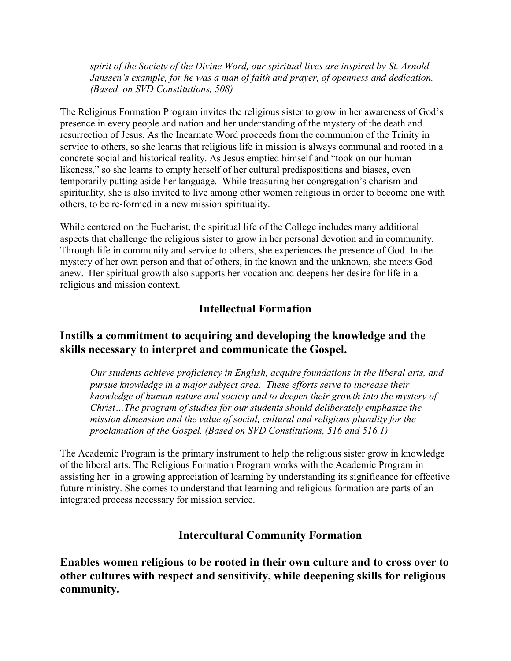*spirit of the Society of the Divine Word, our spiritual lives are inspired by St. Arnold Janssen's example, for he was a man of faith and prayer, of openness and dedication. (Based on SVD Constitutions, 508)*

The Religious Formation Program invites the religious sister to grow in her awareness of God's presence in every people and nation and her understanding of the mystery of the death and resurrection of Jesus. As the Incarnate Word proceeds from the communion of the Trinity in service to others, so she learns that religious life in mission is always communal and rooted in a concrete social and historical reality. As Jesus emptied himself and "took on our human likeness," so she learns to empty herself of her cultural predispositions and biases, even temporarily putting aside her language. While treasuring her congregation's charism and spirituality, she is also invited to live among other women religious in order to become one with others, to be re-formed in a new mission spirituality.

While centered on the Eucharist, the spiritual life of the College includes many additional aspects that challenge the religious sister to grow in her personal devotion and in community. Through life in community and service to others, she experiences the presence of God. In the mystery of her own person and that of others, in the known and the unknown, she meets God anew. Her spiritual growth also supports her vocation and deepens her desire for life in a religious and mission context.

#### **Intellectual Formation**

#### **Instills a commitment to acquiring and developing the knowledge and the skills necessary to interpret and communicate the Gospel.**

*Our students achieve proficiency in English, acquire foundations in the liberal arts, and pursue knowledge in a major subject area. These efforts serve to increase their knowledge of human nature and society and to deepen their growth into the mystery of Christ…The program of studies for our students should deliberately emphasize the mission dimension and the value of social, cultural and religious plurality for the proclamation of the Gospel. (Based on SVD Constitutions, 516 and 516.1)*

The Academic Program is the primary instrument to help the religious sister grow in knowledge of the liberal arts. The Religious Formation Program works with the Academic Program in assisting her in a growing appreciation of learning by understanding its significance for effective future ministry. She comes to understand that learning and religious formation are parts of an integrated process necessary for mission service.

#### **Intercultural Community Formation**

**Enables women religious to be rooted in their own culture and to cross over to other cultures with respect and sensitivity, while deepening skills for religious community.**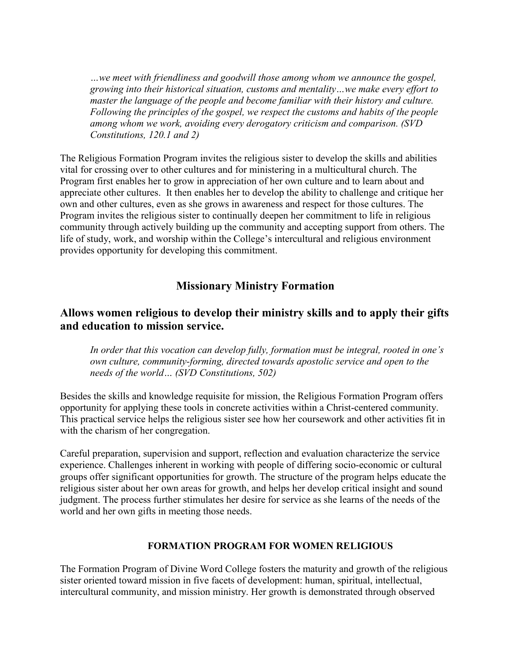*…we meet with friendliness and goodwill those among whom we announce the gospel, growing into their historical situation, customs and mentality…we make every effort to master the language of the people and become familiar with their history and culture. Following the principles of the gospel, we respect the customs and habits of the people among whom we work, avoiding every derogatory criticism and comparison. (SVD Constitutions, 120.1 and 2)*

The Religious Formation Program invites the religious sister to develop the skills and abilities vital for crossing over to other cultures and for ministering in a multicultural church. The Program first enables her to grow in appreciation of her own culture and to learn about and appreciate other cultures. It then enables her to develop the ability to challenge and critique her own and other cultures, even as she grows in awareness and respect for those cultures. The Program invites the religious sister to continually deepen her commitment to life in religious community through actively building up the community and accepting support from others. The life of study, work, and worship within the College's intercultural and religious environment provides opportunity for developing this commitment.

#### **Missionary Ministry Formation**

#### **Allows women religious to develop their ministry skills and to apply their gifts and education to mission service.**

*In order that this vocation can develop fully, formation must be integral, rooted in one's own culture, community-forming, directed towards apostolic service and open to the needs of the world… (SVD Constitutions, 502)*

Besides the skills and knowledge requisite for mission, the Religious Formation Program offers opportunity for applying these tools in concrete activities within a Christ-centered community. This practical service helps the religious sister see how her coursework and other activities fit in with the charism of her congregation.

Careful preparation, supervision and support, reflection and evaluation characterize the service experience. Challenges inherent in working with people of differing socio-economic or cultural groups offer significant opportunities for growth. The structure of the program helps educate the religious sister about her own areas for growth, and helps her develop critical insight and sound judgment. The process further stimulates her desire for service as she learns of the needs of the world and her own gifts in meeting those needs.

#### **FORMATION PROGRAM FOR WOMEN RELIGIOUS**

The Formation Program of Divine Word College fosters the maturity and growth of the religious sister oriented toward mission in five facets of development: human, spiritual, intellectual, intercultural community, and mission ministry. Her growth is demonstrated through observed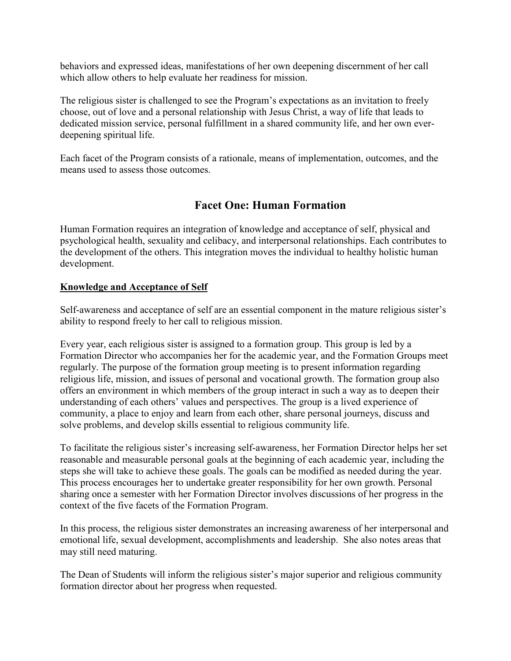behaviors and expressed ideas, manifestations of her own deepening discernment of her call which allow others to help evaluate her readiness for mission.

The religious sister is challenged to see the Program's expectations as an invitation to freely choose, out of love and a personal relationship with Jesus Christ, a way of life that leads to dedicated mission service, personal fulfillment in a shared community life, and her own everdeepening spiritual life.

Each facet of the Program consists of a rationale, means of implementation, outcomes, and the means used to assess those outcomes.

#### **Facet One: Human Formation**

Human Formation requires an integration of knowledge and acceptance of self, physical and psychological health, sexuality and celibacy, and interpersonal relationships. Each contributes to the development of the others. This integration moves the individual to healthy holistic human development.

#### **Knowledge and Acceptance of Self**

Self-awareness and acceptance of self are an essential component in the mature religious sister's ability to respond freely to her call to religious mission.

Every year, each religious sister is assigned to a formation group. This group is led by a Formation Director who accompanies her for the academic year, and the Formation Groups meet regularly. The purpose of the formation group meeting is to present information regarding religious life, mission, and issues of personal and vocational growth. The formation group also offers an environment in which members of the group interact in such a way as to deepen their understanding of each others' values and perspectives. The group is a lived experience of community, a place to enjoy and learn from each other, share personal journeys, discuss and solve problems, and develop skills essential to religious community life.

To facilitate the religious sister's increasing self-awareness, her Formation Director helps her set reasonable and measurable personal goals at the beginning of each academic year, including the steps she will take to achieve these goals. The goals can be modified as needed during the year. This process encourages her to undertake greater responsibility for her own growth. Personal sharing once a semester with her Formation Director involves discussions of her progress in the context of the five facets of the Formation Program.

In this process, the religious sister demonstrates an increasing awareness of her interpersonal and emotional life, sexual development, accomplishments and leadership. She also notes areas that may still need maturing.

The Dean of Students will inform the religious sister's major superior and religious community formation director about her progress when requested.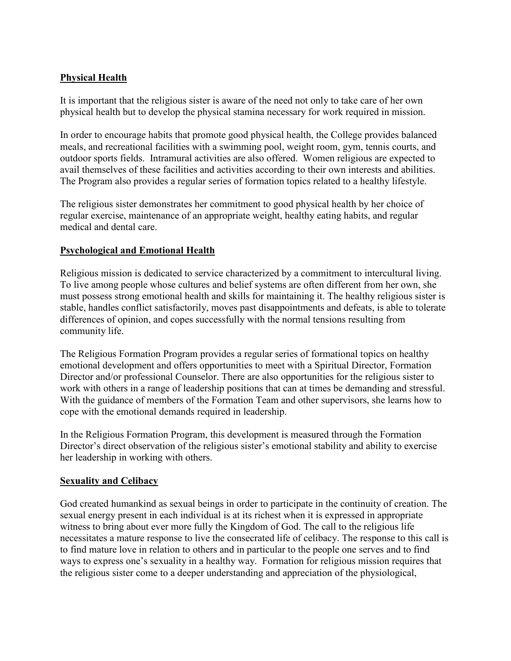#### **Physical Health**

It is important that the religious sister is aware of the need not only to take care of her own physical health but to develop the physical stamina necessary for work required in mission.

In order to encourage habits that promote good physical health, the College provides balanced meals, and recreational facilities with a swimming pool, weight room, gym, tennis courts, and outdoor sports fields. Intramural activities are also offered. Women religious are expected to avail themselves of these facilities and activities according to their own interests and abilities. The Program also provides a regular series of formation topics related to a healthy lifestyle.

The religious sister demonstrates her commitment to good physical health by her choice of regular exercise, maintenance of an appropriate weight, healthy eating habits, and regular medical and dental care.

#### **Psychological and Emotional Health**

Religious mission is dedicated to service characterized by a commitment to intercultural living. To live among people whose cultures and belief systems are often different from her own, she must possess strong emotional health and skills for maintaining it. The healthy religious sister is stable, handles conflict satisfactorily, moves past disappointments and defeats, is able to tolerate differences of opinion, and copes successfully with the normal tensions resulting from community life.

The Religious Formation Program provides a regular series of formational topics on healthy emotional development and offers opportunities to meet with a Spiritual Director, Formation Director and/or professional Counselor. There are also opportunities for the religious sister to work with others in a range of leadership positions that can at times be demanding and stressful. With the guidance of members of the Formation Team and other supervisors, she learns how to cope with the emotional demands required in leadership.

In the Religious Formation Program, this development is measured through the Formation Director's direct observation of the religious sister's emotional stability and ability to exercise her leadership in working with others.

#### **Sexuality and Celibacy**

God created humankind as sexual beings in order to participate in the continuity of creation. The sexual energy present in each individual is at its richest when it is expressed in appropriate witness to bring about ever more fully the Kingdom of God. The call to the religious life necessitates a mature response to live the consecrated life of celibacy. The response to this call is to find mature love in relation to others and in particular to the people one serves and to find ways to express one's sexuality in a healthy way. Formation for religious mission requires that the religious sister come to a deeper understanding and appreciation of the physiological,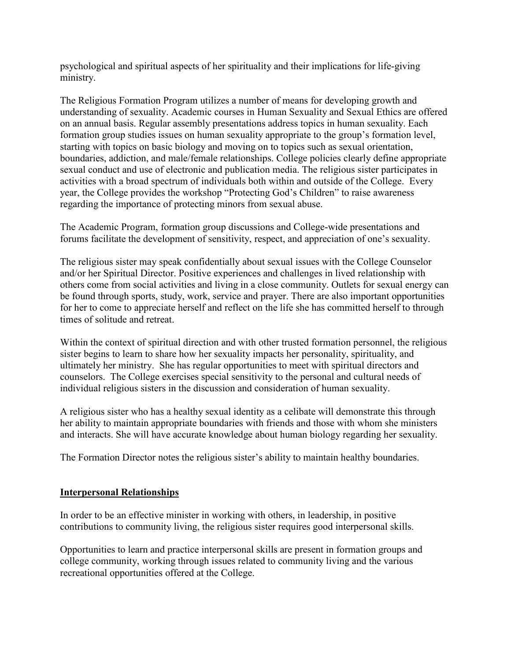psychological and spiritual aspects of her spirituality and their implications for life-giving ministry.

The Religious Formation Program utilizes a number of means for developing growth and understanding of sexuality. Academic courses in Human Sexuality and Sexual Ethics are offered on an annual basis. Regular assembly presentations address topics in human sexuality. Each formation group studies issues on human sexuality appropriate to the group's formation level, starting with topics on basic biology and moving on to topics such as sexual orientation, boundaries, addiction, and male/female relationships. College policies clearly define appropriate sexual conduct and use of electronic and publication media. The religious sister participates in activities with a broad spectrum of individuals both within and outside of the College. Every year, the College provides the workshop "Protecting God's Children" to raise awareness regarding the importance of protecting minors from sexual abuse.

The Academic Program, formation group discussions and College-wide presentations and forums facilitate the development of sensitivity, respect, and appreciation of one's sexuality.

The religious sister may speak confidentially about sexual issues with the College Counselor and/or her Spiritual Director. Positive experiences and challenges in lived relationship with others come from social activities and living in a close community. Outlets for sexual energy can be found through sports, study, work, service and prayer. There are also important opportunities for her to come to appreciate herself and reflect on the life she has committed herself to through times of solitude and retreat.

Within the context of spiritual direction and with other trusted formation personnel, the religious sister begins to learn to share how her sexuality impacts her personality, spirituality, and ultimately her ministry. She has regular opportunities to meet with spiritual directors and counselors. The College exercises special sensitivity to the personal and cultural needs of individual religious sisters in the discussion and consideration of human sexuality.

A religious sister who has a healthy sexual identity as a celibate will demonstrate this through her ability to maintain appropriate boundaries with friends and those with whom she ministers and interacts. She will have accurate knowledge about human biology regarding her sexuality.

The Formation Director notes the religious sister's ability to maintain healthy boundaries.

#### **Interpersonal Relationships**

In order to be an effective minister in working with others, in leadership, in positive contributions to community living, the religious sister requires good interpersonal skills.

Opportunities to learn and practice interpersonal skills are present in formation groups and college community, working through issues related to community living and the various recreational opportunities offered at the College.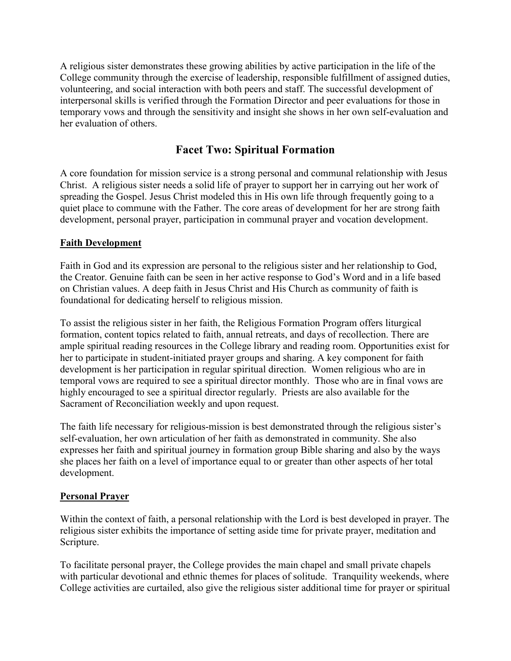A religious sister demonstrates these growing abilities by active participation in the life of the College community through the exercise of leadership, responsible fulfillment of assigned duties, volunteering, and social interaction with both peers and staff. The successful development of interpersonal skills is verified through the Formation Director and peer evaluations for those in temporary vows and through the sensitivity and insight she shows in her own self-evaluation and her evaluation of others.

#### **Facet Two: Spiritual Formation**

A core foundation for mission service is a strong personal and communal relationship with Jesus Christ. A religious sister needs a solid life of prayer to support her in carrying out her work of spreading the Gospel. Jesus Christ modeled this in His own life through frequently going to a quiet place to commune with the Father. The core areas of development for her are strong faith development, personal prayer, participation in communal prayer and vocation development.

#### **Faith Development**

Faith in God and its expression are personal to the religious sister and her relationship to God, the Creator. Genuine faith can be seen in her active response to God's Word and in a life based on Christian values. A deep faith in Jesus Christ and His Church as community of faith is foundational for dedicating herself to religious mission.

To assist the religious sister in her faith, the Religious Formation Program offers liturgical formation, content topics related to faith, annual retreats, and days of recollection. There are ample spiritual reading resources in the College library and reading room. Opportunities exist for her to participate in student-initiated prayer groups and sharing. A key component for faith development is her participation in regular spiritual direction. Women religious who are in temporal vows are required to see a spiritual director monthly. Those who are in final vows are highly encouraged to see a spiritual director regularly. Priests are also available for the Sacrament of Reconciliation weekly and upon request.

The faith life necessary for religious-mission is best demonstrated through the religious sister's self-evaluation, her own articulation of her faith as demonstrated in community. She also expresses her faith and spiritual journey in formation group Bible sharing and also by the ways she places her faith on a level of importance equal to or greater than other aspects of her total development.

#### **Personal Prayer**

Within the context of faith, a personal relationship with the Lord is best developed in prayer. The religious sister exhibits the importance of setting aside time for private prayer, meditation and Scripture.

To facilitate personal prayer, the College provides the main chapel and small private chapels with particular devotional and ethnic themes for places of solitude. Tranquility weekends, where College activities are curtailed, also give the religious sister additional time for prayer or spiritual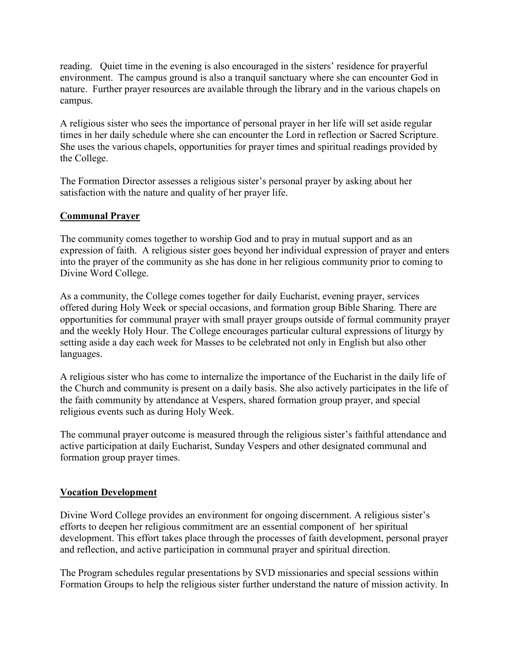reading. Quiet time in the evening is also encouraged in the sisters' residence for prayerful environment. The campus ground is also a tranquil sanctuary where she can encounter God in nature. Further prayer resources are available through the library and in the various chapels on campus.

A religious sister who sees the importance of personal prayer in her life will set aside regular times in her daily schedule where she can encounter the Lord in reflection or Sacred Scripture. She uses the various chapels, opportunities for prayer times and spiritual readings provided by the College.

The Formation Director assesses a religious sister's personal prayer by asking about her satisfaction with the nature and quality of her prayer life.

#### **Communal Prayer**

The community comes together to worship God and to pray in mutual support and as an expression of faith. A religious sister goes beyond her individual expression of prayer and enters into the prayer of the community as she has done in her religious community prior to coming to Divine Word College.

As a community, the College comes together for daily Eucharist, evening prayer, services offered during Holy Week or special occasions, and formation group Bible Sharing. There are opportunities for communal prayer with small prayer groups outside of formal community prayer and the weekly Holy Hour. The College encourages particular cultural expressions of liturgy by setting aside a day each week for Masses to be celebrated not only in English but also other languages.

A religious sister who has come to internalize the importance of the Eucharist in the daily life of the Church and community is present on a daily basis. She also actively participates in the life of the faith community by attendance at Vespers, shared formation group prayer, and special religious events such as during Holy Week.

The communal prayer outcome is measured through the religious sister's faithful attendance and active participation at daily Eucharist, Sunday Vespers and other designated communal and formation group prayer times.

#### **Vocation Development**

Divine Word College provides an environment for ongoing discernment. A religious sister's efforts to deepen her religious commitment are an essential component of her spiritual development. This effort takes place through the processes of faith development, personal prayer and reflection, and active participation in communal prayer and spiritual direction.

The Program schedules regular presentations by SVD missionaries and special sessions within Formation Groups to help the religious sister further understand the nature of mission activity. In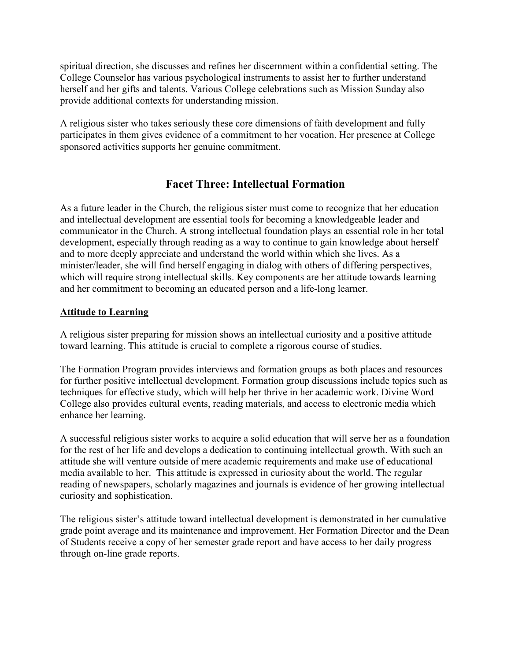spiritual direction, she discusses and refines her discernment within a confidential setting. The College Counselor has various psychological instruments to assist her to further understand herself and her gifts and talents. Various College celebrations such as Mission Sunday also provide additional contexts for understanding mission.

A religious sister who takes seriously these core dimensions of faith development and fully participates in them gives evidence of a commitment to her vocation. Her presence at College sponsored activities supports her genuine commitment.

#### **Facet Three: Intellectual Formation**

As a future leader in the Church, the religious sister must come to recognize that her education and intellectual development are essential tools for becoming a knowledgeable leader and communicator in the Church. A strong intellectual foundation plays an essential role in her total development, especially through reading as a way to continue to gain knowledge about herself and to more deeply appreciate and understand the world within which she lives. As a minister/leader, she will find herself engaging in dialog with others of differing perspectives, which will require strong intellectual skills. Key components are her attitude towards learning and her commitment to becoming an educated person and a life-long learner.

#### **Attitude to Learning**

A religious sister preparing for mission shows an intellectual curiosity and a positive attitude toward learning. This attitude is crucial to complete a rigorous course of studies.

The Formation Program provides interviews and formation groups as both places and resources for further positive intellectual development. Formation group discussions include topics such as techniques for effective study, which will help her thrive in her academic work. Divine Word College also provides cultural events, reading materials, and access to electronic media which enhance her learning.

A successful religious sister works to acquire a solid education that will serve her as a foundation for the rest of her life and develops a dedication to continuing intellectual growth. With such an attitude she will venture outside of mere academic requirements and make use of educational media available to her. This attitude is expressed in curiosity about the world. The regular reading of newspapers, scholarly magazines and journals is evidence of her growing intellectual curiosity and sophistication.

The religious sister's attitude toward intellectual development is demonstrated in her cumulative grade point average and its maintenance and improvement. Her Formation Director and the Dean of Students receive a copy of her semester grade report and have access to her daily progress through on-line grade reports.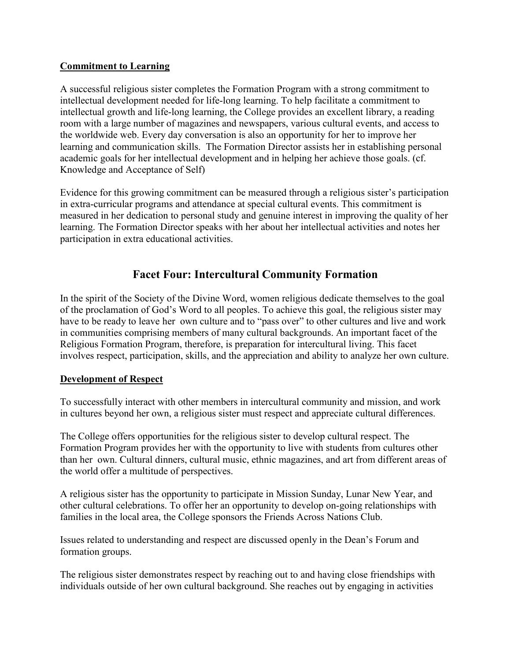#### **Commitment to Learning**

A successful religious sister completes the Formation Program with a strong commitment to intellectual development needed for life-long learning. To help facilitate a commitment to intellectual growth and life-long learning, the College provides an excellent library, a reading room with a large number of magazines and newspapers, various cultural events, and access to the worldwide web. Every day conversation is also an opportunity for her to improve her learning and communication skills. The Formation Director assists her in establishing personal academic goals for her intellectual development and in helping her achieve those goals. (cf. Knowledge and Acceptance of Self)

Evidence for this growing commitment can be measured through a religious sister's participation in extra-curricular programs and attendance at special cultural events. This commitment is measured in her dedication to personal study and genuine interest in improving the quality of her learning. The Formation Director speaks with her about her intellectual activities and notes her participation in extra educational activities.

#### **Facet Four: Intercultural Community Formation**

In the spirit of the Society of the Divine Word, women religious dedicate themselves to the goal of the proclamation of God's Word to all peoples. To achieve this goal, the religious sister may have to be ready to leave her own culture and to "pass over" to other cultures and live and work in communities comprising members of many cultural backgrounds. An important facet of the Religious Formation Program, therefore, is preparation for intercultural living. This facet involves respect, participation, skills, and the appreciation and ability to analyze her own culture.

#### **Development of Respect**

To successfully interact with other members in intercultural community and mission, and work in cultures beyond her own, a religious sister must respect and appreciate cultural differences.

The College offers opportunities for the religious sister to develop cultural respect. The Formation Program provides her with the opportunity to live with students from cultures other than her own. Cultural dinners, cultural music, ethnic magazines, and art from different areas of the world offer a multitude of perspectives.

A religious sister has the opportunity to participate in Mission Sunday, Lunar New Year, and other cultural celebrations. To offer her an opportunity to develop on-going relationships with families in the local area, the College sponsors the Friends Across Nations Club.

Issues related to understanding and respect are discussed openly in the Dean's Forum and formation groups.

The religious sister demonstrates respect by reaching out to and having close friendships with individuals outside of her own cultural background. She reaches out by engaging in activities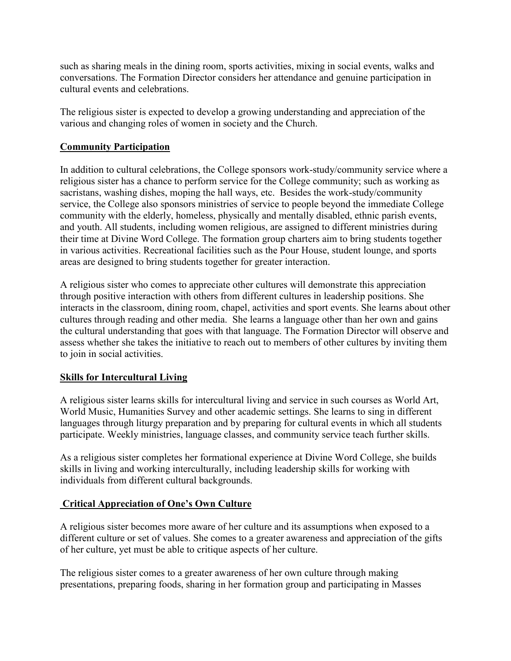such as sharing meals in the dining room, sports activities, mixing in social events, walks and conversations. The Formation Director considers her attendance and genuine participation in cultural events and celebrations.

The religious sister is expected to develop a growing understanding and appreciation of the various and changing roles of women in society and the Church.

#### **Community Participation**

In addition to cultural celebrations, the College sponsors work-study/community service where a religious sister has a chance to perform service for the College community; such as working as sacristans, washing dishes, moping the hall ways, etc. Besides the work-study/community service, the College also sponsors ministries of service to people beyond the immediate College community with the elderly, homeless, physically and mentally disabled, ethnic parish events, and youth. All students, including women religious, are assigned to different ministries during their time at Divine Word College. The formation group charters aim to bring students together in various activities. Recreational facilities such as the Pour House, student lounge, and sports areas are designed to bring students together for greater interaction.

A religious sister who comes to appreciate other cultures will demonstrate this appreciation through positive interaction with others from different cultures in leadership positions. She interacts in the classroom, dining room, chapel, activities and sport events. She learns about other cultures through reading and other media. She learns a language other than her own and gains the cultural understanding that goes with that language. The Formation Director will observe and assess whether she takes the initiative to reach out to members of other cultures by inviting them to join in social activities.

#### **Skills for Intercultural Living**

A religious sister learns skills for intercultural living and service in such courses as World Art, World Music, Humanities Survey and other academic settings. She learns to sing in different languages through liturgy preparation and by preparing for cultural events in which all students participate. Weekly ministries, language classes, and community service teach further skills.

As a religious sister completes her formational experience at Divine Word College, she builds skills in living and working interculturally, including leadership skills for working with individuals from different cultural backgrounds.

#### **Critical Appreciation of One's Own Culture**

A religious sister becomes more aware of her culture and its assumptions when exposed to a different culture or set of values. She comes to a greater awareness and appreciation of the gifts of her culture, yet must be able to critique aspects of her culture.

The religious sister comes to a greater awareness of her own culture through making presentations, preparing foods, sharing in her formation group and participating in Masses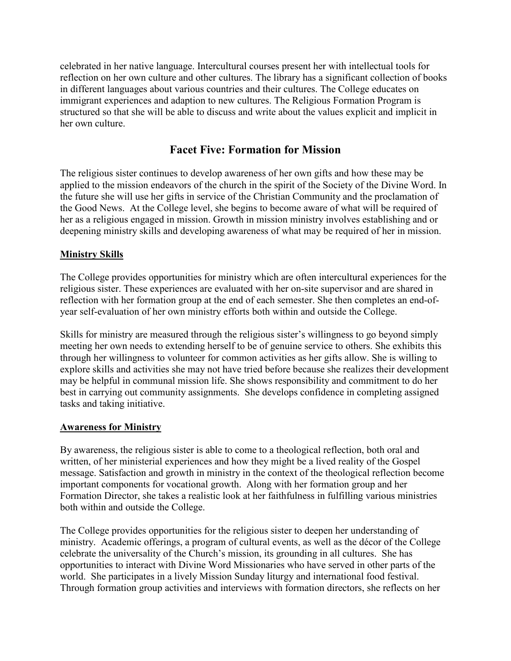celebrated in her native language. Intercultural courses present her with intellectual tools for reflection on her own culture and other cultures. The library has a significant collection of books in different languages about various countries and their cultures. The College educates on immigrant experiences and adaption to new cultures. The Religious Formation Program is structured so that she will be able to discuss and write about the values explicit and implicit in her own culture.

#### **Facet Five: Formation for Mission**

The religious sister continues to develop awareness of her own gifts and how these may be applied to the mission endeavors of the church in the spirit of the Society of the Divine Word. In the future she will use her gifts in service of the Christian Community and the proclamation of the Good News. At the College level, she begins to become aware of what will be required of her as a religious engaged in mission. Growth in mission ministry involves establishing and or deepening ministry skills and developing awareness of what may be required of her in mission.

#### **Ministry Skills**

The College provides opportunities for ministry which are often intercultural experiences for the religious sister. These experiences are evaluated with her on-site supervisor and are shared in reflection with her formation group at the end of each semester. She then completes an end-ofyear self-evaluation of her own ministry efforts both within and outside the College.

Skills for ministry are measured through the religious sister's willingness to go beyond simply meeting her own needs to extending herself to be of genuine service to others. She exhibits this through her willingness to volunteer for common activities as her gifts allow. She is willing to explore skills and activities she may not have tried before because she realizes their development may be helpful in communal mission life. She shows responsibility and commitment to do her best in carrying out community assignments. She develops confidence in completing assigned tasks and taking initiative.

#### **Awareness for Ministry**

By awareness, the religious sister is able to come to a theological reflection, both oral and written, of her ministerial experiences and how they might be a lived reality of the Gospel message. Satisfaction and growth in ministry in the context of the theological reflection become important components for vocational growth. Along with her formation group and her Formation Director, she takes a realistic look at her faithfulness in fulfilling various ministries both within and outside the College.

The College provides opportunities for the religious sister to deepen her understanding of ministry. Academic offerings, a program of cultural events, as well as the décor of the College celebrate the universality of the Church's mission, its grounding in all cultures. She has opportunities to interact with Divine Word Missionaries who have served in other parts of the world. She participates in a lively Mission Sunday liturgy and international food festival. Through formation group activities and interviews with formation directors, she reflects on her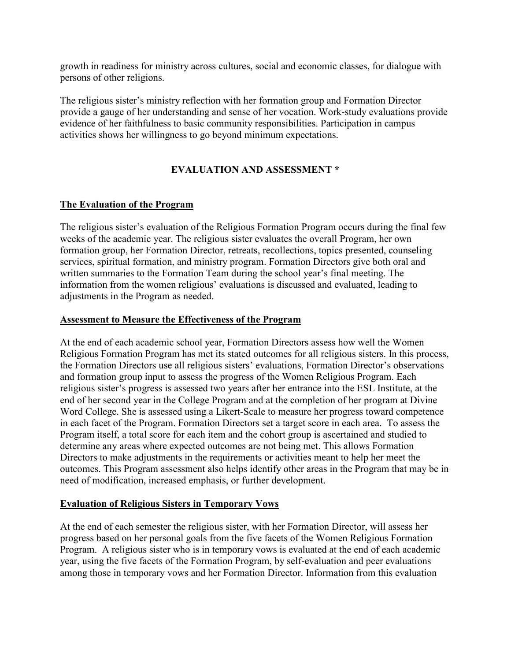growth in readiness for ministry across cultures, social and economic classes, for dialogue with persons of other religions.

The religious sister's ministry reflection with her formation group and Formation Director provide a gauge of her understanding and sense of her vocation. Work-study evaluations provide evidence of her faithfulness to basic community responsibilities. Participation in campus activities shows her willingness to go beyond minimum expectations.

#### **EVALUATION AND ASSESSMENT \***

#### **The Evaluation of the Program**

The religious sister's evaluation of the Religious Formation Program occurs during the final few weeks of the academic year. The religious sister evaluates the overall Program, her own formation group, her Formation Director, retreats, recollections, topics presented, counseling services, spiritual formation, and ministry program. Formation Directors give both oral and written summaries to the Formation Team during the school year's final meeting. The information from the women religious' evaluations is discussed and evaluated, leading to adjustments in the Program as needed.

#### **Assessment to Measure the Effectiveness of the Program**

At the end of each academic school year, Formation Directors assess how well the Women Religious Formation Program has met its stated outcomes for all religious sisters. In this process, the Formation Directors use all religious sisters' evaluations, Formation Director's observations and formation group input to assess the progress of the Women Religious Program. Each religious sister's progress is assessed two years after her entrance into the ESL Institute, at the end of her second year in the College Program and at the completion of her program at Divine Word College. She is assessed using a Likert-Scale to measure her progress toward competence in each facet of the Program. Formation Directors set a target score in each area. To assess the Program itself, a total score for each item and the cohort group is ascertained and studied to determine any areas where expected outcomes are not being met. This allows Formation Directors to make adjustments in the requirements or activities meant to help her meet the outcomes. This Program assessment also helps identify other areas in the Program that may be in need of modification, increased emphasis, or further development.

#### **Evaluation of Religious Sisters in Temporary Vows**

At the end of each semester the religious sister, with her Formation Director, will assess her progress based on her personal goals from the five facets of the Women Religious Formation Program. A religious sister who is in temporary vows is evaluated at the end of each academic year, using the five facets of the Formation Program, by self-evaluation and peer evaluations among those in temporary vows and her Formation Director. Information from this evaluation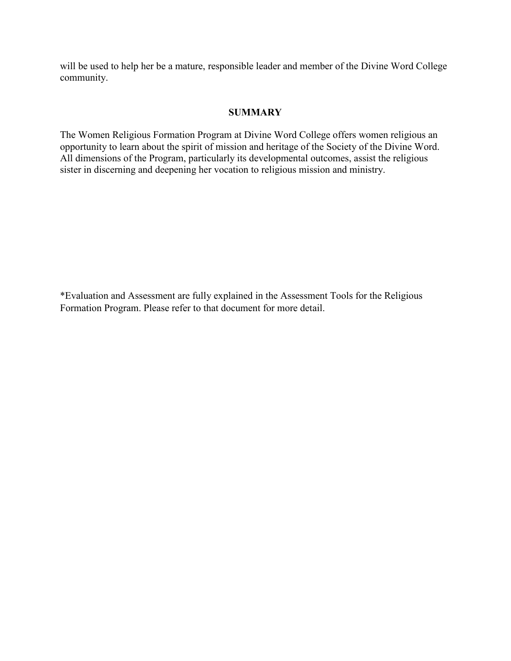will be used to help her be a mature, responsible leader and member of the Divine Word College community.

#### **SUMMARY**

The Women Religious Formation Program at Divine Word College offers women religious an opportunity to learn about the spirit of mission and heritage of the Society of the Divine Word. All dimensions of the Program, particularly its developmental outcomes, assist the religious sister in discerning and deepening her vocation to religious mission and ministry.

\*Evaluation and Assessment are fully explained in the Assessment Tools for the Religious Formation Program. Please refer to that document for more detail.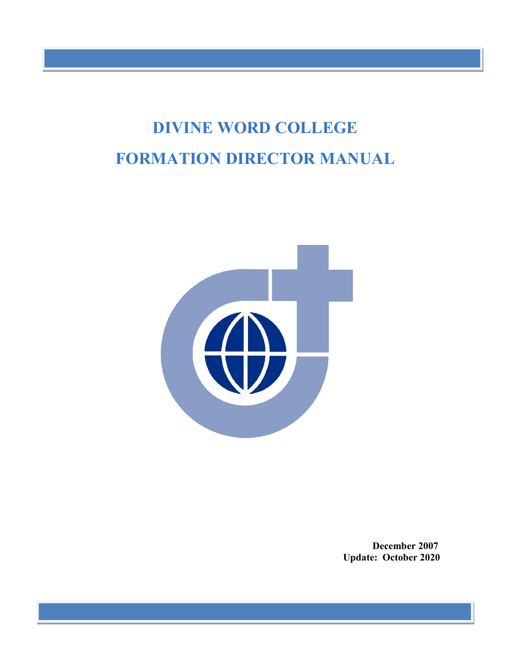# **DIVINE WORD COLLEGE FORMATION DIRECTOR MANUAL**



**December 2007 Update: October 2020**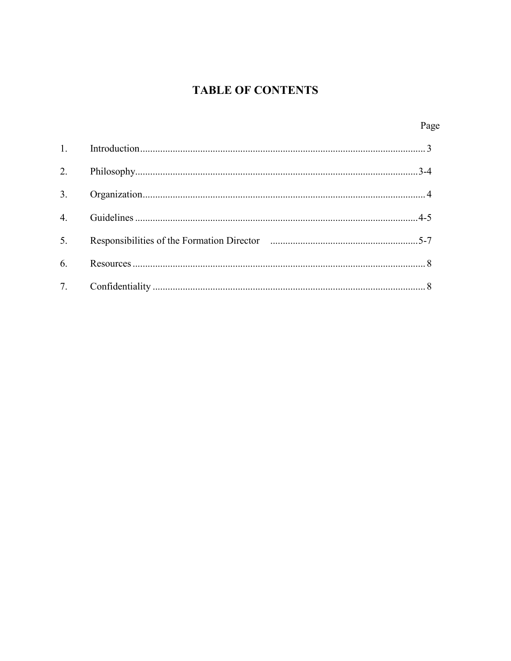### **TABLE OF CONTENTS**

| 4. |  |
|----|--|
| 5. |  |
|    |  |
|    |  |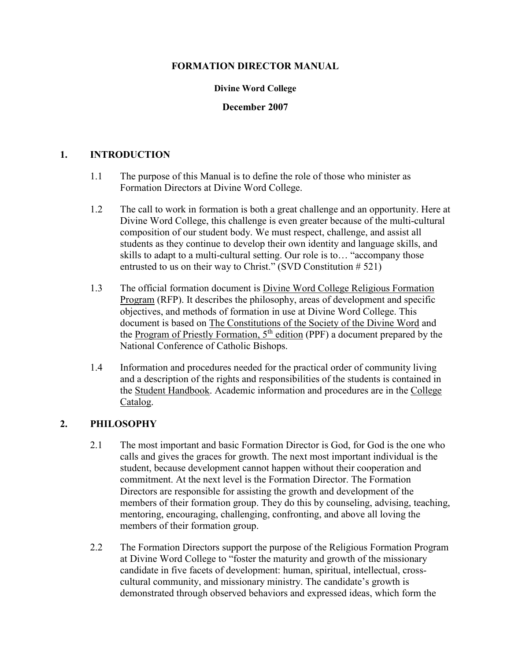#### **FORMATION DIRECTOR MANUAL**

#### **Divine Word College**

#### **December 2007**

#### **1. INTRODUCTION**

- 1.1 The purpose of this Manual is to define the role of those who minister as Formation Directors at Divine Word College.
- 1.2 The call to work in formation is both a great challenge and an opportunity. Here at Divine Word College, this challenge is even greater because of the multi-cultural composition of our student body. We must respect, challenge, and assist all students as they continue to develop their own identity and language skills, and skills to adapt to a multi-cultural setting. Our role is to… "accompany those entrusted to us on their way to Christ." (SVD Constitution # 521)
- 1.3 The official formation document is Divine Word College Religious Formation Program (RFP). It describes the philosophy, areas of development and specific objectives, and methods of formation in use at Divine Word College. This document is based on The Constitutions of the Society of the Divine Word and the Program of Priestly Formation,  $5<sup>th</sup>$  edition (PPF) a document prepared by the National Conference of Catholic Bishops.
- 1.4 Information and procedures needed for the practical order of community living and a description of the rights and responsibilities of the students is contained in the Student Handbook. Academic information and procedures are in the College Catalog.

#### **2. PHILOSOPHY**

- 2.1 The most important and basic Formation Director is God, for God is the one who calls and gives the graces for growth. The next most important individual is the student, because development cannot happen without their cooperation and commitment. At the next level is the Formation Director. The Formation Directors are responsible for assisting the growth and development of the members of their formation group. They do this by counseling, advising, teaching, mentoring, encouraging, challenging, confronting, and above all loving the members of their formation group.
- 2.2 The Formation Directors support the purpose of the Religious Formation Program at Divine Word College to "foster the maturity and growth of the missionary candidate in five facets of development: human, spiritual, intellectual, crosscultural community, and missionary ministry. The candidate's growth is demonstrated through observed behaviors and expressed ideas, which form the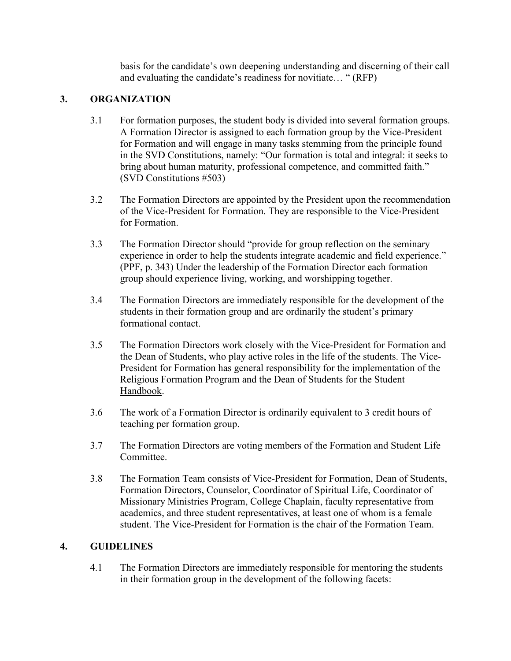basis for the candidate's own deepening understanding and discerning of their call and evaluating the candidate's readiness for novitiate… " (RFP)

#### **3. ORGANIZATION**

- 3.1 For formation purposes, the student body is divided into several formation groups. A Formation Director is assigned to each formation group by the Vice-President for Formation and will engage in many tasks stemming from the principle found in the SVD Constitutions, namely: "Our formation is total and integral: it seeks to bring about human maturity, professional competence, and committed faith." (SVD Constitutions #503)
- 3.2 The Formation Directors are appointed by the President upon the recommendation of the Vice-President for Formation. They are responsible to the Vice-President for Formation.
- 3.3 The Formation Director should "provide for group reflection on the seminary experience in order to help the students integrate academic and field experience." (PPF, p. 343) Under the leadership of the Formation Director each formation group should experience living, working, and worshipping together.
- 3.4 The Formation Directors are immediately responsible for the development of the students in their formation group and are ordinarily the student's primary formational contact.
- 3.5 The Formation Directors work closely with the Vice-President for Formation and the Dean of Students, who play active roles in the life of the students. The Vice-President for Formation has general responsibility for the implementation of the Religious Formation Program and the Dean of Students for the Student Handbook.
- 3.6 The work of a Formation Director is ordinarily equivalent to 3 credit hours of teaching per formation group.
- 3.7 The Formation Directors are voting members of the Formation and Student Life Committee.
- 3.8 The Formation Team consists of Vice-President for Formation, Dean of Students, Formation Directors, Counselor, Coordinator of Spiritual Life, Coordinator of Missionary Ministries Program, College Chaplain, faculty representative from academics, and three student representatives, at least one of whom is a female student. The Vice-President for Formation is the chair of the Formation Team.

#### **4. GUIDELINES**

4.1 The Formation Directors are immediately responsible for mentoring the students in their formation group in the development of the following facets: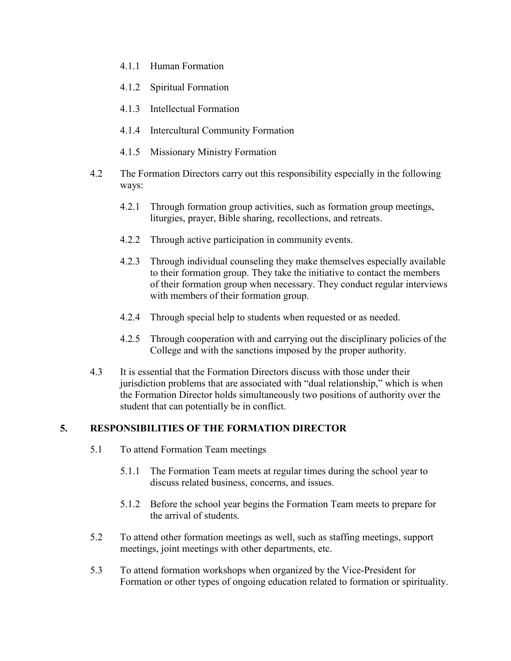- 4.1.1 Human Formation
- 4.1.2 Spiritual Formation
- 4.1.3 Intellectual Formation
- 4.1.4 Intercultural Community Formation
- 4.1.5 Missionary Ministry Formation
- 4.2 The Formation Directors carry out this responsibility especially in the following ways:
	- 4.2.1 Through formation group activities, such as formation group meetings, liturgies, prayer, Bible sharing, recollections, and retreats.
	- 4.2.2 Through active participation in community events.
	- 4.2.3 Through individual counseling they make themselves especially available to their formation group. They take the initiative to contact the members of their formation group when necessary. They conduct regular interviews with members of their formation group.
	- 4.2.4 Through special help to students when requested or as needed.
	- 4.2.5 Through cooperation with and carrying out the disciplinary policies of the College and with the sanctions imposed by the proper authority.
- 4.3 It is essential that the Formation Directors discuss with those under their jurisdiction problems that are associated with "dual relationship," which is when the Formation Director holds simultaneously two positions of authority over the student that can potentially be in conflict.

#### **5. RESPONSIBILITIES OF THE FORMATION DIRECTOR**

- 5.1 To attend Formation Team meetings
	- 5.1.1 The Formation Team meets at regular times during the school year to discuss related business, concerns, and issues.
	- 5.1.2 Before the school year begins the Formation Team meets to prepare for the arrival of students.
- 5.2 To attend other formation meetings as well, such as staffing meetings, support meetings, joint meetings with other departments, etc.
- 5.3 To attend formation workshops when organized by the Vice-President for Formation or other types of ongoing education related to formation or spirituality.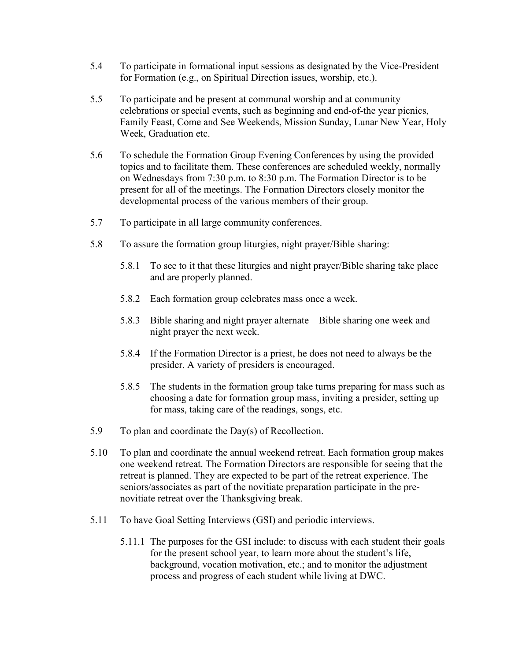- 5.4 To participate in formational input sessions as designated by the Vice-President for Formation (e.g., on Spiritual Direction issues, worship, etc.).
- 5.5 To participate and be present at communal worship and at community celebrations or special events, such as beginning and end-of-the year picnics, Family Feast, Come and See Weekends, Mission Sunday, Lunar New Year, Holy Week, Graduation etc.
- 5.6 To schedule the Formation Group Evening Conferences by using the provided topics and to facilitate them. These conferences are scheduled weekly, normally on Wednesdays from 7:30 p.m. to 8:30 p.m. The Formation Director is to be present for all of the meetings. The Formation Directors closely monitor the developmental process of the various members of their group.
- 5.7 To participate in all large community conferences.
- 5.8 To assure the formation group liturgies, night prayer/Bible sharing:
	- 5.8.1 To see to it that these liturgies and night prayer/Bible sharing take place and are properly planned.
	- 5.8.2 Each formation group celebrates mass once a week.
	- 5.8.3 Bible sharing and night prayer alternate Bible sharing one week and night prayer the next week.
	- 5.8.4 If the Formation Director is a priest, he does not need to always be the presider. A variety of presiders is encouraged.
	- 5.8.5 The students in the formation group take turns preparing for mass such as choosing a date for formation group mass, inviting a presider, setting up for mass, taking care of the readings, songs, etc.
- 5.9 To plan and coordinate the Day(s) of Recollection.
- 5.10 To plan and coordinate the annual weekend retreat. Each formation group makes one weekend retreat. The Formation Directors are responsible for seeing that the retreat is planned. They are expected to be part of the retreat experience. The seniors/associates as part of the novitiate preparation participate in the prenovitiate retreat over the Thanksgiving break.
- 5.11 To have Goal Setting Interviews (GSI) and periodic interviews.
	- 5.11.1 The purposes for the GSI include: to discuss with each student their goals for the present school year, to learn more about the student's life, background, vocation motivation, etc.; and to monitor the adjustment process and progress of each student while living at DWC.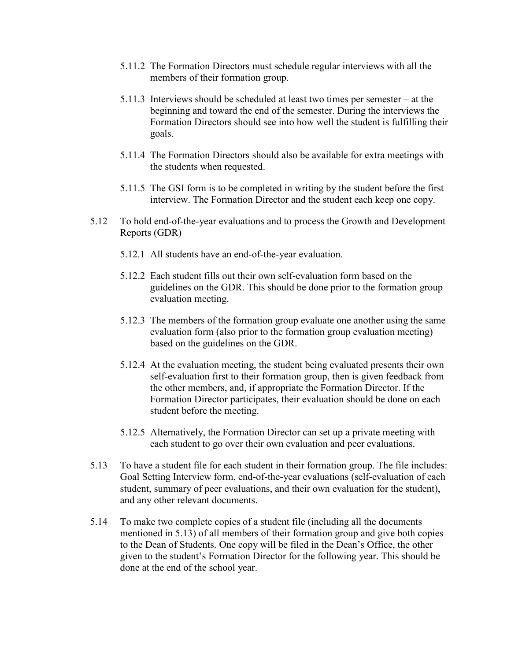- 5.11.2 The Formation Directors must schedule regular interviews with all the members of their formation group.
- 5.11.3 Interviews should be scheduled at least two times per semester at the beginning and toward the end of the semester. During the interviews the Formation Directors should see into how well the student is fulfilling their goals.
- 5.11.4 The Formation Directors should also be available for extra meetings with the students when requested.
- 5.11.5 The GSI form is to be completed in writing by the student before the first interview. The Formation Director and the student each keep one copy.
- 5.12 To hold end-of-the-year evaluations and to process the Growth and Development Reports (GDR)
	- 5.12.1 All students have an end-of-the-year evaluation.
	- 5.12.2 Each student fills out their own self-evaluation form based on the guidelines on the GDR. This should be done prior to the formation group evaluation meeting.
	- 5.12.3 The members of the formation group evaluate one another using the same evaluation form (also prior to the formation group evaluation meeting) based on the guidelines on the GDR.
	- 5.12.4 At the evaluation meeting, the student being evaluated presents their own self-evaluation first to their formation group, then is given feedback from the other members, and, if appropriate the Formation Director. If the Formation Director participates, their evaluation should be done on each student before the meeting.
	- 5.12.5 Alternatively, the Formation Director can set up a private meeting with each student to go over their own evaluation and peer evaluations.
- 5.13 To have a student file for each student in their formation group. The file includes: Goal Setting Interview form, end-of-the-year evaluations (self-evaluation of each student, summary of peer evaluations, and their own evaluation for the student), and any other relevant documents.
- 5.14 To make two complete copies of a student file (including all the documents mentioned in 5.13) of all members of their formation group and give both copies to the Dean of Students. One copy will be filed in the Dean's Office, the other given to the student's Formation Director for the following year. This should be done at the end of the school year.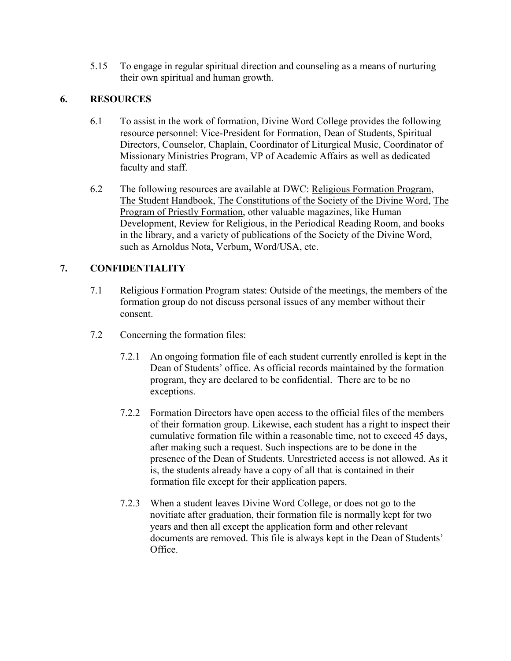5.15 To engage in regular spiritual direction and counseling as a means of nurturing their own spiritual and human growth.

#### **6. RESOURCES**

- 6.1 To assist in the work of formation, Divine Word College provides the following resource personnel: Vice-President for Formation, Dean of Students, Spiritual Directors, Counselor, Chaplain, Coordinator of Liturgical Music, Coordinator of Missionary Ministries Program, VP of Academic Affairs as well as dedicated faculty and staff.
- 6.2 The following resources are available at DWC: Religious Formation Program, The Student Handbook, The Constitutions of the Society of the Divine Word, The Program of Priestly Formation, other valuable magazines, like Human Development, Review for Religious, in the Periodical Reading Room, and books in the library, and a variety of publications of the Society of the Divine Word, such as Arnoldus Nota, Verbum, Word/USA, etc.

#### **7. CONFIDENTIALITY**

- 7.1 Religious Formation Program states: Outside of the meetings, the members of the formation group do not discuss personal issues of any member without their consent.
- 7.2 Concerning the formation files:
	- 7.2.1 An ongoing formation file of each student currently enrolled is kept in the Dean of Students' office. As official records maintained by the formation program, they are declared to be confidential. There are to be no exceptions.
	- 7.2.2 Formation Directors have open access to the official files of the members of their formation group. Likewise, each student has a right to inspect their cumulative formation file within a reasonable time, not to exceed 45 days, after making such a request. Such inspections are to be done in the presence of the Dean of Students. Unrestricted access is not allowed. As it is, the students already have a copy of all that is contained in their formation file except for their application papers.
	- 7.2.3 When a student leaves Divine Word College, or does not go to the novitiate after graduation, their formation file is normally kept for two years and then all except the application form and other relevant documents are removed. This file is always kept in the Dean of Students' Office.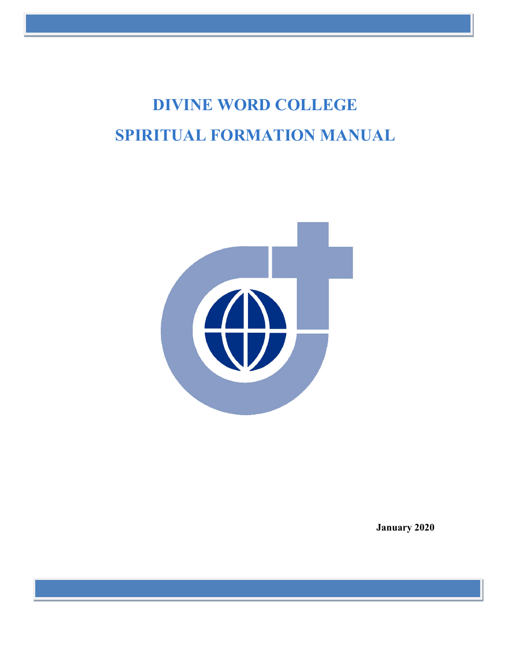# **DIVINE WORD COLLEGE SPIRITUAL FORMATION MANUAL**



**January 2020**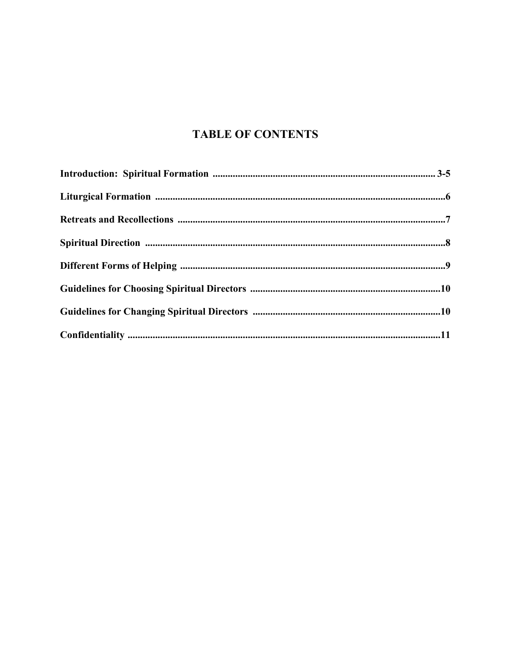### **TABLE OF CONTENTS**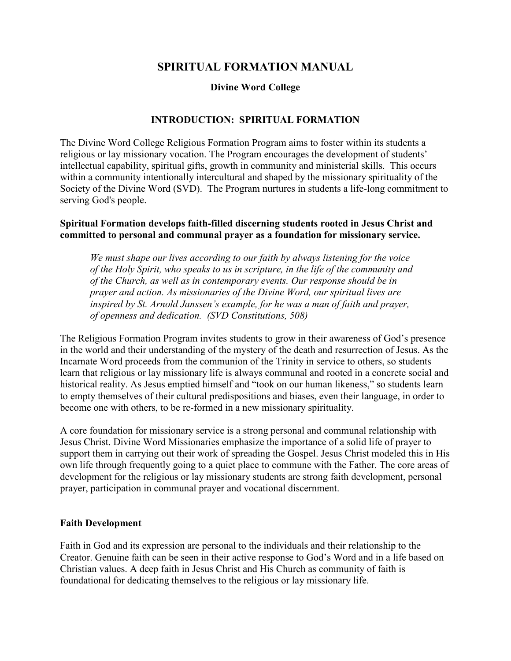#### **SPIRITUAL FORMATION MANUAL**

#### **Divine Word College**

#### **INTRODUCTION: SPIRITUAL FORMATION**

The Divine Word College Religious Formation Program aims to foster within its students a religious or lay missionary vocation. The Program encourages the development of students' intellectual capability, spiritual gifts, growth in community and ministerial skills. This occurs within a community intentionally intercultural and shaped by the missionary spirituality of the Society of the Divine Word (SVD). The Program nurtures in students a life-long commitment to serving God's people.

#### **Spiritual Formation develops faith-filled discerning students rooted in Jesus Christ and committed to personal and communal prayer as a foundation for missionary service.**

*We must shape our lives according to our faith by always listening for the voice of the Holy Spirit, who speaks to us in scripture, in the life of the community and of the Church, as well as in contemporary events. Our response should be in prayer and action. As missionaries of the Divine Word, our spiritual lives are inspired by St. Arnold Janssen's example, for he was a man of faith and prayer, of openness and dedication. (SVD Constitutions, 508)*

The Religious Formation Program invites students to grow in their awareness of God's presence in the world and their understanding of the mystery of the death and resurrection of Jesus. As the Incarnate Word proceeds from the communion of the Trinity in service to others, so students learn that religious or lay missionary life is always communal and rooted in a concrete social and historical reality. As Jesus emptied himself and "took on our human likeness," so students learn to empty themselves of their cultural predispositions and biases, even their language, in order to become one with others, to be re-formed in a new missionary spirituality.

A core foundation for missionary service is a strong personal and communal relationship with Jesus Christ. Divine Word Missionaries emphasize the importance of a solid life of prayer to support them in carrying out their work of spreading the Gospel. Jesus Christ modeled this in His own life through frequently going to a quiet place to commune with the Father. The core areas of development for the religious or lay missionary students are strong faith development, personal prayer, participation in communal prayer and vocational discernment.

#### **Faith Development**

Faith in God and its expression are personal to the individuals and their relationship to the Creator. Genuine faith can be seen in their active response to God's Word and in a life based on Christian values. A deep faith in Jesus Christ and His Church as community of faith is foundational for dedicating themselves to the religious or lay missionary life.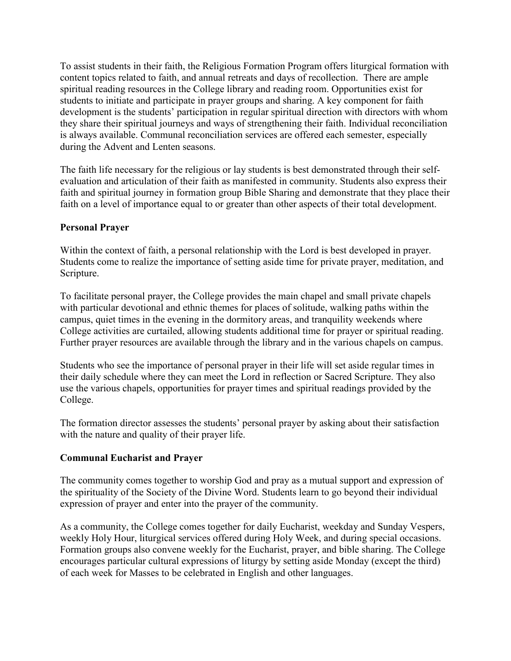To assist students in their faith, the Religious Formation Program offers liturgical formation with content topics related to faith, and annual retreats and days of recollection. There are ample spiritual reading resources in the College library and reading room. Opportunities exist for students to initiate and participate in prayer groups and sharing. A key component for faith development is the students' participation in regular spiritual direction with directors with whom they share their spiritual journeys and ways of strengthening their faith. Individual reconciliation is always available. Communal reconciliation services are offered each semester, especially during the Advent and Lenten seasons.

The faith life necessary for the religious or lay students is best demonstrated through their selfevaluation and articulation of their faith as manifested in community. Students also express their faith and spiritual journey in formation group Bible Sharing and demonstrate that they place their faith on a level of importance equal to or greater than other aspects of their total development.

#### **Personal Prayer**

Within the context of faith, a personal relationship with the Lord is best developed in prayer. Students come to realize the importance of setting aside time for private prayer, meditation, and Scripture.

To facilitate personal prayer, the College provides the main chapel and small private chapels with particular devotional and ethnic themes for places of solitude, walking paths within the campus, quiet times in the evening in the dormitory areas, and tranquility weekends where College activities are curtailed, allowing students additional time for prayer or spiritual reading. Further prayer resources are available through the library and in the various chapels on campus.

Students who see the importance of personal prayer in their life will set aside regular times in their daily schedule where they can meet the Lord in reflection or Sacred Scripture. They also use the various chapels, opportunities for prayer times and spiritual readings provided by the College.

The formation director assesses the students' personal prayer by asking about their satisfaction with the nature and quality of their prayer life.

#### **Communal Eucharist and Prayer**

The community comes together to worship God and pray as a mutual support and expression of the spirituality of the Society of the Divine Word. Students learn to go beyond their individual expression of prayer and enter into the prayer of the community.

As a community, the College comes together for daily Eucharist, weekday and Sunday Vespers, weekly Holy Hour, liturgical services offered during Holy Week, and during special occasions. Formation groups also convene weekly for the Eucharist, prayer, and bible sharing. The College encourages particular cultural expressions of liturgy by setting aside Monday (except the third) of each week for Masses to be celebrated in English and other languages.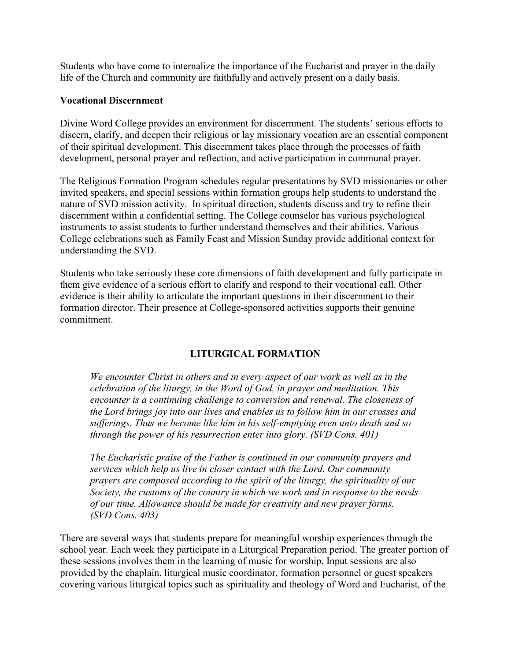Students who have come to internalize the importance of the Eucharist and prayer in the daily life of the Church and community are faithfully and actively present on a daily basis.

# **Vocational Discernment**

Divine Word College provides an environment for discernment. The students' serious efforts to discern, clarify, and deepen their religious or lay missionary vocation are an essential component of their spiritual development. This discernment takes place through the processes of faith development, personal prayer and reflection, and active participation in communal prayer.

The Religious Formation Program schedules regular presentations by SVD missionaries or other invited speakers, and special sessions within formation groups help students to understand the nature of SVD mission activity. In spiritual direction, students discuss and try to refine their discernment within a confidential setting. The College counselor has various psychological instruments to assist students to further understand themselves and their abilities. Various College celebrations such as Family Feast and Mission Sunday provide additional context for understanding the SVD.

Students who take seriously these core dimensions of faith development and fully participate in them give evidence of a serious effort to clarify and respond to their vocational call. Other evidence is their ability to articulate the important questions in their discernment to their formation director. Their presence at College-sponsored activities supports their genuine commitment.

# **LITURGICAL FORMATION**

*We encounter Christ in others and in every aspect of our work as well as in the celebration of the liturgy, in the Word of God, in prayer and meditation. This encounter is a continuing challenge to conversion and renewal. The closeness of the Lord brings joy into our lives and enables us to follow him in our crosses and sufferings. Thus we become like him in his self-emptying even unto death and so through the power of his resurrection enter into glory. (SVD Cons. 401)*

*The Eucharistic praise of the Father is continued in our community prayers and services which help us live in closer contact with the Lord. Our community prayers are composed according to the spirit of the liturgy, the spirituality of our Society, the customs of the country in which we work and in response to the needs of our time. Allowance should be made for creativity and new prayer forms. (SVD Cons. 403)*

There are several ways that students prepare for meaningful worship experiences through the school year. Each week they participate in a Liturgical Preparation period. The greater portion of these sessions involves them in the learning of music for worship. Input sessions are also provided by the chaplain, liturgical music coordinator, formation personnel or guest speakers covering various liturgical topics such as spirituality and theology of Word and Eucharist, of the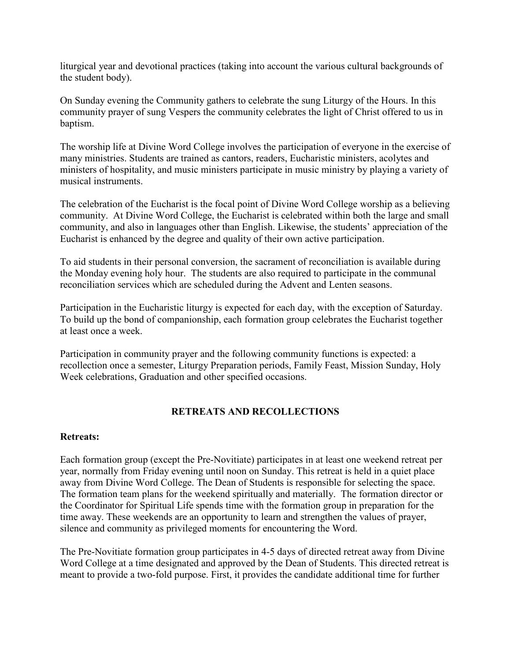liturgical year and devotional practices (taking into account the various cultural backgrounds of the student body).

On Sunday evening the Community gathers to celebrate the sung Liturgy of the Hours. In this community prayer of sung Vespers the community celebrates the light of Christ offered to us in baptism.

The worship life at Divine Word College involves the participation of everyone in the exercise of many ministries. Students are trained as cantors, readers, Eucharistic ministers, acolytes and ministers of hospitality, and music ministers participate in music ministry by playing a variety of musical instruments.

The celebration of the Eucharist is the focal point of Divine Word College worship as a believing community. At Divine Word College, the Eucharist is celebrated within both the large and small community, and also in languages other than English. Likewise, the students' appreciation of the Eucharist is enhanced by the degree and quality of their own active participation.

To aid students in their personal conversion, the sacrament of reconciliation is available during the Monday evening holy hour. The students are also required to participate in the communal reconciliation services which are scheduled during the Advent and Lenten seasons.

Participation in the Eucharistic liturgy is expected for each day, with the exception of Saturday. To build up the bond of companionship, each formation group celebrates the Eucharist together at least once a week.

Participation in community prayer and the following community functions is expected: a recollection once a semester, Liturgy Preparation periods, Family Feast, Mission Sunday, Holy Week celebrations, Graduation and other specified occasions.

# **RETREATS AND RECOLLECTIONS**

# **Retreats:**

Each formation group (except the Pre-Novitiate) participates in at least one weekend retreat per year, normally from Friday evening until noon on Sunday. This retreat is held in a quiet place away from Divine Word College. The Dean of Students is responsible for selecting the space. The formation team plans for the weekend spiritually and materially. The formation director or the Coordinator for Spiritual Life spends time with the formation group in preparation for the time away. These weekends are an opportunity to learn and strengthen the values of prayer, silence and community as privileged moments for encountering the Word.

The Pre-Novitiate formation group participates in 4-5 days of directed retreat away from Divine Word College at a time designated and approved by the Dean of Students. This directed retreat is meant to provide a two-fold purpose. First, it provides the candidate additional time for further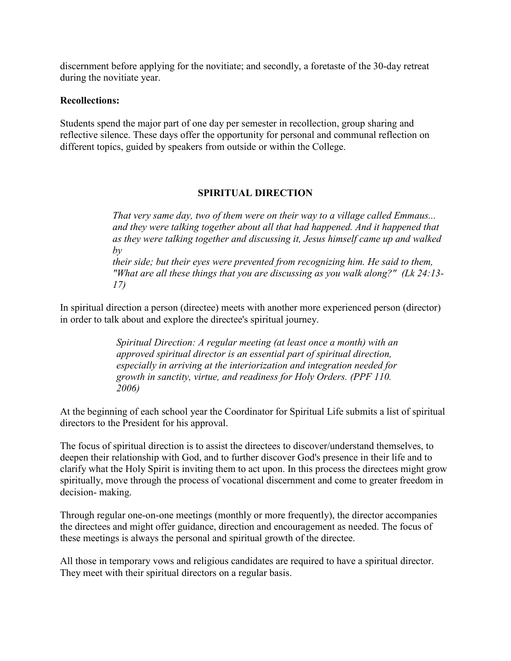discernment before applying for the novitiate; and secondly, a foretaste of the 30-day retreat during the novitiate year.

# **Recollections:**

Students spend the major part of one day per semester in recollection, group sharing and reflective silence. These days offer the opportunity for personal and communal reflection on different topics, guided by speakers from outside or within the College.

# **SPIRITUAL DIRECTION**

*That very same day, two of them were on their way to a village called Emmaus... and they were talking together about all that had happened. And it happened that as they were talking together and discussing it, Jesus himself came up and walked by their side; but their eyes were prevented from recognizing him. He said to them, "What are all these things that you are discussing as you walk along?" (Lk 24:13- 17)*

In spiritual direction a person (directee) meets with another more experienced person (director) in order to talk about and explore the directee's spiritual journey.

> *Spiritual Direction: A regular meeting (at least once a month) with an approved spiritual director is an essential part of spiritual direction, especially in arriving at the interiorization and integration needed for growth in sanctity, virtue, and readiness for Holy Orders. (PPF 110. 2006)*

At the beginning of each school year the Coordinator for Spiritual Life submits a list of spiritual directors to the President for his approval.

The focus of spiritual direction is to assist the directees to discover/understand themselves, to deepen their relationship with God, and to further discover God's presence in their life and to clarify what the Holy Spirit is inviting them to act upon. In this process the directees might grow spiritually, move through the process of vocational discernment and come to greater freedom in decision- making.

Through regular one-on-one meetings (monthly or more frequently), the director accompanies the directees and might offer guidance, direction and encouragement as needed. The focus of these meetings is always the personal and spiritual growth of the directee.

All those in temporary vows and religious candidates are required to have a spiritual director. They meet with their spiritual directors on a regular basis.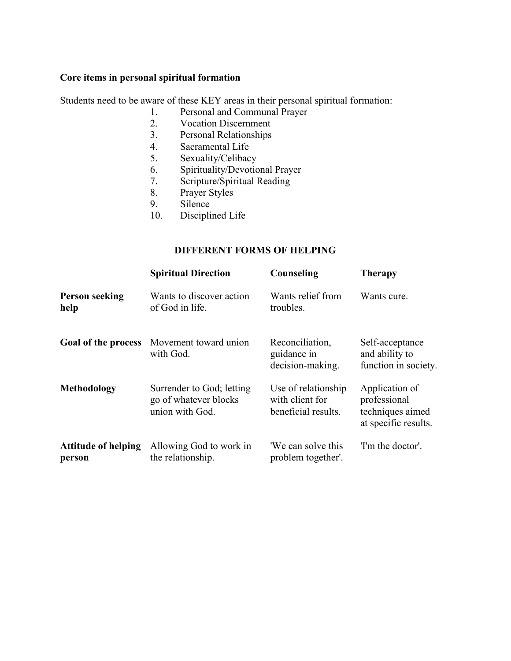# **Core items in personal spiritual formation**

Students need to be aware of these KEY areas in their personal spiritual formation:

- 1. Personal and Communal Prayer
- 2. Vocation Discernment
- 3. Personal Relationships
- 4. Sacramental Life<br>5. Sexuality/Celibac
- Sexuality/Celibacy
- 6. Spirituality/Devotional Prayer
- 7. Scripture/Spiritual Reading
- 8. Prayer Styles
- 9. Silence
- 10. Disciplined Life

# **DIFFERENT FORMS OF HELPING**

|                                      | <b>Spiritual Direction</b>                                            | Counseling                                                    | <b>Therapy</b>                                                             |
|--------------------------------------|-----------------------------------------------------------------------|---------------------------------------------------------------|----------------------------------------------------------------------------|
| <b>Person seeking</b><br>help        | Wants to discover action<br>of God in life.                           | Wants relief from<br>troubles.                                | Wants cure.                                                                |
| Goal of the process                  | Movement toward union<br>with God.                                    | Reconciliation,<br>guidance in<br>decision-making.            | Self-acceptance<br>and ability to<br>function in society.                  |
| Methodology                          | Surrender to God; letting<br>go of whatever blocks<br>union with God. | Use of relationship<br>with client for<br>beneficial results. | Application of<br>professional<br>techniques aimed<br>at specific results. |
| <b>Attitude of helping</b><br>person | Allowing God to work in<br>the relationship.                          | 'We can solve this<br>problem together'.                      | 'I'm the doctor'.                                                          |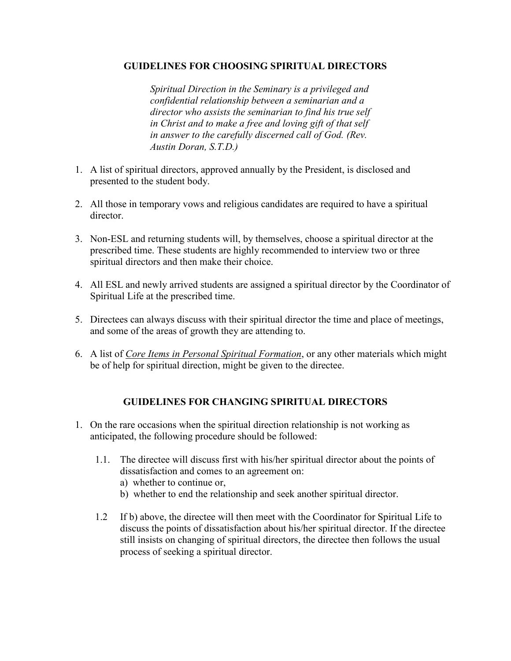# **GUIDELINES FOR CHOOSING SPIRITUAL DIRECTORS**

*Spiritual Direction in the Seminary is a privileged and confidential relationship between a seminarian and a director who assists the seminarian to find his true self in Christ and to make a free and loving gift of that self in answer to the carefully discerned call of God. (Rev. Austin Doran, S.T.D.)*

- 1. A list of spiritual directors, approved annually by the President, is disclosed and presented to the student body.
- 2. All those in temporary vows and religious candidates are required to have a spiritual director.
- 3. Non-ESL and returning students will, by themselves, choose a spiritual director at the prescribed time. These students are highly recommended to interview two or three spiritual directors and then make their choice.
- 4. All ESL and newly arrived students are assigned a spiritual director by the Coordinator of Spiritual Life at the prescribed time.
- 5. Directees can always discuss with their spiritual director the time and place of meetings, and some of the areas of growth they are attending to.
- 6. A list of *Core Items in Personal Spiritual Formation*, or any other materials which might be of help for spiritual direction, might be given to the directee.

# **GUIDELINES FOR CHANGING SPIRITUAL DIRECTORS**

- 1. On the rare occasions when the spiritual direction relationship is not working as anticipated, the following procedure should be followed:
	- 1.1. The directee will discuss first with his/her spiritual director about the points of dissatisfaction and comes to an agreement on:
		- a) whether to continue or,
		- b) whether to end the relationship and seek another spiritual director.
	- 1.2 If b) above, the directee will then meet with the Coordinator for Spiritual Life to discuss the points of dissatisfaction about his/her spiritual director. If the directee still insists on changing of spiritual directors, the directee then follows the usual process of seeking a spiritual director.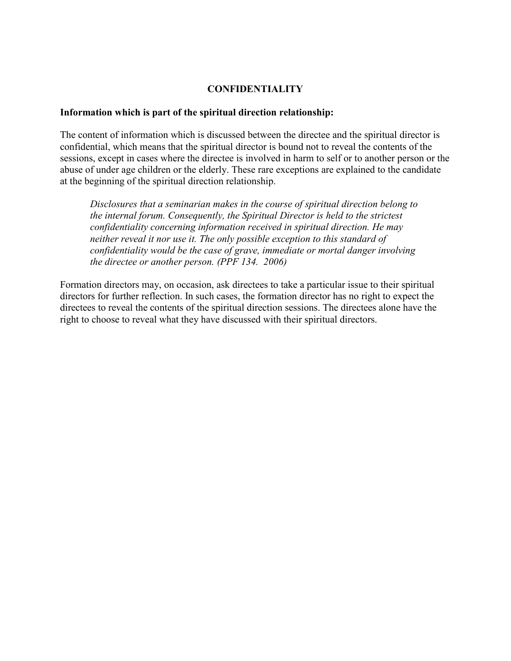# **CONFIDENTIALITY**

## **Information which is part of the spiritual direction relationship:**

The content of information which is discussed between the directee and the spiritual director is confidential, which means that the spiritual director is bound not to reveal the contents of the sessions, except in cases where the directee is involved in harm to self or to another person or the abuse of under age children or the elderly. These rare exceptions are explained to the candidate at the beginning of the spiritual direction relationship.

*Disclosures that a seminarian makes in the course of spiritual direction belong to the internal forum. Consequently, the Spiritual Director is held to the strictest confidentiality concerning information received in spiritual direction. He may neither reveal it nor use it. The only possible exception to this standard of confidentiality would be the case of grave, immediate or mortal danger involving the directee or another person. (PPF 134. 2006)*

Formation directors may, on occasion, ask directees to take a particular issue to their spiritual directors for further reflection. In such cases, the formation director has no right to expect the directees to reveal the contents of the spiritual direction sessions. The directees alone have the right to choose to reveal what they have discussed with their spiritual directors.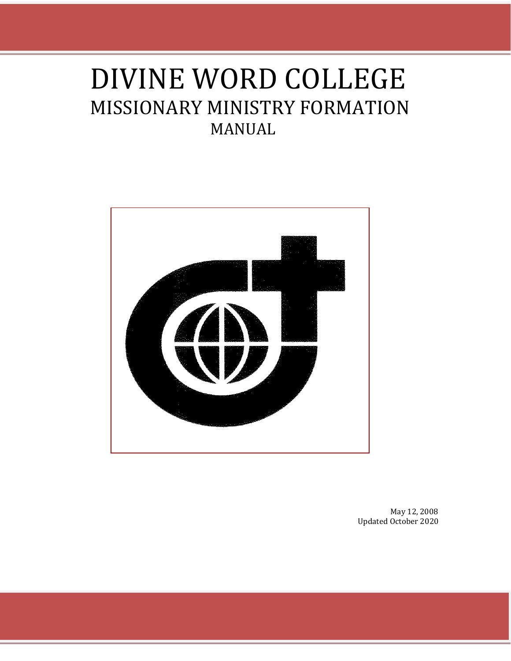# DIVINE WORD COLLEGE MISSIONARY MINISTRY FORMATION MANUAL



May 12, 2008 Updated October 2020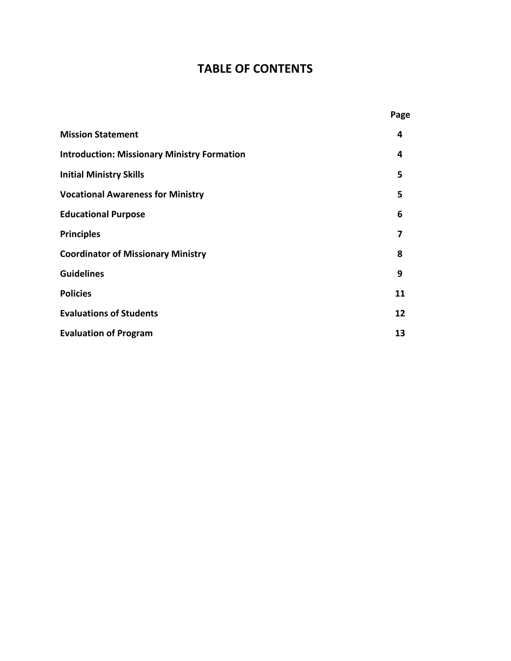# **TABLE OF CONTENTS**

|                                                    | Page |
|----------------------------------------------------|------|
| <b>Mission Statement</b>                           | 4    |
| <b>Introduction: Missionary Ministry Formation</b> | 4    |
| <b>Initial Ministry Skills</b>                     | 5    |
| <b>Vocational Awareness for Ministry</b>           | 5    |
| <b>Educational Purpose</b>                         | 6    |
| <b>Principles</b>                                  | 7    |
| <b>Coordinator of Missionary Ministry</b>          | 8    |
| <b>Guidelines</b>                                  | 9    |
| <b>Policies</b>                                    | 11   |
| <b>Evaluations of Students</b>                     | 12   |
| <b>Evaluation of Program</b>                       | 13   |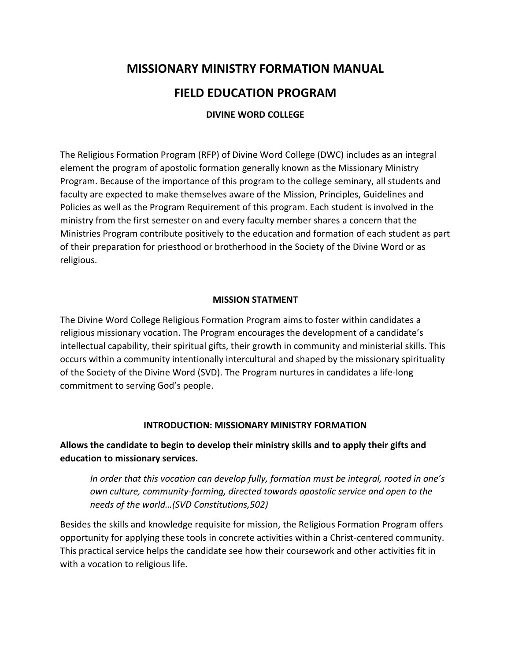# **MISSIONARY MINISTRY FORMATION MANUAL**

# **FIELD EDUCATION PROGRAM**

# **DIVINE WORD COLLEGE**

The Religious Formation Program (RFP) of Divine Word College (DWC) includes as an integral element the program of apostolic formation generally known as the Missionary Ministry Program. Because of the importance of this program to the college seminary, all students and faculty are expected to make themselves aware of the Mission, Principles, Guidelines and Policies as well as the Program Requirement of this program. Each student is involved in the ministry from the first semester on and every faculty member shares a concern that the Ministries Program contribute positively to the education and formation of each student as part of their preparation for priesthood or brotherhood in the Society of the Divine Word or as religious.

## **MISSION STATMENT**

The Divine Word College Religious Formation Program aims to foster within candidates a religious missionary vocation. The Program encourages the development of a candidate's intellectual capability, their spiritual gifts, their growth in community and ministerial skills. This occurs within a community intentionally intercultural and shaped by the missionary spirituality of the Society of the Divine Word (SVD). The Program nurtures in candidates a life-long commitment to serving God's people.

#### **INTRODUCTION: MISSIONARY MINISTRY FORMATION**

**Allows the candidate to begin to develop their ministry skills and to apply their gifts and education to missionary services.**

*In order that this vocation can develop fully, formation must be integral, rooted in one's own culture, community-forming, directed towards apostolic service and open to the needs of the world…(SVD Constitutions,502)*

Besides the skills and knowledge requisite for mission, the Religious Formation Program offers opportunity for applying these tools in concrete activities within a Christ-centered community. This practical service helps the candidate see how their coursework and other activities fit in with a vocation to religious life.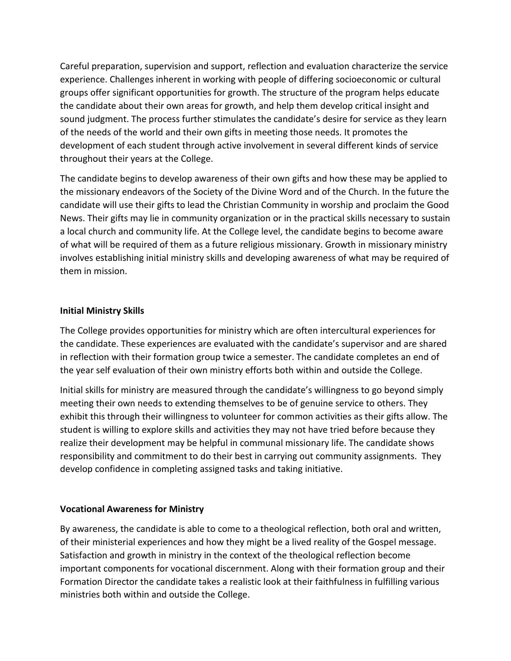Careful preparation, supervision and support, reflection and evaluation characterize the service experience. Challenges inherent in working with people of differing socioeconomic or cultural groups offer significant opportunities for growth. The structure of the program helps educate the candidate about their own areas for growth, and help them develop critical insight and sound judgment. The process further stimulates the candidate's desire for service as they learn of the needs of the world and their own gifts in meeting those needs. It promotes the development of each student through active involvement in several different kinds of service throughout their years at the College.

The candidate begins to develop awareness of their own gifts and how these may be applied to the missionary endeavors of the Society of the Divine Word and of the Church. In the future the candidate will use their gifts to lead the Christian Community in worship and proclaim the Good News. Their gifts may lie in community organization or in the practical skills necessary to sustain a local church and community life. At the College level, the candidate begins to become aware of what will be required of them as a future religious missionary. Growth in missionary ministry involves establishing initial ministry skills and developing awareness of what may be required of them in mission.

# **Initial Ministry Skills**

The College provides opportunities for ministry which are often intercultural experiences for the candidate. These experiences are evaluated with the candidate's supervisor and are shared in reflection with their formation group twice a semester. The candidate completes an end of the year self evaluation of their own ministry efforts both within and outside the College.

Initial skills for ministry are measured through the candidate's willingness to go beyond simply meeting their own needs to extending themselves to be of genuine service to others. They exhibit this through their willingness to volunteer for common activities as their gifts allow. The student is willing to explore skills and activities they may not have tried before because they realize their development may be helpful in communal missionary life. The candidate shows responsibility and commitment to do their best in carrying out community assignments. They develop confidence in completing assigned tasks and taking initiative.

# **Vocational Awareness for Ministry**

By awareness, the candidate is able to come to a theological reflection, both oral and written, of their ministerial experiences and how they might be a lived reality of the Gospel message. Satisfaction and growth in ministry in the context of the theological reflection become important components for vocational discernment. Along with their formation group and their Formation Director the candidate takes a realistic look at their faithfulness in fulfilling various ministries both within and outside the College.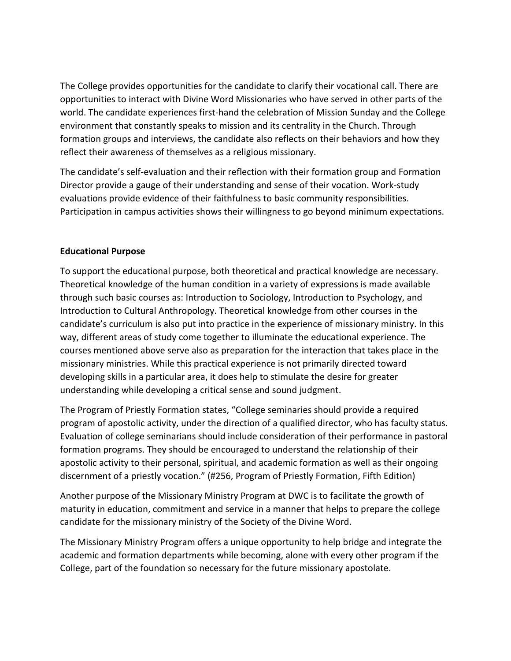The College provides opportunities for the candidate to clarify their vocational call. There are opportunities to interact with Divine Word Missionaries who have served in other parts of the world. The candidate experiences first-hand the celebration of Mission Sunday and the College environment that constantly speaks to mission and its centrality in the Church. Through formation groups and interviews, the candidate also reflects on their behaviors and how they reflect their awareness of themselves as a religious missionary.

The candidate's self-evaluation and their reflection with their formation group and Formation Director provide a gauge of their understanding and sense of their vocation. Work-study evaluations provide evidence of their faithfulness to basic community responsibilities. Participation in campus activities shows their willingness to go beyond minimum expectations.

# **Educational Purpose**

To support the educational purpose, both theoretical and practical knowledge are necessary. Theoretical knowledge of the human condition in a variety of expressions is made available through such basic courses as: Introduction to Sociology, Introduction to Psychology, and Introduction to Cultural Anthropology. Theoretical knowledge from other courses in the candidate's curriculum is also put into practice in the experience of missionary ministry. In this way, different areas of study come together to illuminate the educational experience. The courses mentioned above serve also as preparation for the interaction that takes place in the missionary ministries. While this practical experience is not primarily directed toward developing skills in a particular area, it does help to stimulate the desire for greater understanding while developing a critical sense and sound judgment.

The Program of Priestly Formation states, "College seminaries should provide a required program of apostolic activity, under the direction of a qualified director, who has faculty status. Evaluation of college seminarians should include consideration of their performance in pastoral formation programs. They should be encouraged to understand the relationship of their apostolic activity to their personal, spiritual, and academic formation as well as their ongoing discernment of a priestly vocation." (#256, Program of Priestly Formation, Fifth Edition)

Another purpose of the Missionary Ministry Program at DWC is to facilitate the growth of maturity in education, commitment and service in a manner that helps to prepare the college candidate for the missionary ministry of the Society of the Divine Word.

The Missionary Ministry Program offers a unique opportunity to help bridge and integrate the academic and formation departments while becoming, alone with every other program if the College, part of the foundation so necessary for the future missionary apostolate.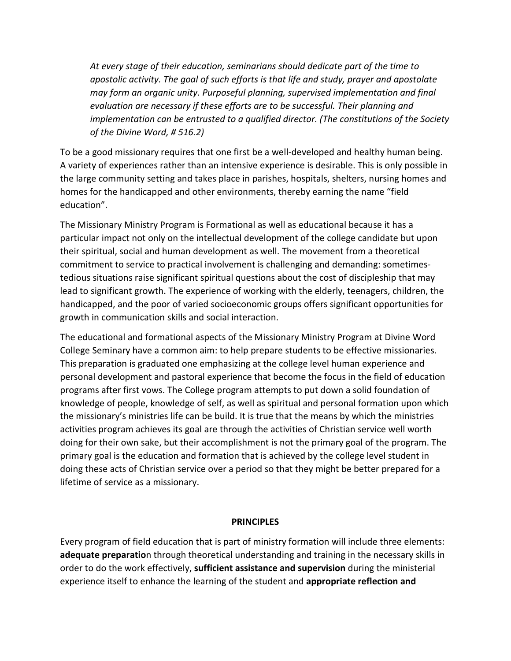*At every stage of their education, seminarians should dedicate part of the time to apostolic activity. The goal of such efforts is that life and study, prayer and apostolate may form an organic unity. Purposeful planning, supervised implementation and final evaluation are necessary if these efforts are to be successful. Their planning and implementation can be entrusted to a qualified director. (The constitutions of the Society of the Divine Word, # 516.2)*

To be a good missionary requires that one first be a well-developed and healthy human being. A variety of experiences rather than an intensive experience is desirable. This is only possible in the large community setting and takes place in parishes, hospitals, shelters, nursing homes and homes for the handicapped and other environments, thereby earning the name "field education".

The Missionary Ministry Program is Formational as well as educational because it has a particular impact not only on the intellectual development of the college candidate but upon their spiritual, social and human development as well. The movement from a theoretical commitment to service to practical involvement is challenging and demanding: sometimestedious situations raise significant spiritual questions about the cost of discipleship that may lead to significant growth. The experience of working with the elderly, teenagers, children, the handicapped, and the poor of varied socioeconomic groups offers significant opportunities for growth in communication skills and social interaction.

The educational and formational aspects of the Missionary Ministry Program at Divine Word College Seminary have a common aim: to help prepare students to be effective missionaries. This preparation is graduated one emphasizing at the college level human experience and personal development and pastoral experience that become the focus in the field of education programs after first vows. The College program attempts to put down a solid foundation of knowledge of people, knowledge of self, as well as spiritual and personal formation upon which the missionary's ministries life can be build. It is true that the means by which the ministries activities program achieves its goal are through the activities of Christian service well worth doing for their own sake, but their accomplishment is not the primary goal of the program. The primary goal is the education and formation that is achieved by the college level student in doing these acts of Christian service over a period so that they might be better prepared for a lifetime of service as a missionary.

#### **PRINCIPLES**

Every program of field education that is part of ministry formation will include three elements: **adequate preparatio**n through theoretical understanding and training in the necessary skills in order to do the work effectively, **sufficient assistance and supervision** during the ministerial experience itself to enhance the learning of the student and **appropriate reflection and**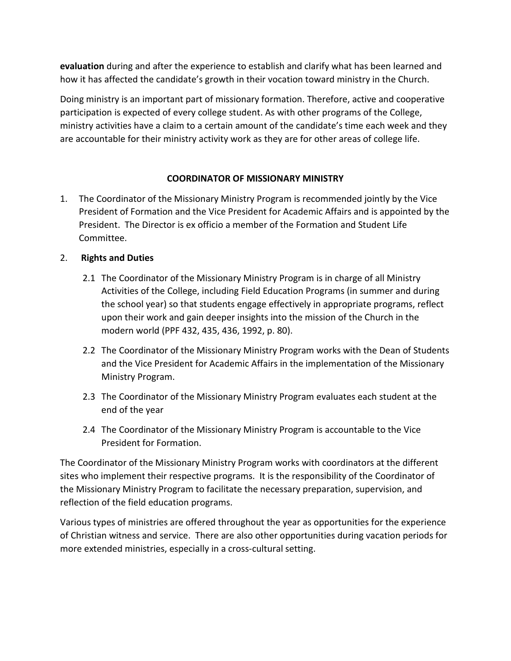**evaluation** during and after the experience to establish and clarify what has been learned and how it has affected the candidate's growth in their vocation toward ministry in the Church.

Doing ministry is an important part of missionary formation. Therefore, active and cooperative participation is expected of every college student. As with other programs of the College, ministry activities have a claim to a certain amount of the candidate's time each week and they are accountable for their ministry activity work as they are for other areas of college life.

# **COORDINATOR OF MISSIONARY MINISTRY**

- 1. The Coordinator of the Missionary Ministry Program is recommended jointly by the Vice President of Formation and the Vice President for Academic Affairs and is appointed by the President. The Director is ex officio a member of the Formation and Student Life Committee.
- 2. **Rights and Duties**
	- 2.1 The Coordinator of the Missionary Ministry Program is in charge of all Ministry Activities of the College, including Field Education Programs (in summer and during the school year) so that students engage effectively in appropriate programs, reflect upon their work and gain deeper insights into the mission of the Church in the modern world (PPF 432, 435, 436, 1992, p. 80).
	- 2.2 The Coordinator of the Missionary Ministry Program works with the Dean of Students and the Vice President for Academic Affairs in the implementation of the Missionary Ministry Program.
	- 2.3 The Coordinator of the Missionary Ministry Program evaluates each student at the end of the year
	- 2.4 The Coordinator of the Missionary Ministry Program is accountable to the Vice President for Formation.

The Coordinator of the Missionary Ministry Program works with coordinators at the different sites who implement their respective programs. It is the responsibility of the Coordinator of the Missionary Ministry Program to facilitate the necessary preparation, supervision, and reflection of the field education programs.

Various types of ministries are offered throughout the year as opportunities for the experience of Christian witness and service. There are also other opportunities during vacation periods for more extended ministries, especially in a cross-cultural setting.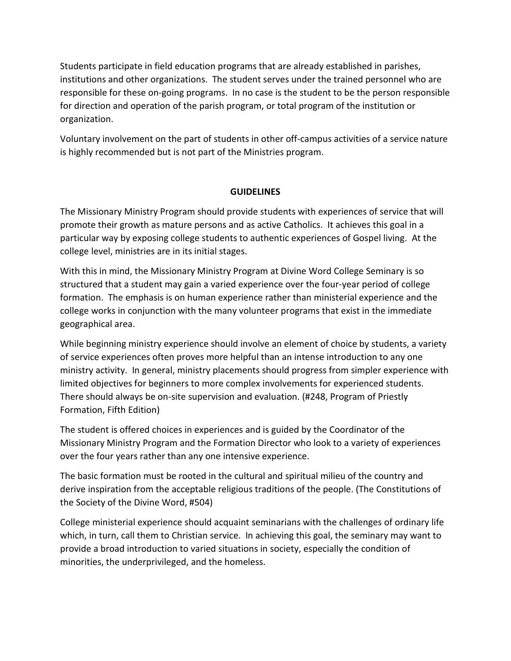Students participate in field education programs that are already established in parishes, institutions and other organizations. The student serves under the trained personnel who are responsible for these on-going programs. In no case is the student to be the person responsible for direction and operation of the parish program, or total program of the institution or organization.

Voluntary involvement on the part of students in other off-campus activities of a service nature is highly recommended but is not part of the Ministries program.

# **GUIDELINES**

The Missionary Ministry Program should provide students with experiences of service that will promote their growth as mature persons and as active Catholics. It achieves this goal in a particular way by exposing college students to authentic experiences of Gospel living. At the college level, ministries are in its initial stages.

With this in mind, the Missionary Ministry Program at Divine Word College Seminary is so structured that a student may gain a varied experience over the four-year period of college formation. The emphasis is on human experience rather than ministerial experience and the college works in conjunction with the many volunteer programs that exist in the immediate geographical area.

While beginning ministry experience should involve an element of choice by students, a variety of service experiences often proves more helpful than an intense introduction to any one ministry activity. In general, ministry placements should progress from simpler experience with limited objectives for beginners to more complex involvements for experienced students. There should always be on-site supervision and evaluation. (#248, Program of Priestly Formation, Fifth Edition)

The student is offered choices in experiences and is guided by the Coordinator of the Missionary Ministry Program and the Formation Director who look to a variety of experiences over the four years rather than any one intensive experience.

The basic formation must be rooted in the cultural and spiritual milieu of the country and derive inspiration from the acceptable religious traditions of the people. (The Constitutions of the Society of the Divine Word, #504)

College ministerial experience should acquaint seminarians with the challenges of ordinary life which, in turn, call them to Christian service. In achieving this goal, the seminary may want to provide a broad introduction to varied situations in society, especially the condition of minorities, the underprivileged, and the homeless.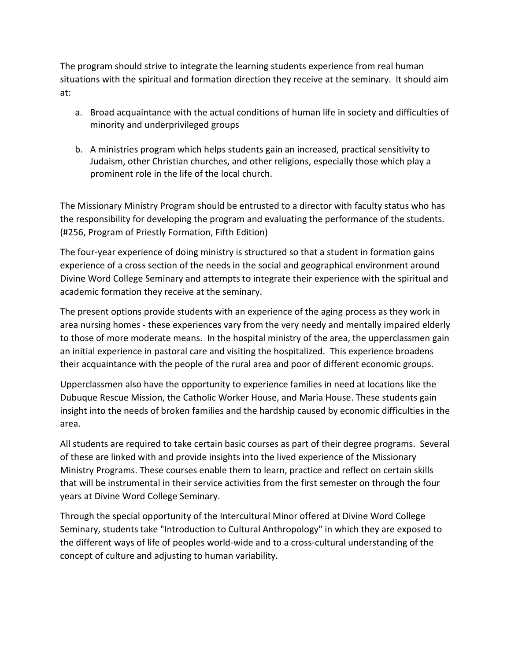The program should strive to integrate the learning students experience from real human situations with the spiritual and formation direction they receive at the seminary. It should aim at:

- a. Broad acquaintance with the actual conditions of human life in society and difficulties of minority and underprivileged groups
- b. A ministries program which helps students gain an increased, practical sensitivity to Judaism, other Christian churches, and other religions, especially those which play a prominent role in the life of the local church.

The Missionary Ministry Program should be entrusted to a director with faculty status who has the responsibility for developing the program and evaluating the performance of the students. (#256, Program of Priestly Formation, Fifth Edition)

The four-year experience of doing ministry is structured so that a student in formation gains experience of a cross section of the needs in the social and geographical environment around Divine Word College Seminary and attempts to integrate their experience with the spiritual and academic formation they receive at the seminary.

The present options provide students with an experience of the aging process as they work in area nursing homes - these experiences vary from the very needy and mentally impaired elderly to those of more moderate means. In the hospital ministry of the area, the upperclassmen gain an initial experience in pastoral care and visiting the hospitalized. This experience broadens their acquaintance with the people of the rural area and poor of different economic groups.

Upperclassmen also have the opportunity to experience families in need at locations like the Dubuque Rescue Mission, the Catholic Worker House, and Maria House. These students gain insight into the needs of broken families and the hardship caused by economic difficulties in the area.

All students are required to take certain basic courses as part of their degree programs. Several of these are linked with and provide insights into the lived experience of the Missionary Ministry Programs. These courses enable them to learn, practice and reflect on certain skills that will be instrumental in their service activities from the first semester on through the four years at Divine Word College Seminary.

Through the special opportunity of the Intercultural Minor offered at Divine Word College Seminary, students take "Introduction to Cultural Anthropology" in which they are exposed to the different ways of life of peoples world-wide and to a cross-cultural understanding of the concept of culture and adjusting to human variability.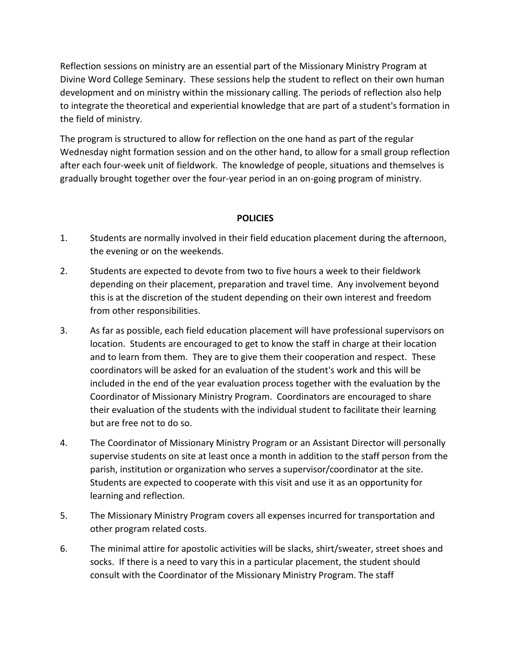Reflection sessions on ministry are an essential part of the Missionary Ministry Program at Divine Word College Seminary. These sessions help the student to reflect on their own human development and on ministry within the missionary calling. The periods of reflection also help to integrate the theoretical and experiential knowledge that are part of a student's formation in the field of ministry.

The program is structured to allow for reflection on the one hand as part of the regular Wednesday night formation session and on the other hand, to allow for a small group reflection after each four-week unit of fieldwork. The knowledge of people, situations and themselves is gradually brought together over the four-year period in an on-going program of ministry.

# **POLICIES**

- 1. Students are normally involved in their field education placement during the afternoon, the evening or on the weekends.
- 2. Students are expected to devote from two to five hours a week to their fieldwork depending on their placement, preparation and travel time. Any involvement beyond this is at the discretion of the student depending on their own interest and freedom from other responsibilities.
- 3. As far as possible, each field education placement will have professional supervisors on location. Students are encouraged to get to know the staff in charge at their location and to learn from them. They are to give them their cooperation and respect. These coordinators will be asked for an evaluation of the student's work and this will be included in the end of the year evaluation process together with the evaluation by the Coordinator of Missionary Ministry Program. Coordinators are encouraged to share their evaluation of the students with the individual student to facilitate their learning but are free not to do so.
- 4. The Coordinator of Missionary Ministry Program or an Assistant Director will personally supervise students on site at least once a month in addition to the staff person from the parish, institution or organization who serves a supervisor/coordinator at the site. Students are expected to cooperate with this visit and use it as an opportunity for learning and reflection.
- 5. The Missionary Ministry Program covers all expenses incurred for transportation and other program related costs.
- 6. The minimal attire for apostolic activities will be slacks, shirt/sweater, street shoes and socks. If there is a need to vary this in a particular placement, the student should consult with the Coordinator of the Missionary Ministry Program. The staff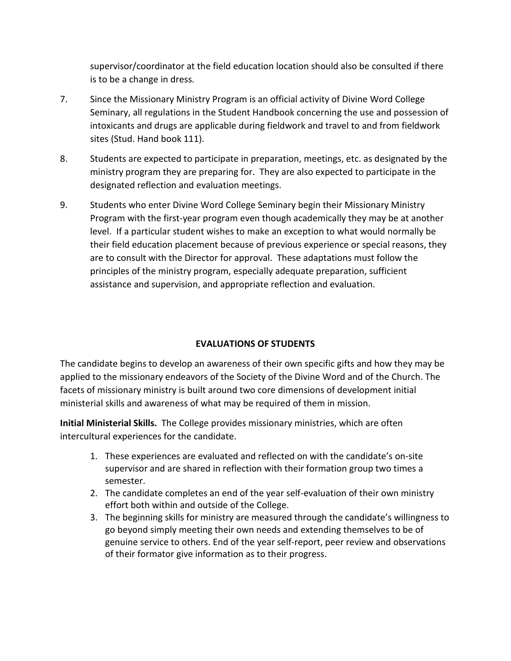supervisor/coordinator at the field education location should also be consulted if there is to be a change in dress.

- 7. Since the Missionary Ministry Program is an official activity of Divine Word College Seminary, all regulations in the Student Handbook concerning the use and possession of intoxicants and drugs are applicable during fieldwork and travel to and from fieldwork sites (Stud. Hand book 111).
- 8. Students are expected to participate in preparation, meetings, etc. as designated by the ministry program they are preparing for. They are also expected to participate in the designated reflection and evaluation meetings.
- 9. Students who enter Divine Word College Seminary begin their Missionary Ministry Program with the first-year program even though academically they may be at another level. If a particular student wishes to make an exception to what would normally be their field education placement because of previous experience or special reasons, they are to consult with the Director for approval. These adaptations must follow the principles of the ministry program, especially adequate preparation, sufficient assistance and supervision, and appropriate reflection and evaluation.

# **EVALUATIONS OF STUDENTS**

The candidate begins to develop an awareness of their own specific gifts and how they may be applied to the missionary endeavors of the Society of the Divine Word and of the Church. The facets of missionary ministry is built around two core dimensions of development initial ministerial skills and awareness of what may be required of them in mission.

**Initial Ministerial Skills.** The College provides missionary ministries, which are often intercultural experiences for the candidate.

- 1. These experiences are evaluated and reflected on with the candidate's on-site supervisor and are shared in reflection with their formation group two times a semester.
- 2. The candidate completes an end of the year self-evaluation of their own ministry effort both within and outside of the College.
- 3. The beginning skills for ministry are measured through the candidate's willingness to go beyond simply meeting their own needs and extending themselves to be of genuine service to others. End of the year self-report, peer review and observations of their formator give information as to their progress.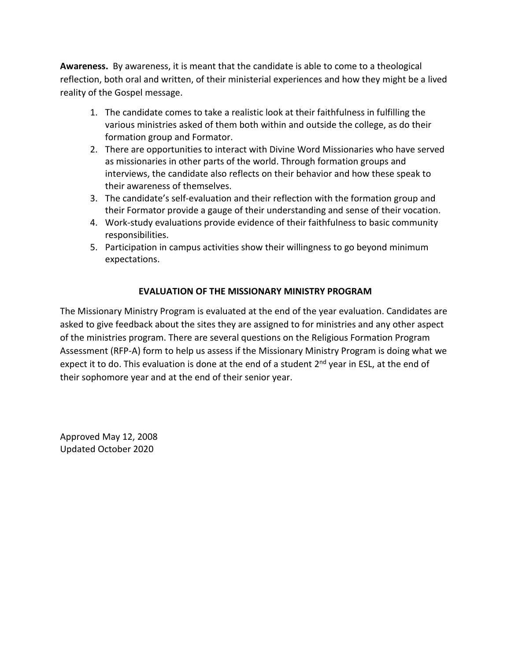**Awareness.** By awareness, it is meant that the candidate is able to come to a theological reflection, both oral and written, of their ministerial experiences and how they might be a lived reality of the Gospel message.

- 1. The candidate comes to take a realistic look at their faithfulness in fulfilling the various ministries asked of them both within and outside the college, as do their formation group and Formator.
- 2. There are opportunities to interact with Divine Word Missionaries who have served as missionaries in other parts of the world. Through formation groups and interviews, the candidate also reflects on their behavior and how these speak to their awareness of themselves.
- 3. The candidate's self-evaluation and their reflection with the formation group and their Formator provide a gauge of their understanding and sense of their vocation.
- 4. Work-study evaluations provide evidence of their faithfulness to basic community responsibilities.
- 5. Participation in campus activities show their willingness to go beyond minimum expectations.

# **EVALUATION OF THE MISSIONARY MINISTRY PROGRAM**

The Missionary Ministry Program is evaluated at the end of the year evaluation. Candidates are asked to give feedback about the sites they are assigned to for ministries and any other aspect of the ministries program. There are several questions on the Religious Formation Program Assessment (RFP-A) form to help us assess if the Missionary Ministry Program is doing what we expect it to do. This evaluation is done at the end of a student 2<sup>nd</sup> year in ESL, at the end of their sophomore year and at the end of their senior year.

Approved May 12, 2008 Updated October 2020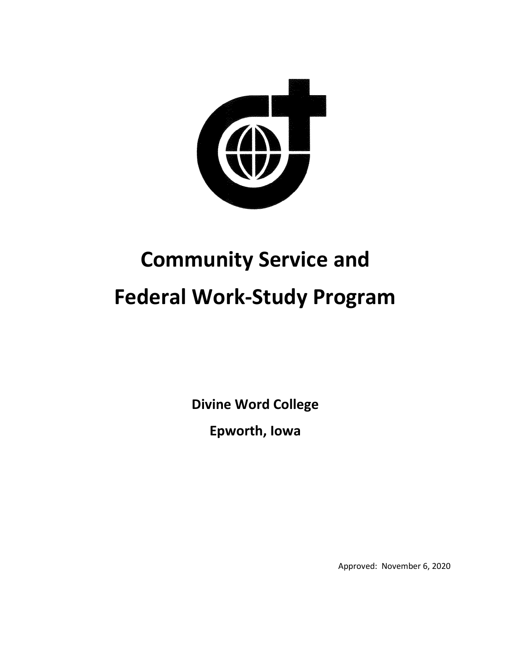

# **Community Service and Federal Work-Study Program**

**Divine Word College**

**Epworth, Iowa**

Approved: November 6, 2020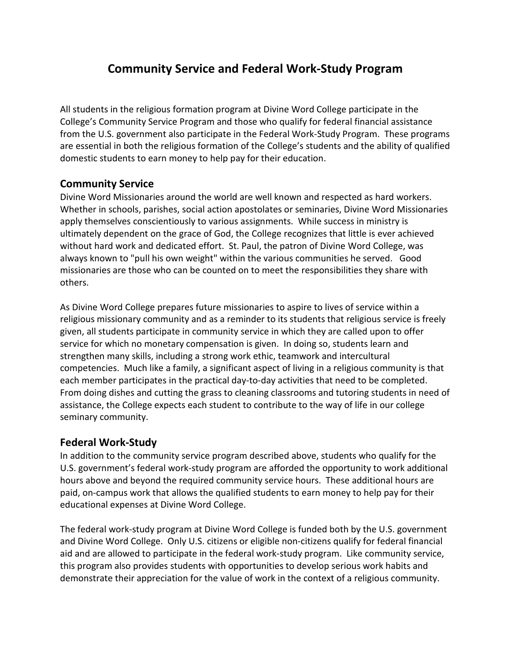# **Community Service and Federal Work-Study Program**

All students in the religious formation program at Divine Word College participate in the College's Community Service Program and those who qualify for federal financial assistance from the U.S. government also participate in the Federal Work-Study Program. These programs are essential in both the religious formation of the College's students and the ability of qualified domestic students to earn money to help pay for their education.

# **Community Service**

Divine Word Missionaries around the world are well known and respected as hard workers. Whether in schools, parishes, social action apostolates or seminaries, Divine Word Missionaries apply themselves conscientiously to various assignments. While success in ministry is ultimately dependent on the grace of God, the College recognizes that little is ever achieved without hard work and dedicated effort. St. Paul, the patron of Divine Word College, was always known to "pull his own weight" within the various communities he served. Good missionaries are those who can be counted on to meet the responsibilities they share with others.

As Divine Word College prepares future missionaries to aspire to lives of service within a religious missionary community and as a reminder to its students that religious service is freely given, all students participate in community service in which they are called upon to offer service for which no monetary compensation is given. In doing so, students learn and strengthen many skills, including a strong work ethic, teamwork and intercultural competencies. Much like a family, a significant aspect of living in a religious community is that each member participates in the practical day-to-day activities that need to be completed. From doing dishes and cutting the grass to cleaning classrooms and tutoring students in need of assistance, the College expects each student to contribute to the way of life in our college seminary community.

# **Federal Work-Study**

In addition to the community service program described above, students who qualify for the U.S. government's federal work-study program are afforded the opportunity to work additional hours above and beyond the required community service hours. These additional hours are paid, on-campus work that allows the qualified students to earn money to help pay for their educational expenses at Divine Word College.

The federal work-study program at Divine Word College is funded both by the U.S. government and Divine Word College. Only U.S. citizens or eligible non-citizens qualify for federal financial aid and are allowed to participate in the federal work-study program. Like community service, this program also provides students with opportunities to develop serious work habits and demonstrate their appreciation for the value of work in the context of a religious community.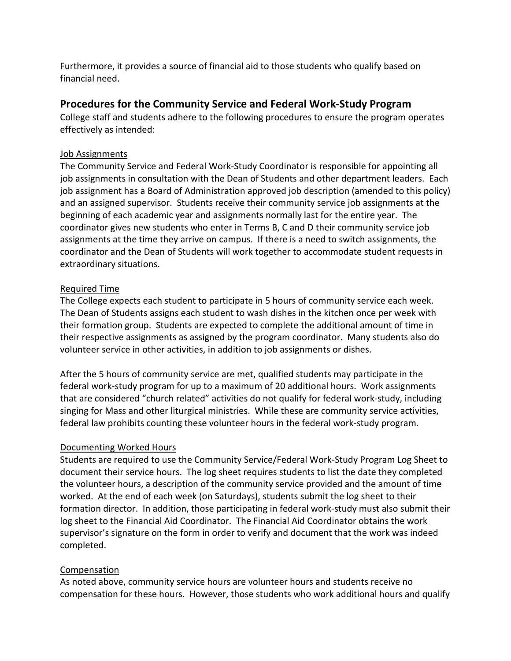Furthermore, it provides a source of financial aid to those students who qualify based on financial need.

# **Procedures for the Community Service and Federal Work-Study Program**

College staff and students adhere to the following procedures to ensure the program operates effectively as intended:

# Job Assignments

The Community Service and Federal Work-Study Coordinator is responsible for appointing all job assignments in consultation with the Dean of Students and other department leaders. Each job assignment has a Board of Administration approved job description (amended to this policy) and an assigned supervisor. Students receive their community service job assignments at the beginning of each academic year and assignments normally last for the entire year. The coordinator gives new students who enter in Terms B, C and D their community service job assignments at the time they arrive on campus. If there is a need to switch assignments, the coordinator and the Dean of Students will work together to accommodate student requests in extraordinary situations.

# Required Time

The College expects each student to participate in 5 hours of community service each week. The Dean of Students assigns each student to wash dishes in the kitchen once per week with their formation group. Students are expected to complete the additional amount of time in their respective assignments as assigned by the program coordinator. Many students also do volunteer service in other activities, in addition to job assignments or dishes.

After the 5 hours of community service are met, qualified students may participate in the federal work-study program for up to a maximum of 20 additional hours. Work assignments that are considered "church related" activities do not qualify for federal work-study, including singing for Mass and other liturgical ministries. While these are community service activities, federal law prohibits counting these volunteer hours in the federal work-study program.

# Documenting Worked Hours

Students are required to use the Community Service/Federal Work-Study Program Log Sheet to document their service hours. The log sheet requires students to list the date they completed the volunteer hours, a description of the community service provided and the amount of time worked. At the end of each week (on Saturdays), students submit the log sheet to their formation director. In addition, those participating in federal work-study must also submit their log sheet to the Financial Aid Coordinator. The Financial Aid Coordinator obtains the work supervisor's signature on the form in order to verify and document that the work was indeed completed.

# Compensation

As noted above, community service hours are volunteer hours and students receive no compensation for these hours. However, those students who work additional hours and qualify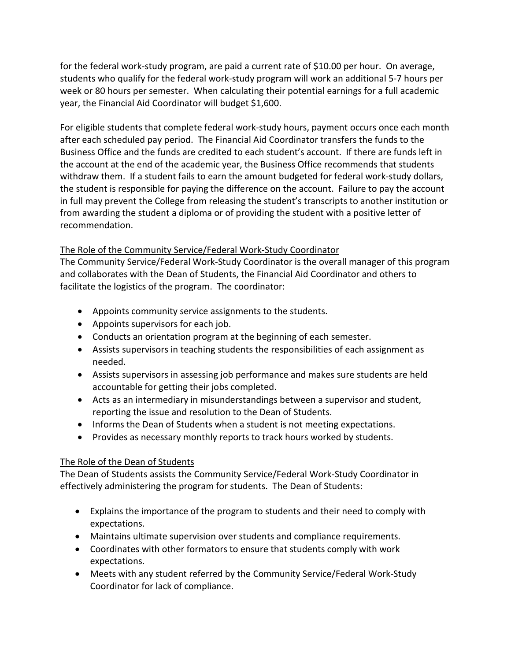for the federal work-study program, are paid a current rate of \$10.00 per hour. On average, students who qualify for the federal work-study program will work an additional 5-7 hours per week or 80 hours per semester. When calculating their potential earnings for a full academic year, the Financial Aid Coordinator will budget \$1,600.

For eligible students that complete federal work-study hours, payment occurs once each month after each scheduled pay period. The Financial Aid Coordinator transfers the funds to the Business Office and the funds are credited to each student's account. If there are funds left in the account at the end of the academic year, the Business Office recommends that students withdraw them. If a student fails to earn the amount budgeted for federal work-study dollars, the student is responsible for paying the difference on the account. Failure to pay the account in full may prevent the College from releasing the student's transcripts to another institution or from awarding the student a diploma or of providing the student with a positive letter of recommendation.

# The Role of the Community Service/Federal Work-Study Coordinator

The Community Service/Federal Work-Study Coordinator is the overall manager of this program and collaborates with the Dean of Students, the Financial Aid Coordinator and others to facilitate the logistics of the program. The coordinator:

- Appoints community service assignments to the students.
- Appoints supervisors for each job.
- Conducts an orientation program at the beginning of each semester.
- Assists supervisors in teaching students the responsibilities of each assignment as needed.
- Assists supervisors in assessing job performance and makes sure students are held accountable for getting their jobs completed.
- Acts as an intermediary in misunderstandings between a supervisor and student, reporting the issue and resolution to the Dean of Students.
- Informs the Dean of Students when a student is not meeting expectations.
- Provides as necessary monthly reports to track hours worked by students.

# The Role of the Dean of Students

The Dean of Students assists the Community Service/Federal Work-Study Coordinator in effectively administering the program for students. The Dean of Students:

- Explains the importance of the program to students and their need to comply with expectations.
- Maintains ultimate supervision over students and compliance requirements.
- Coordinates with other formators to ensure that students comply with work expectations.
- Meets with any student referred by the Community Service/Federal Work-Study Coordinator for lack of compliance.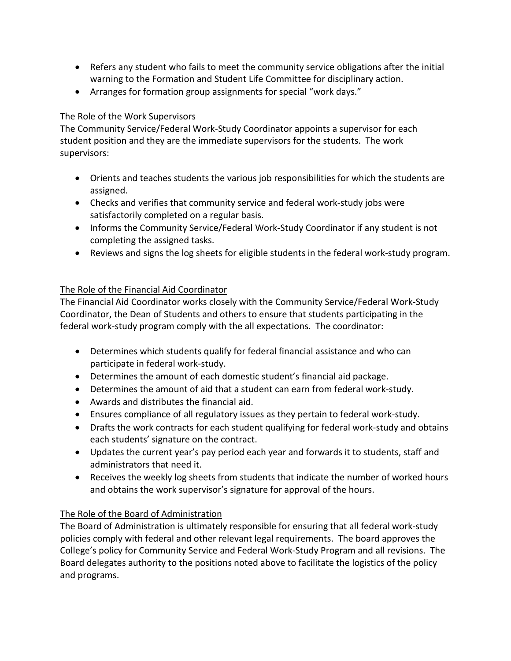- Refers any student who fails to meet the community service obligations after the initial warning to the Formation and Student Life Committee for disciplinary action.
- Arranges for formation group assignments for special "work days."

# The Role of the Work Supervisors

The Community Service/Federal Work-Study Coordinator appoints a supervisor for each student position and they are the immediate supervisors for the students. The work supervisors:

- Orients and teaches students the various job responsibilities for which the students are assigned.
- Checks and verifies that community service and federal work-study jobs were satisfactorily completed on a regular basis.
- Informs the Community Service/Federal Work-Study Coordinator if any student is not completing the assigned tasks.
- Reviews and signs the log sheets for eligible students in the federal work-study program.

# The Role of the Financial Aid Coordinator

The Financial Aid Coordinator works closely with the Community Service/Federal Work-Study Coordinator, the Dean of Students and others to ensure that students participating in the federal work-study program comply with the all expectations. The coordinator:

- Determines which students qualify for federal financial assistance and who can participate in federal work-study.
- Determines the amount of each domestic student's financial aid package.
- Determines the amount of aid that a student can earn from federal work-study.
- Awards and distributes the financial aid.
- Ensures compliance of all regulatory issues as they pertain to federal work-study.
- Drafts the work contracts for each student qualifying for federal work-study and obtains each students' signature on the contract.
- Updates the current year's pay period each year and forwards it to students, staff and administrators that need it.
- Receives the weekly log sheets from students that indicate the number of worked hours and obtains the work supervisor's signature for approval of the hours.

# The Role of the Board of Administration

The Board of Administration is ultimately responsible for ensuring that all federal work-study policies comply with federal and other relevant legal requirements. The board approves the College's policy for Community Service and Federal Work-Study Program and all revisions. The Board delegates authority to the positions noted above to facilitate the logistics of the policy and programs.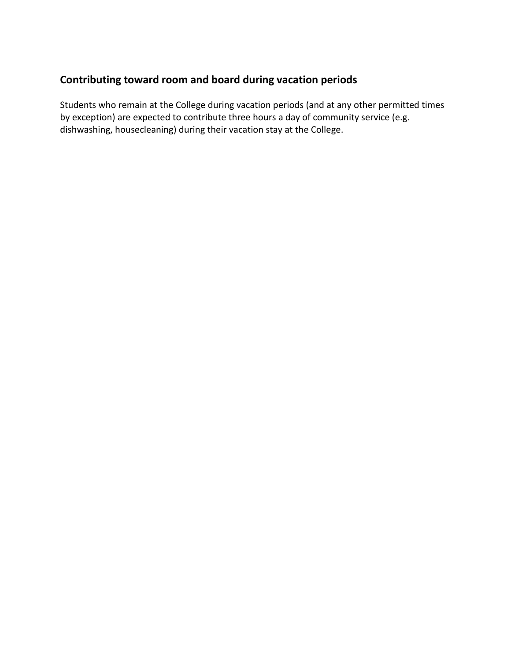# **Contributing toward room and board during vacation periods**

Students who remain at the College during vacation periods (and at any other permitted times by exception) are expected to contribute three hours a day of community service (e.g. dishwashing, housecleaning) during their vacation stay at the College.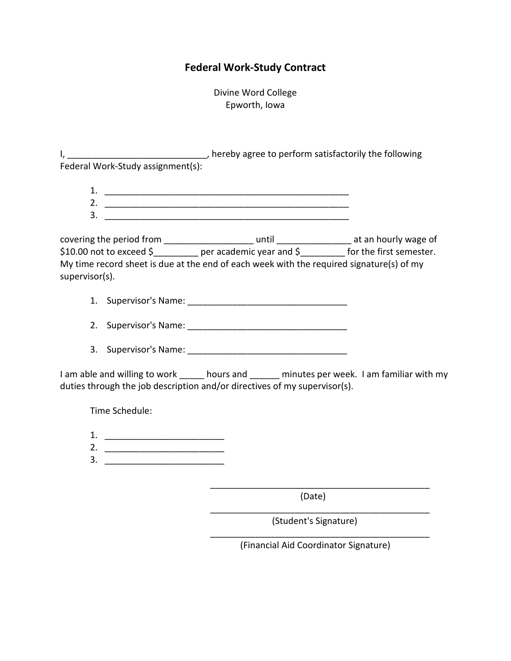# **Federal Work-Study Contract**

Divine Word College Epworth, Iowa

I, \_\_\_\_\_\_\_\_\_\_\_\_\_\_\_\_\_\_\_\_\_\_\_\_\_\_\_\_, hereby agree to perform satisfactorily the following Federal Work-Study assignment(s):

1. 2. \_\_\_\_\_\_\_\_\_\_\_\_\_\_\_\_\_\_\_\_\_\_\_\_\_\_\_\_\_\_\_\_\_\_\_\_\_\_\_\_\_\_\_\_\_\_\_\_\_

 $3.$ 

covering the period from \_\_\_\_\_\_\_\_\_\_\_\_\_\_\_\_\_\_\_\_\_\_\_ until \_\_\_\_\_\_\_\_\_\_\_\_\_\_\_\_\_\_\_ at an hourly wage of \$10.00 not to exceed \$\_\_\_\_\_\_\_\_\_ per academic year and \$\_\_\_\_\_\_\_\_\_ for the first semester. My time record sheet is due at the end of each week with the required signature(s) of my supervisor(s).

- 1. Supervisor's Name: \_\_\_\_\_\_\_\_\_\_\_\_\_\_\_\_\_\_\_\_\_\_\_\_\_\_\_\_\_\_\_\_
- 2. Supervisor's Name: \_\_\_\_\_\_\_\_\_\_\_\_\_\_\_\_\_\_\_\_\_\_\_\_\_\_\_\_\_\_\_\_
- 3. Supervisor's Name:

I am able and willing to work \_\_\_\_\_ hours and \_\_\_\_\_\_ minutes per week. I am familiar with my duties through the job description and/or directives of my supervisor(s).

Time Schedule:

- 1. \_\_\_\_\_\_\_\_\_\_\_\_\_\_\_\_\_\_\_\_\_\_\_\_
- 2. \_\_\_\_\_\_\_\_\_\_\_\_\_\_\_\_\_\_\_\_\_\_\_\_
- 3. \_\_\_\_\_\_\_\_\_\_\_\_\_\_\_\_\_\_\_\_\_\_\_\_

(Date)

(Student's Signature)

\_\_\_\_\_\_\_\_\_\_\_\_\_\_\_\_\_\_\_\_\_\_\_\_\_\_\_\_\_\_\_\_\_\_\_\_\_\_\_\_\_\_\_\_

\_\_\_\_\_\_\_\_\_\_\_\_\_\_\_\_\_\_\_\_\_\_\_\_\_\_\_\_\_\_\_\_\_\_\_\_\_\_\_\_\_\_\_\_ (Financial Aid Coordinator Signature)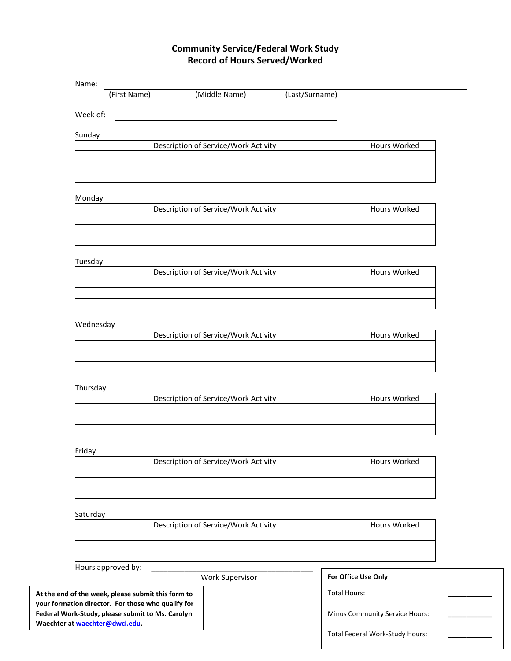# **Community Service/Federal Work Study Record of Hours Served/Worked**

| Week of: |                                      |              |
|----------|--------------------------------------|--------------|
| Sunday   |                                      |              |
|          | Description of Service/Work Activity | Hours Worked |

#### Monday

| Description of Service/Work Activity | Hours Worked |
|--------------------------------------|--------------|
|                                      |              |
|                                      |              |
|                                      |              |

#### Tuesday

| Description of Service/Work Activity | Hours Worked |
|--------------------------------------|--------------|
|                                      |              |
|                                      |              |
|                                      |              |

#### Wednesday

| Description of Service/Work Activity | Hours Worked |
|--------------------------------------|--------------|
|                                      |              |
|                                      |              |
|                                      |              |

#### Thursday

| Description of Service/Work Activity | Hours Worked |
|--------------------------------------|--------------|
|                                      |              |
|                                      |              |
|                                      |              |

#### Friday

| Description of Service/Work Activity | Hours Worked |
|--------------------------------------|--------------|
|                                      |              |
|                                      |              |
|                                      |              |

#### Saturday

| Description of Service/Work Activity | <b>Hours Worked</b> |
|--------------------------------------|---------------------|
|                                      |                     |
|                                      |                     |
|                                      |                     |

#### Hours approved by:

Work Supervisor

**At the end of the week, please submit this form to your formation director. For those who qualify for Federal Work-Study, please submit to Ms. Carolyn Waechter a[t waechter@dwci.edu.](mailto:waechter@dwci.edu)** 

#### **For Office Use Only**

Total Hours:

Minus Community Service Hours:

Total Federal Work-Study Hours: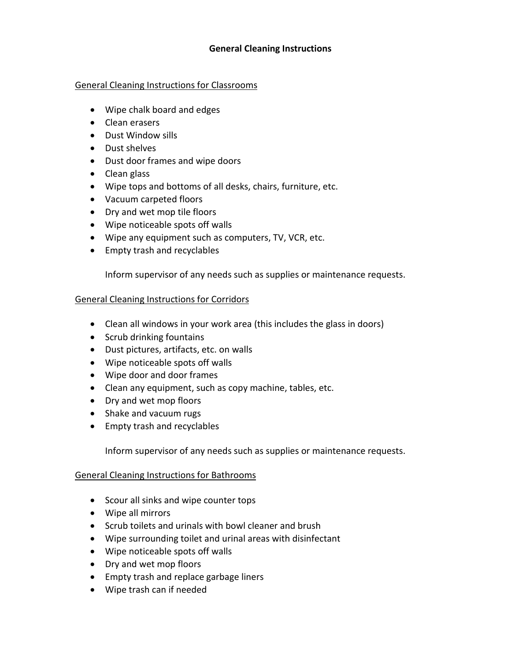# **General Cleaning Instructions**

# General Cleaning Instructions for Classrooms

- Wipe chalk board and edges
- Clean erasers
- Dust Window sills
- Dust shelves
- Dust door frames and wipe doors
- Clean glass
- Wipe tops and bottoms of all desks, chairs, furniture, etc.
- Vacuum carpeted floors
- Dry and wet mop tile floors
- Wipe noticeable spots off walls
- Wipe any equipment such as computers, TV, VCR, etc.
- Empty trash and recyclables

Inform supervisor of any needs such as supplies or maintenance requests.

# General Cleaning Instructions for Corridors

- Clean all windows in your work area (this includes the glass in doors)
- Scrub drinking fountains
- Dust pictures, artifacts, etc. on walls
- Wipe noticeable spots off walls
- Wipe door and door frames
- Clean any equipment, such as copy machine, tables, etc.
- Dry and wet mop floors
- Shake and vacuum rugs
- Empty trash and recyclables

Inform supervisor of any needs such as supplies or maintenance requests.

# General Cleaning Instructions for Bathrooms

- Scour all sinks and wipe counter tops
- Wipe all mirrors
- Scrub toilets and urinals with bowl cleaner and brush
- Wipe surrounding toilet and urinal areas with disinfectant
- Wipe noticeable spots off walls
- Dry and wet mop floors
- Empty trash and replace garbage liners
- Wipe trash can if needed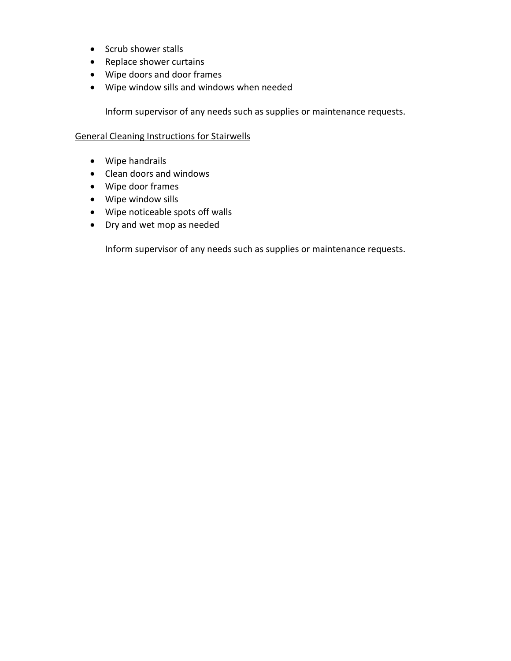- Scrub shower stalls
- Replace shower curtains
- Wipe doors and door frames
- Wipe window sills and windows when needed

Inform supervisor of any needs such as supplies or maintenance requests.

# General Cleaning Instructions for Stairwells

- Wipe handrails
- Clean doors and windows
- Wipe door frames
- Wipe window sills
- Wipe noticeable spots off walls
- Dry and wet mop as needed

Inform supervisor of any needs such as supplies or maintenance requests.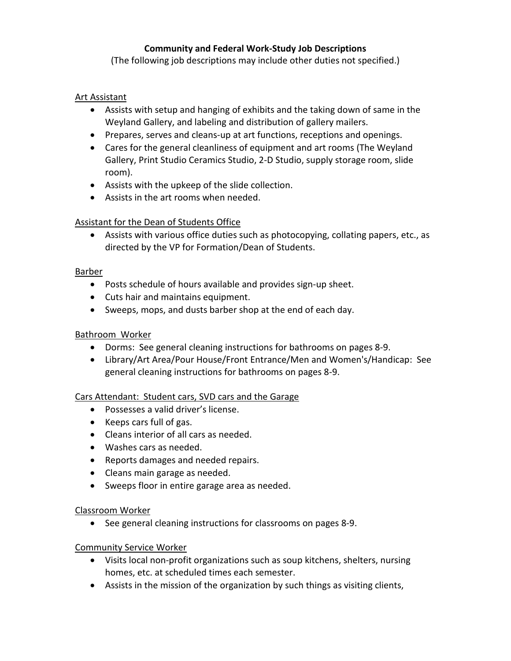# **Community and Federal Work-Study Job Descriptions**

(The following job descriptions may include other duties not specified.)

# Art Assistant

- Assists with setup and hanging of exhibits and the taking down of same in the Weyland Gallery, and labeling and distribution of gallery mailers.
- Prepares, serves and cleans-up at art functions, receptions and openings.
- Cares for the general cleanliness of equipment and art rooms (The Weyland Gallery, Print Studio Ceramics Studio, 2-D Studio, supply storage room, slide room).
- Assists with the upkeep of the slide collection.
- Assists in the art rooms when needed.

# Assistant for the Dean of Students Office

• Assists with various office duties such as photocopying, collating papers, etc., as directed by the VP for Formation/Dean of Students.

# Barber

- Posts schedule of hours available and provides sign-up sheet.
- Cuts hair and maintains equipment.
- Sweeps, mops, and dusts barber shop at the end of each day.

# Bathroom Worker

- Dorms: See general cleaning instructions for bathrooms on pages 8-9.
- Library/Art Area/Pour House/Front Entrance/Men and Women's/Handicap: See general cleaning instructions for bathrooms on pages 8-9.

# Cars Attendant: Student cars, SVD cars and the Garage

- Possesses a valid driver's license.
- Keeps cars full of gas.
- Cleans interior of all cars as needed.
- Washes cars as needed.
- Reports damages and needed repairs.
- Cleans main garage as needed.
- Sweeps floor in entire garage area as needed.

# Classroom Worker

• See general cleaning instructions for classrooms on pages 8-9.

# Community Service Worker

- Visits local non-profit organizations such as soup kitchens, shelters, nursing homes, etc. at scheduled times each semester.
- Assists in the mission of the organization by such things as visiting clients,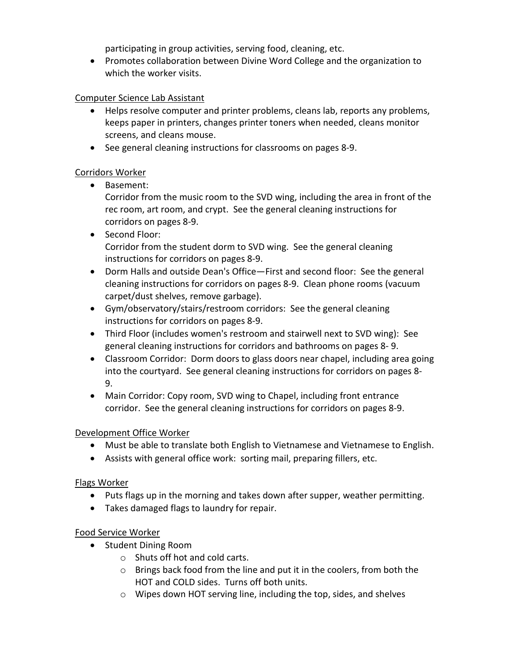participating in group activities, serving food, cleaning, etc.

• Promotes collaboration between Divine Word College and the organization to which the worker visits.

# Computer Science Lab Assistant

- Helps resolve computer and printer problems, cleans lab, reports any problems, keeps paper in printers, changes printer toners when needed, cleans monitor screens, and cleans mouse.
- See general cleaning instructions for classrooms on pages 8-9.

# Corridors Worker

• Basement:

Corridor from the music room to the SVD wing, including the area in front of the rec room, art room, and crypt. See the general cleaning instructions for corridors on pages 8-9.

- Second Floor: Corridor from the student dorm to SVD wing. See the general cleaning instructions for corridors on pages 8-9.
- Dorm Halls and outside Dean's Office—First and second floor: See the general cleaning instructions for corridors on pages 8-9. Clean phone rooms (vacuum carpet/dust shelves, remove garbage).
- Gym/observatory/stairs/restroom corridors: See the general cleaning instructions for corridors on pages 8-9.
- Third Floor (includes women's restroom and stairwell next to SVD wing): See general cleaning instructions for corridors and bathrooms on pages 8- 9.
- Classroom Corridor: Dorm doors to glass doors near chapel, including area going into the courtyard. See general cleaning instructions for corridors on pages 8- 9.
- Main Corridor: Copy room, SVD wing to Chapel, including front entrance corridor. See the general cleaning instructions for corridors on pages 8-9.

# Development Office Worker

- Must be able to translate both English to Vietnamese and Vietnamese to English.
- Assists with general office work: sorting mail, preparing fillers, etc.

# Flags Worker

- Puts flags up in the morning and takes down after supper, weather permitting.
- Takes damaged flags to laundry for repair.

# Food Service Worker

- Student Dining Room
	- o Shuts off hot and cold carts.
	- o Brings back food from the line and put it in the coolers, from both the HOT and COLD sides. Turns off both units.
	- o Wipes down HOT serving line, including the top, sides, and shelves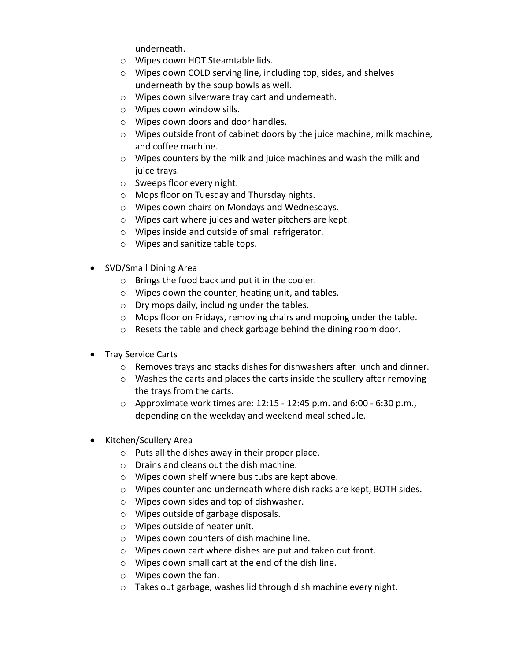underneath.

- o Wipes down HOT Steamtable lids.
- o Wipes down COLD serving line, including top, sides, and shelves underneath by the soup bowls as well.
- o Wipes down silverware tray cart and underneath.
- o Wipes down window sills.
- o Wipes down doors and door handles.
- o Wipes outside front of cabinet doors by the juice machine, milk machine, and coffee machine.
- $\circ$  Wipes counters by the milk and juice machines and wash the milk and juice trays.
- o Sweeps floor every night.
- o Mops floor on Tuesday and Thursday nights.
- o Wipes down chairs on Mondays and Wednesdays.
- o Wipes cart where juices and water pitchers are kept.
- o Wipes inside and outside of small refrigerator.
- o Wipes and sanitize table tops.
- SVD/Small Dining Area
	- o Brings the food back and put it in the cooler.
	- o Wipes down the counter, heating unit, and tables.
	- o Dry mops daily, including under the tables.
	- o Mops floor on Fridays, removing chairs and mopping under the table.
	- o Resets the table and check garbage behind the dining room door.
- Tray Service Carts
	- o Removes trays and stacks dishes for dishwashers after lunch and dinner.
	- o Washes the carts and places the carts inside the scullery after removing the trays from the carts.
	- o Approximate work times are: 12:15 12:45 p.m. and 6:00 6:30 p.m., depending on the weekday and weekend meal schedule.
- Kitchen/Scullery Area
	- o Puts all the dishes away in their proper place.
	- o Drains and cleans out the dish machine.
	- o Wipes down shelf where bus tubs are kept above.
	- $\circ$  Wipes counter and underneath where dish racks are kept, BOTH sides.
	- o Wipes down sides and top of dishwasher.
	- o Wipes outside of garbage disposals.
	- o Wipes outside of heater unit.
	- o Wipes down counters of dish machine line.
	- o Wipes down cart where dishes are put and taken out front.
	- o Wipes down small cart at the end of the dish line.
	- o Wipes down the fan.
	- o Takes out garbage, washes lid through dish machine every night.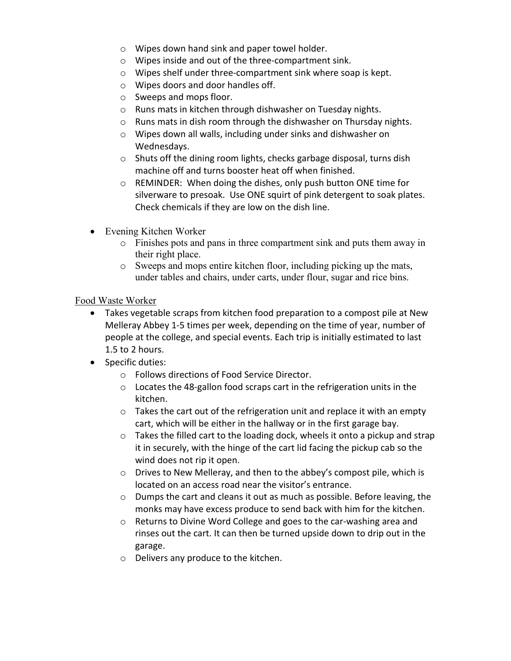- o Wipes down hand sink and paper towel holder.
- o Wipes inside and out of the three-compartment sink.
- o Wipes shelf under three-compartment sink where soap is kept.
- o Wipes doors and door handles off.
- o Sweeps and mops floor.
- o Runs mats in kitchen through dishwasher on Tuesday nights.
- o Runs mats in dish room through the dishwasher on Thursday nights.
- o Wipes down all walls, including under sinks and dishwasher on Wednesdays.
- o Shuts off the dining room lights, checks garbage disposal, turns dish machine off and turns booster heat off when finished.
- o REMINDER: When doing the dishes, only push button ONE time for silverware to presoak. Use ONE squirt of pink detergent to soak plates. Check chemicals if they are low on the dish line.
- Evening Kitchen Worker
	- o Finishes pots and pans in three compartment sink and puts them away in their right place.
	- o Sweeps and mops entire kitchen floor, including picking up the mats, under tables and chairs, under carts, under flour, sugar and rice bins.

Food Waste Worker

- Takes vegetable scraps from kitchen food preparation to a compost pile at New Melleray Abbey 1-5 times per week, depending on the time of year, number of people at the college, and special events. Each trip is initially estimated to last 1.5 to 2 hours.
- Specific duties:
	- o Follows directions of Food Service Director.
	- o Locates the 48-gallon food scraps cart in the refrigeration units in the kitchen.
	- $\circ$  Takes the cart out of the refrigeration unit and replace it with an empty cart, which will be either in the hallway or in the first garage bay.
	- o Takes the filled cart to the loading dock, wheels it onto a pickup and strap it in securely, with the hinge of the cart lid facing the pickup cab so the wind does not rip it open.
	- o Drives to New Melleray, and then to the abbey's compost pile, which is located on an access road near the visitor's entrance.
	- o Dumps the cart and cleans it out as much as possible. Before leaving, the monks may have excess produce to send back with him for the kitchen.
	- o Returns to Divine Word College and goes to the car-washing area and rinses out the cart. It can then be turned upside down to drip out in the garage.
	- o Delivers any produce to the kitchen.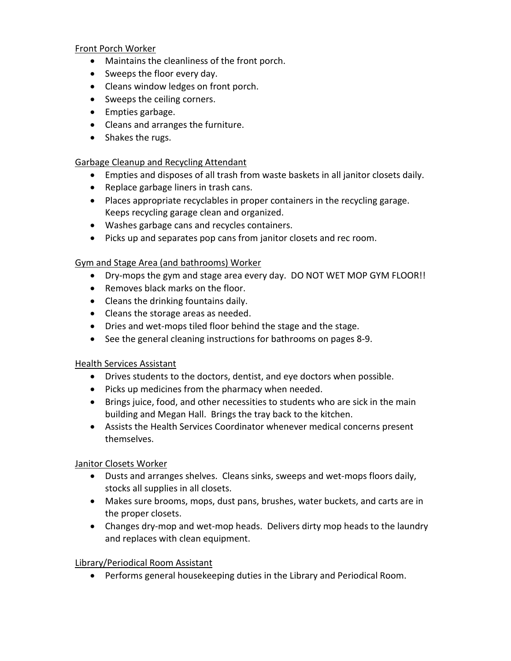Front Porch Worker

- Maintains the cleanliness of the front porch.
- Sweeps the floor every day.
- Cleans window ledges on front porch.
- Sweeps the ceiling corners.
- Empties garbage.
- Cleans and arranges the furniture.
- Shakes the rugs.

## Garbage Cleanup and Recycling Attendant

- Empties and disposes of all trash from waste baskets in all janitor closets daily.
- Replace garbage liners in trash cans.
- Places appropriate recyclables in proper containers in the recycling garage. Keeps recycling garage clean and organized.
- Washes garbage cans and recycles containers.
- Picks up and separates pop cans from janitor closets and rec room.

## Gym and Stage Area (and bathrooms) Worker

- Dry-mops the gym and stage area every day. DO NOT WET MOP GYM FLOOR!!
- Removes black marks on the floor.
- Cleans the drinking fountains daily.
- Cleans the storage areas as needed.
- Dries and wet-mops tiled floor behind the stage and the stage.
- See the general cleaning instructions for bathrooms on pages 8-9.

# Health Services Assistant

- Drives students to the doctors, dentist, and eye doctors when possible.
- Picks up medicines from the pharmacy when needed.
- Brings juice, food, and other necessities to students who are sick in the main building and Megan Hall. Brings the tray back to the kitchen.
- Assists the Health Services Coordinator whenever medical concerns present themselves.

Janitor Closets Worker

- Dusts and arranges shelves. Cleans sinks, sweeps and wet-mops floors daily, stocks all supplies in all closets.
- Makes sure brooms, mops, dust pans, brushes, water buckets, and carts are in the proper closets.
- Changes dry-mop and wet-mop heads. Delivers dirty mop heads to the laundry and replaces with clean equipment.

# Library/Periodical Room Assistant

• Performs general housekeeping duties in the Library and Periodical Room.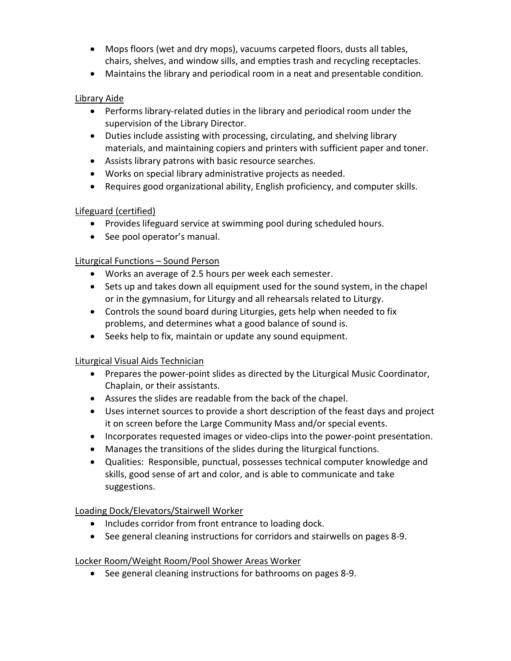- Mops floors (wet and dry mops), vacuums carpeted floors, dusts all tables, chairs, shelves, and window sills, and empties trash and recycling receptacles.
- Maintains the library and periodical room in a neat and presentable condition.

# Library Aide

- Performs library-related duties in the library and periodical room under the supervision of the Library Director.
- Duties include assisting with processing, circulating, and shelving library materials, and maintaining copiers and printers with sufficient paper and toner.
- Assists library patrons with basic resource searches.
- Works on special library administrative projects as needed.
- Requires good organizational ability, English proficiency, and computer skills.

# Lifeguard (certified)

- Provides lifeguard service at swimming pool during scheduled hours.
- See pool operator's manual.

# Liturgical Functions – Sound Person

- Works an average of 2.5 hours per week each semester.
- Sets up and takes down all equipment used for the sound system, in the chapel or in the gymnasium, for Liturgy and all rehearsals related to Liturgy.
- Controls the sound board during Liturgies, gets help when needed to fix problems, and determines what a good balance of sound is.
- Seeks help to fix, maintain or update any sound equipment.

# Liturgical Visual Aids Technician

- Prepares the power-point slides as directed by the Liturgical Music Coordinator, Chaplain, or their assistants.
- Assures the slides are readable from the back of the chapel.
- Uses internet sources to provide a short description of the feast days and project it on screen before the Large Community Mass and/or special events.
- Incorporates requested images or video-clips into the power-point presentation.
- Manages the transitions of the slides during the liturgical functions.
- Qualities: Responsible, punctual, possesses technical computer knowledge and skills, good sense of art and color, and is able to communicate and take suggestions.

# Loading Dock/Elevators/Stairwell Worker

- Includes corridor from front entrance to loading dock.
- See general cleaning instructions for corridors and stairwells on pages 8-9.

# Locker Room/Weight Room/Pool Shower Areas Worker

• See general cleaning instructions for bathrooms on pages 8-9.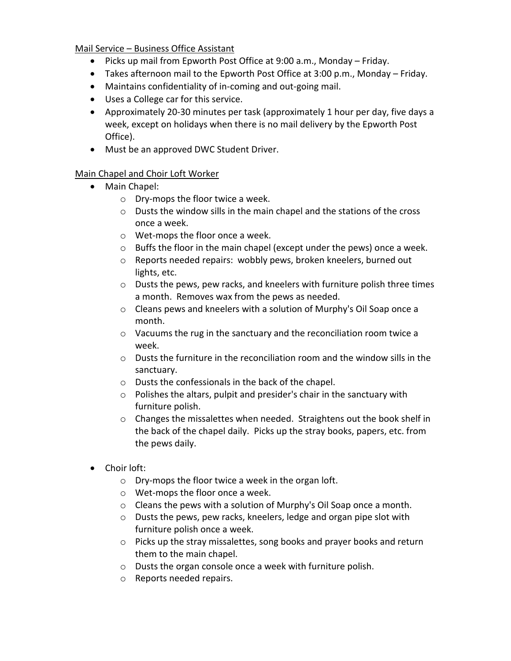# Mail Service – Business Office Assistant

- Picks up mail from Epworth Post Office at 9:00 a.m., Monday Friday.
- Takes afternoon mail to the Epworth Post Office at 3:00 p.m., Monday Friday.
- Maintains confidentiality of in-coming and out-going mail.
- Uses a College car for this service.
- Approximately 20-30 minutes per task (approximately 1 hour per day, five days a week, except on holidays when there is no mail delivery by the Epworth Post Office).
- Must be an approved DWC Student Driver.

# Main Chapel and Choir Loft Worker

- Main Chapel:
	- o Dry-mops the floor twice a week.
	- o Dusts the window sills in the main chapel and the stations of the cross once a week.
	- o Wet-mops the floor once a week.
	- o Buffs the floor in the main chapel (except under the pews) once a week.
	- o Reports needed repairs: wobbly pews, broken kneelers, burned out lights, etc.
	- o Dusts the pews, pew racks, and kneelers with furniture polish three times a month. Removes wax from the pews as needed.
	- o Cleans pews and kneelers with a solution of Murphy's Oil Soap once a month.
	- $\circ$  Vacuums the rug in the sanctuary and the reconciliation room twice a week.
	- o Dusts the furniture in the reconciliation room and the window sills in the sanctuary.
	- o Dusts the confessionals in the back of the chapel.
	- o Polishes the altars, pulpit and presider's chair in the sanctuary with furniture polish.
	- $\circ$  Changes the missalettes when needed. Straightens out the book shelf in the back of the chapel daily. Picks up the stray books, papers, etc. from the pews daily.
- Choir loft:
	- o Dry-mops the floor twice a week in the organ loft.
	- o Wet-mops the floor once a week.
	- o Cleans the pews with a solution of Murphy's Oil Soap once a month.
	- o Dusts the pews, pew racks, kneelers, ledge and organ pipe slot with furniture polish once a week.
	- o Picks up the stray missalettes, song books and prayer books and return them to the main chapel.
	- o Dusts the organ console once a week with furniture polish.
	- o Reports needed repairs.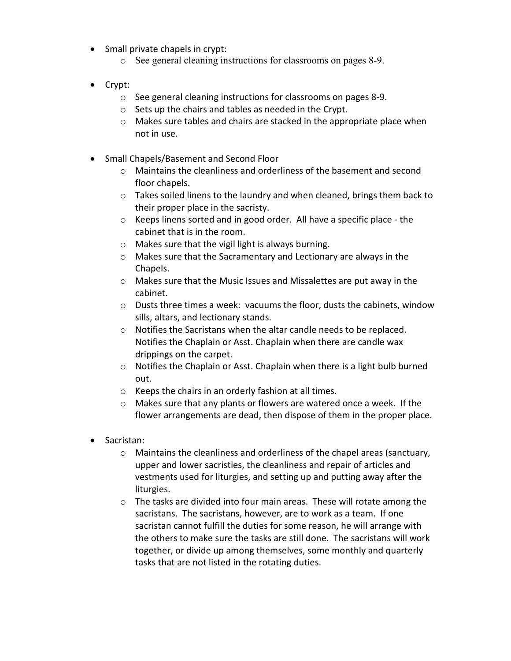- Small private chapels in crypt:
	- o See general cleaning instructions for classrooms on pages 8-9.
- Crypt:
	- o See general cleaning instructions for classrooms on pages 8-9.
	- o Sets up the chairs and tables as needed in the Crypt.
	- o Makes sure tables and chairs are stacked in the appropriate place when not in use.
- Small Chapels/Basement and Second Floor
	- o Maintains the cleanliness and orderliness of the basement and second floor chapels.
	- o Takes soiled linens to the laundry and when cleaned, brings them back to their proper place in the sacristy.
	- o Keeps linens sorted and in good order. All have a specific place the cabinet that is in the room.
	- o Makes sure that the vigil light is always burning.
	- o Makes sure that the Sacramentary and Lectionary are always in the Chapels.
	- o Makes sure that the Music Issues and Missalettes are put away in the cabinet.
	- $\circ$  Dusts three times a week: vacuums the floor, dusts the cabinets, window sills, altars, and lectionary stands.
	- o Notifies the Sacristans when the altar candle needs to be replaced. Notifies the Chaplain or Asst. Chaplain when there are candle wax drippings on the carpet.
	- o Notifies the Chaplain or Asst. Chaplain when there is a light bulb burned out.
	- o Keeps the chairs in an orderly fashion at all times.
	- o Makes sure that any plants or flowers are watered once a week. If the flower arrangements are dead, then dispose of them in the proper place.
- Sacristan:
	- o Maintains the cleanliness and orderliness of the chapel areas (sanctuary, upper and lower sacristies, the cleanliness and repair of articles and vestments used for liturgies, and setting up and putting away after the liturgies.
	- o The tasks are divided into four main areas. These will rotate among the sacristans. The sacristans, however, are to work as a team. If one sacristan cannot fulfill the duties for some reason, he will arrange with the others to make sure the tasks are still done. The sacristans will work together, or divide up among themselves, some monthly and quarterly tasks that are not listed in the rotating duties.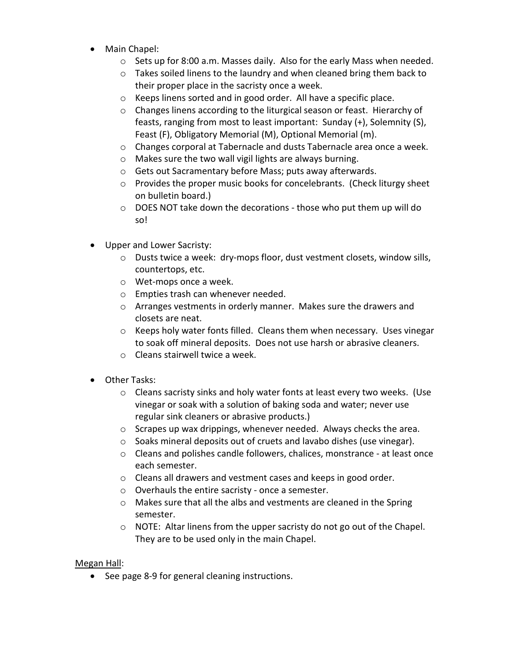- Main Chapel:
	- $\circ$  Sets up for 8:00 a.m. Masses daily. Also for the early Mass when needed.
	- o Takes soiled linens to the laundry and when cleaned bring them back to their proper place in the sacristy once a week.
	- o Keeps linens sorted and in good order. All have a specific place.
	- o Changes linens according to the liturgical season or feast. Hierarchy of feasts, ranging from most to least important: Sunday (+), Solemnity (S), Feast (F), Obligatory Memorial (M), Optional Memorial (m).
	- o Changes corporal at Tabernacle and dusts Tabernacle area once a week.
	- o Makes sure the two wall vigil lights are always burning.
	- o Gets out Sacramentary before Mass; puts away afterwards.
	- o Provides the proper music books for concelebrants. (Check liturgy sheet on bulletin board.)
	- o DOES NOT take down the decorations those who put them up will do so!
- Upper and Lower Sacristy:
	- o Dusts twice a week: dry-mops floor, dust vestment closets, window sills, countertops, etc.
	- o Wet-mops once a week.
	- o Empties trash can whenever needed.
	- o Arranges vestments in orderly manner. Makes sure the drawers and closets are neat.
	- o Keeps holy water fonts filled. Cleans them when necessary. Uses vinegar to soak off mineral deposits. Does not use harsh or abrasive cleaners.
	- o Cleans stairwell twice a week.
- Other Tasks:
	- o Cleans sacristy sinks and holy water fonts at least every two weeks. (Use vinegar or soak with a solution of baking soda and water; never use regular sink cleaners or abrasive products.)
	- o Scrapes up wax drippings, whenever needed. Always checks the area.
	- o Soaks mineral deposits out of cruets and lavabo dishes (use vinegar).
	- o Cleans and polishes candle followers, chalices, monstrance at least once each semester.
	- o Cleans all drawers and vestment cases and keeps in good order.
	- o Overhauls the entire sacristy once a semester.
	- o Makes sure that all the albs and vestments are cleaned in the Spring semester.
	- o NOTE: Altar linens from the upper sacristy do not go out of the Chapel. They are to be used only in the main Chapel.

# Megan Hall:

• See page 8-9 for general cleaning instructions.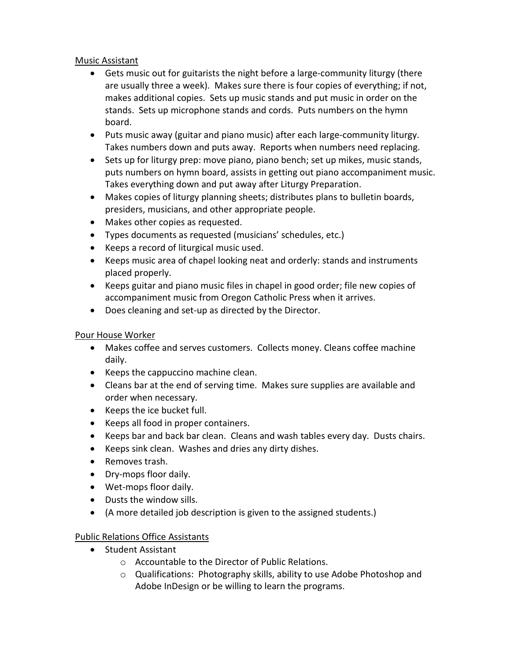#### Music Assistant

- Gets music out for guitarists the night before a large-community liturgy (there are usually three a week). Makes sure there is four copies of everything; if not, makes additional copies. Sets up music stands and put music in order on the stands. Sets up microphone stands and cords. Puts numbers on the hymn board.
- Puts music away (guitar and piano music) after each large-community liturgy. Takes numbers down and puts away. Reports when numbers need replacing.
- Sets up for liturgy prep: move piano, piano bench; set up mikes, music stands, puts numbers on hymn board, assists in getting out piano accompaniment music. Takes everything down and put away after Liturgy Preparation.
- Makes copies of liturgy planning sheets; distributes plans to bulletin boards, presiders, musicians, and other appropriate people.
- Makes other copies as requested.
- Types documents as requested (musicians' schedules, etc.)
- Keeps a record of liturgical music used.
- Keeps music area of chapel looking neat and orderly: stands and instruments placed properly.
- Keeps guitar and piano music files in chapel in good order; file new copies of accompaniment music from Oregon Catholic Press when it arrives.
- Does cleaning and set-up as directed by the Director.

# Pour House Worker

- Makes coffee and serves customers. Collects money. Cleans coffee machine daily.
- Keeps the cappuccino machine clean.
- Cleans bar at the end of serving time. Makes sure supplies are available and order when necessary.
- Keeps the ice bucket full.
- Keeps all food in proper containers.
- Keeps bar and back bar clean. Cleans and wash tables every day. Dusts chairs.
- Keeps sink clean. Washes and dries any dirty dishes.
- Removes trash.
- Dry-mops floor daily.
- Wet-mops floor daily.
- Dusts the window sills.
- (A more detailed job description is given to the assigned students.)

# Public Relations Office Assistants

- Student Assistant
	- o Accountable to the Director of Public Relations.
	- o Qualifications: Photography skills, ability to use Adobe Photoshop and Adobe InDesign or be willing to learn the programs.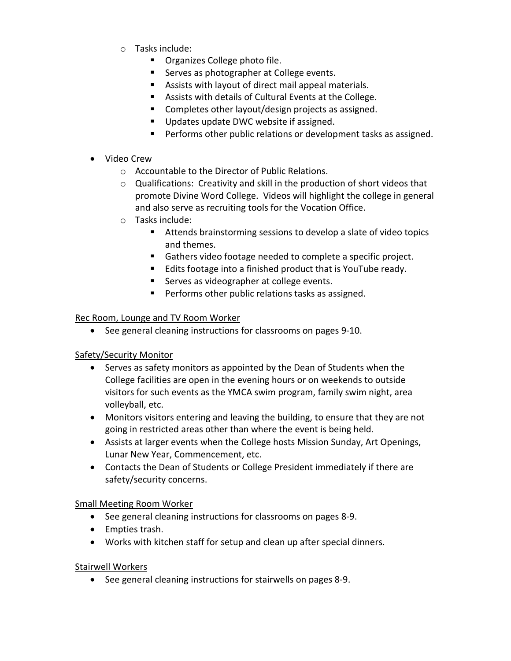- o Tasks include:
	- **•** Organizes College photo file.
	- Serves as photographer at College events.
	- Assists with layout of direct mail appeal materials.
	- Assists with details of Cultural Events at the College.
	- **Completes other layout/design projects as assigned.**
	- Updates update DWC website if assigned.
	- **Performs other public relations or development tasks as assigned.**
- Video Crew
	- o Accountable to the Director of Public Relations.
	- o Qualifications: Creativity and skill in the production of short videos that promote Divine Word College. Videos will highlight the college in general and also serve as recruiting tools for the Vocation Office.
	- o Tasks include:
		- Attends brainstorming sessions to develop a slate of video topics and themes.
		- Gathers video footage needed to complete a specific project.
		- Edits footage into a finished product that is YouTube ready.
		- Serves as videographer at college events.
		- **Performs other public relations tasks as assigned.**

#### Rec Room, Lounge and TV Room Worker

• See general cleaning instructions for classrooms on pages 9-10.

# Safety/Security Monitor

- Serves as safety monitors as appointed by the Dean of Students when the College facilities are open in the evening hours or on weekends to outside visitors for such events as the YMCA swim program, family swim night, area volleyball, etc.
- Monitors visitors entering and leaving the building, to ensure that they are not going in restricted areas other than where the event is being held.
- Assists at larger events when the College hosts Mission Sunday, Art Openings, Lunar New Year, Commencement, etc.
- Contacts the Dean of Students or College President immediately if there are safety/security concerns.

# Small Meeting Room Worker

- See general cleaning instructions for classrooms on pages 8-9.
- Empties trash.
- Works with kitchen staff for setup and clean up after special dinners.

# Stairwell Workers

• See general cleaning instructions for stairwells on pages 8-9.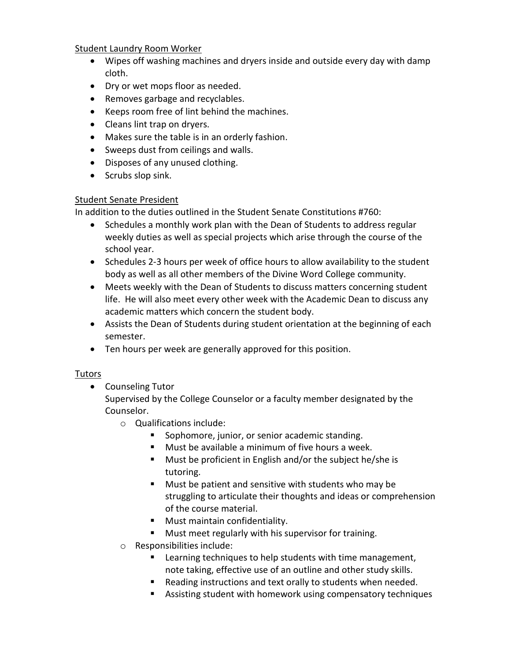#### Student Laundry Room Worker

- Wipes off washing machines and dryers inside and outside every day with damp cloth.
- Dry or wet mops floor as needed.
- Removes garbage and recyclables.
- Keeps room free of lint behind the machines.
- Cleans lint trap on dryers.
- Makes sure the table is in an orderly fashion.
- Sweeps dust from ceilings and walls.
- Disposes of any unused clothing.
- Scrubs slop sink.

#### Student Senate President

In addition to the duties outlined in the Student Senate Constitutions #760:

- Schedules a monthly work plan with the Dean of Students to address regular weekly duties as well as special projects which arise through the course of the school year.
- Schedules 2-3 hours per week of office hours to allow availability to the student body as well as all other members of the Divine Word College community.
- Meets weekly with the Dean of Students to discuss matters concerning student life. He will also meet every other week with the Academic Dean to discuss any academic matters which concern the student body.
- Assists the Dean of Students during student orientation at the beginning of each semester.
- Ten hours per week are generally approved for this position.

# Tutors

• Counseling Tutor

Supervised by the College Counselor or a faculty member designated by the Counselor.

- o Qualifications include:
	- **Sophomore, junior, or senior academic standing.**
	- Must be available a minimum of five hours a week.
	- **Must be proficient in English and/or the subject he/she is** tutoring.
	- Must be patient and sensitive with students who may be struggling to articulate their thoughts and ideas or comprehension of the course material.
	- **Must maintain confidentiality.**
	- **Must meet regularly with his supervisor for training.**
- o Responsibilities include:
	- Learning techniques to help students with time management, note taking, effective use of an outline and other study skills.
	- Reading instructions and text orally to students when needed.
	- Assisting student with homework using compensatory techniques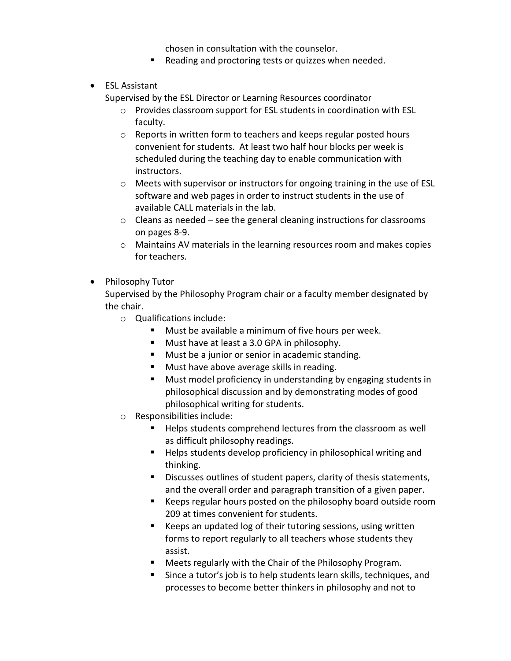chosen in consultation with the counselor.

- Reading and proctoring tests or quizzes when needed.
- ESL Assistant

Supervised by the ESL Director or Learning Resources coordinator

- o Provides classroom support for ESL students in coordination with ESL faculty.
- o Reports in written form to teachers and keeps regular posted hours convenient for students. At least two half hour blocks per week is scheduled during the teaching day to enable communication with instructors.
- o Meets with supervisor or instructors for ongoing training in the use of ESL software and web pages in order to instruct students in the use of available CALL materials in the lab.
- o Cleans as needed see the general cleaning instructions for classrooms on pages 8-9.
- $\circ$  Maintains AV materials in the learning resources room and makes copies for teachers.
- Philosophy Tutor

Supervised by the Philosophy Program chair or a faculty member designated by the chair.

- o Qualifications include:
	- **Must be available a minimum of five hours per week.**
	- **Must have at least a 3.0 GPA in philosophy.**
	- **Must be a junior or senior in academic standing.**
	- **Must have above average skills in reading.**
	- **Must model proficiency in understanding by engaging students in** philosophical discussion and by demonstrating modes of good philosophical writing for students.
- o Responsibilities include:
	- Helps students comprehend lectures from the classroom as well as difficult philosophy readings.
	- Helps students develop proficiency in philosophical writing and thinking.
	- Discusses outlines of student papers, clarity of thesis statements, and the overall order and paragraph transition of a given paper.
	- Keeps regular hours posted on the philosophy board outside room 209 at times convenient for students.
	- E Keeps an updated log of their tutoring sessions, using written forms to report regularly to all teachers whose students they assist.
	- Meets regularly with the Chair of the Philosophy Program.
	- Since a tutor's job is to help students learn skills, techniques, and processes to become better thinkers in philosophy and not to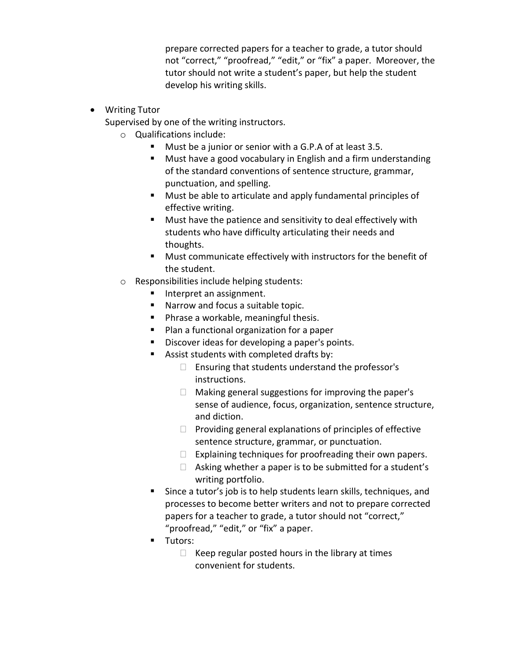prepare corrected papers for a teacher to grade, a tutor should not "correct," "proofread," "edit," or "fix" a paper. Moreover, the tutor should not write a student's paper, but help the student develop his writing skills.

- Writing Tutor
	- Supervised by one of the writing instructors.
		- o Qualifications include:
			- Must be a junior or senior with a G.P.A of at least 3.5.
			- **Must have a good vocabulary in English and a firm understanding** of the standard conventions of sentence structure, grammar, punctuation, and spelling.
			- Must be able to articulate and apply fundamental principles of effective writing.
			- **Must have the patience and sensitivity to deal effectively with** students who have difficulty articulating their needs and thoughts.
			- Must communicate effectively with instructors for the benefit of the student.
		- o Responsibilities include helping students:
			- Interpret an assignment.
			- Narrow and focus a suitable topic.
			- **Phrase a workable, meaningful thesis.**
			- **Plan a functional organization for a paper**
			- **Discover ideas for developing a paper's points.**
			- Assist students with completed drafts by:
				- $\Box$  Ensuring that students understand the professor's instructions.
				- $\Box$  Making general suggestions for improving the paper's sense of audience, focus, organization, sentence structure, and diction.
				- $\Box$  Providing general explanations of principles of effective sentence structure, grammar, or punctuation.
				- $\Box$  Explaining techniques for proofreading their own papers.
				- $\Box$  Asking whether a paper is to be submitted for a student's writing portfolio.
			- Since a tutor's job is to help students learn skills, techniques, and processes to become better writers and not to prepare corrected papers for a teacher to grade, a tutor should not "correct," "proofread," "edit," or "fix" a paper.
			- **Tutors:** 
				- $\Box$  Keep regular posted hours in the library at times convenient for students.